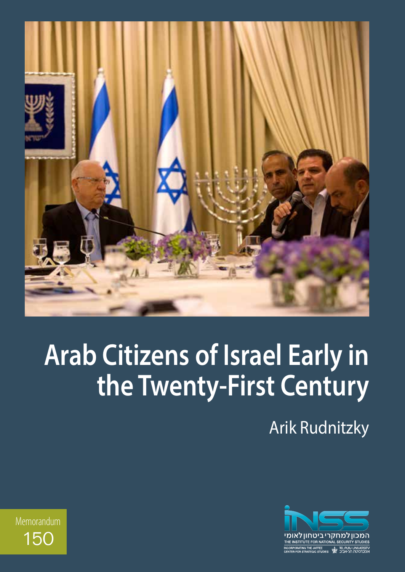

# **Arab Citizens of Israel Early in the Twenty-First Century**

Arik Rudnitzky



Memorandum 150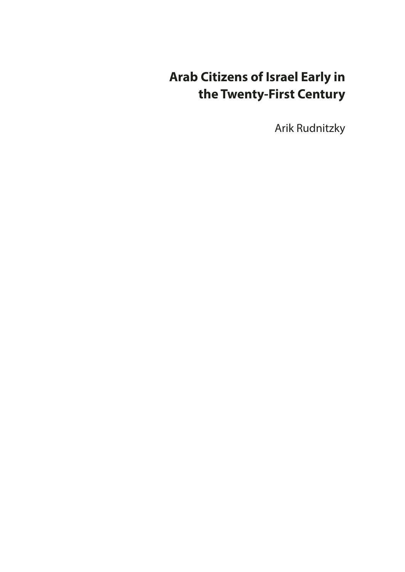## **Arab Citizens of Israel Early in the Twenty-First Century**

Arik Rudnitzky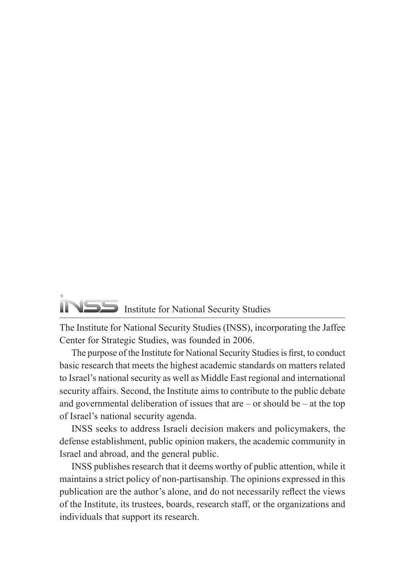## Institute for National Security Studies

The Institute for National Security Studies (INSS), incorporating the Jaffee Center for Strategic Studies, was founded in 2006.

The purpose of the Institute for National Security Studies is first, to conduct basic research that meets the highest academic standards on matters related to Israel's national security as well as Middle East regional and international security affairs. Second, the Institute aims to contribute to the public debate and governmental deliberation of issues that are  $-$  or should be  $-$  at the top of Israel's national security agenda.

INSS seeks to address Israeli decision makers and policymakers, the defense establishment, public opinion makers, the academic community in Israel and abroad, and the general public.

INSS publishes research that it deems worthy of public attention, while it maintains a strict policy of non-partisanship. The opinions expressed in this publication are the author's alone, and do not necessarily reflect the views of the Institute, its trustees, boards, research staff, or the organizations and individuals that support its research.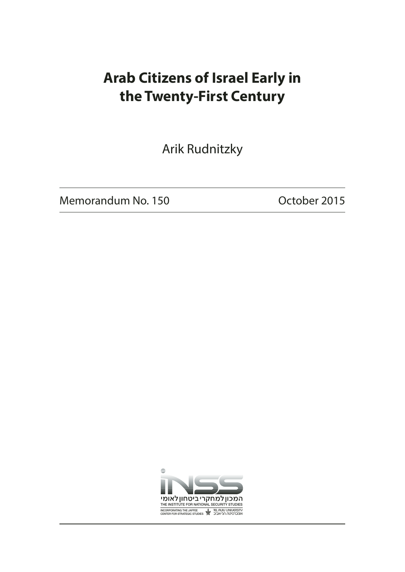## **Arab Citizens of Israel Early in the Twenty-First Century**

Arik Rudnitzky

Memorandum No. 150 Channel Company Corporation October 2015

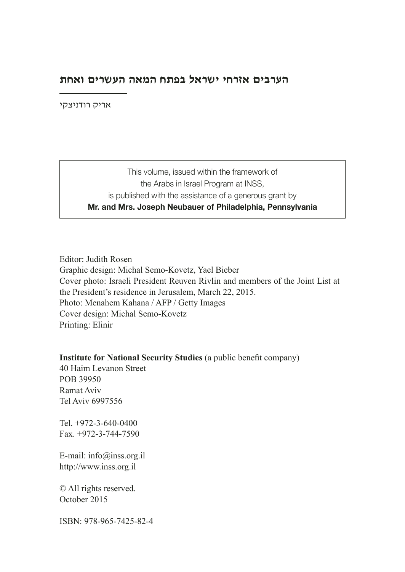#### **הערבים אזרחי ישראל בפתח המאה העשרים ואחת**

אריק רודניצקי

This volume, issued within the framework of the Arabs in Israel Program at INSS, is published with the assistance of a generous grant by Mr. and Mrs. Joseph Neubauer of Philadelphia, Pennsylvania

Editor: Judith Rosen Graphic design: Michal Semo-Kovetz, Yael Bieber Cover photo: Israeli President Reuven Rivlin and members of the Joint List at the President's residence in Jerusalem, March 22, 2015. Photo: Menahem Kahana / AFP / Getty Images Cover design: Michal Semo-Kovetz Printing: Elinir

**Institute for National Security Studies** (a public benefit company)

40 Haim Levanon Street POB 39950 Ramat Aviv Tel Aviv 6997556

Tel. +972-3-640-0400 Fax. +972-3-744-7590

E-mail: info@inss.org.il http://www.inss.org.il

© All rights reserved. October 2015

ISBN: 978-965-7425-82-4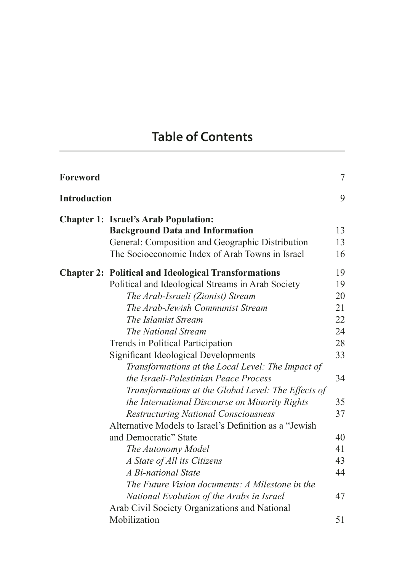## **Table of Contents**

| Foreword            |                                                             | 7  |
|---------------------|-------------------------------------------------------------|----|
| <b>Introduction</b> |                                                             | 9  |
|                     | <b>Chapter 1: Israel's Arab Population:</b>                 |    |
|                     | <b>Background Data and Information</b>                      | 13 |
|                     | General: Composition and Geographic Distribution            | 13 |
|                     | The Socioeconomic Index of Arab Towns in Israel             | 16 |
|                     | <b>Chapter 2: Political and Ideological Transformations</b> | 19 |
|                     | Political and Ideological Streams in Arab Society           | 19 |
|                     | The Arab-Israeli (Zionist) Stream                           | 20 |
|                     | The Arab-Jewish Communist Stream                            | 21 |
|                     | The Islamist Stream                                         | 22 |
|                     | The National Stream                                         | 24 |
|                     | Trends in Political Participation                           | 28 |
|                     | Significant Ideological Developments                        | 33 |
|                     | Transformations at the Local Level: The Impact of           |    |
|                     | the Israeli-Palestinian Peace Process                       | 34 |
|                     | Transformations at the Global Level: The Effects of         |    |
|                     | the International Discourse on Minority Rights              | 35 |
|                     | <b>Restructuring National Consciousness</b>                 | 37 |
|                     | Alternative Models to Israel's Definition as a "Jewish"     |    |
|                     | and Democratic" State                                       | 40 |
|                     | The Autonomy Model                                          | 41 |
|                     | A State of All its Citizens                                 | 43 |
|                     | A Bi-national State                                         | 44 |
|                     | The Future Vision documents: A Milestone in the             |    |
|                     | National Evolution of the Arabs in Israel                   | 47 |
|                     | Arab Civil Society Organizations and National               |    |
|                     | Mobilization                                                | 51 |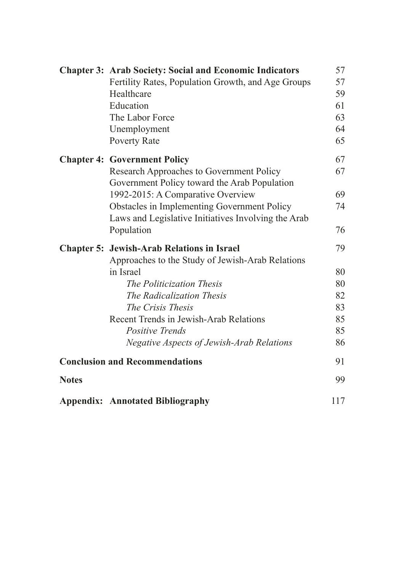|              | <b>Chapter 3: Arab Society: Social and Economic Indicators</b> | 57  |
|--------------|----------------------------------------------------------------|-----|
|              | Fertility Rates, Population Growth, and Age Groups             | 57  |
|              | Healthcare                                                     | 59  |
|              | Education                                                      | 61  |
|              | The Labor Force                                                | 63  |
|              | Unemployment                                                   | 64  |
|              | <b>Poverty Rate</b>                                            | 65  |
|              | <b>Chapter 4: Government Policy</b>                            | 67  |
|              | Research Approaches to Government Policy                       | 67  |
|              | Government Policy toward the Arab Population                   |     |
|              | 1992-2015: A Comparative Overview                              | 69  |
|              | Obstacles in Implementing Government Policy                    | 74  |
|              | Laws and Legislative Initiatives Involving the Arab            |     |
|              | Population                                                     | 76  |
|              | <b>Chapter 5: Jewish-Arab Relations in Israel</b>              | 79  |
|              | Approaches to the Study of Jewish-Arab Relations               |     |
|              | in Israel                                                      | 80  |
|              | The Politicization Thesis                                      | 80  |
|              | The Radicalization Thesis                                      | 82  |
|              | The Crisis Thesis                                              | 83  |
|              | Recent Trends in Jewish-Arab Relations                         | 85  |
|              | <b>Positive Trends</b>                                         | 85  |
|              | <b>Negative Aspects of Jewish-Arab Relations</b>               | 86  |
|              | <b>Conclusion and Recommendations</b>                          | 91  |
| <b>Notes</b> |                                                                | 99  |
|              | <b>Appendix: Annotated Bibliography</b>                        | 117 |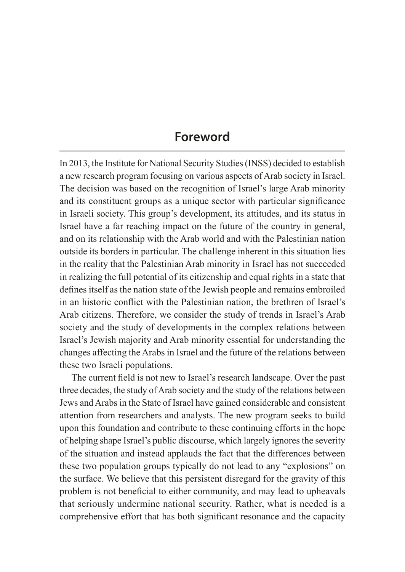#### **Foreword**

In 2013, the Institute for National Security Studies (INSS) decided to establish a new research program focusing on various aspects of Arab society in Israel. The decision was based on the recognition of Israel's large Arab minority and its constituent groups as a unique sector with particular significance in Israeli society. This group's development, its attitudes, and its status in Israel have a far reaching impact on the future of the country in general, and on its relationship with the Arab world and with the Palestinian nation outside its borders in particular. The challenge inherent in this situation lies in the reality that the Palestinian Arab minority in Israel has not succeeded in realizing the full potential of its citizenship and equal rights in a state that defines itself as the nation state of the Jewish people and remains embroiled in an historic conflict with the Palestinian nation, the brethren of Israel's Arab citizens. Therefore, we consider the study of trends in Israel's Arab society and the study of developments in the complex relations between Israel's Jewish majority and Arab minority essential for understanding the changes affecting the Arabs in Israel and the future of the relations between these two Israeli populations.

The current field is not new to Israel's research landscape. Over the past three decades, the study of Arab society and the study of the relations between Jews and Arabs in the State of Israel have gained considerable and consistent attention from researchers and analysts. The new program seeks to build upon this foundation and contribute to these continuing efforts in the hope of helping shape Israel's public discourse, which largely ignores the severity of the situation and instead applauds the fact that the differences between these two population groups typically do not lead to any "explosions" on the surface. We believe that this persistent disregard for the gravity of this problem is not beneficial to either community, and may lead to upheavals that seriously undermine national security. Rather, what is needed is a comprehensive effort that has both significant resonance and the capacity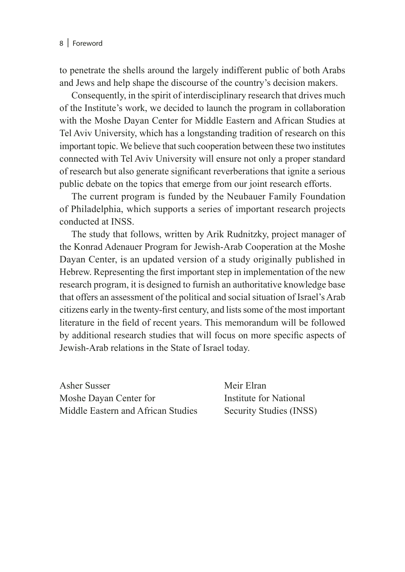to penetrate the shells around the largely indifferent public of both Arabs and Jews and help shape the discourse of the country's decision makers.

Consequently, in the spirit of interdisciplinary research that drives much of the Institute's work, we decided to launch the program in collaboration with the Moshe Dayan Center for Middle Eastern and African Studies at Tel Aviv University, which has a longstanding tradition of research on this important topic. We believe that such cooperation between these two institutes connected with Tel Aviv University will ensure not only a proper standard of research but also generate significant reverberations that ignite a serious public debate on the topics that emerge from our joint research efforts.

The current program is funded by the Neubauer Family Foundation of Philadelphia, which supports a series of important research projects conducted at INSS.

The study that follows, written by Arik Rudnitzky, project manager of the Konrad Adenauer Program for Jewish-Arab Cooperation at the Moshe Dayan Center, is an updated version of a study originally published in Hebrew. Representing the first important step in implementation of the new research program, it is designed to furnish an authoritative knowledge base that offers an assessment of the political and social situation of Israel's Arab citizens early in the twenty-first century, and lists some of the most important literature in the field of recent years. This memorandum will be followed by additional research studies that will focus on more specific aspects of Jewish-Arab relations in the State of Israel today.

Asher Susser Meir Elran Moshe Dayan Center for **Institute for National** Middle Eastern and African Studies Security Studies (INSS)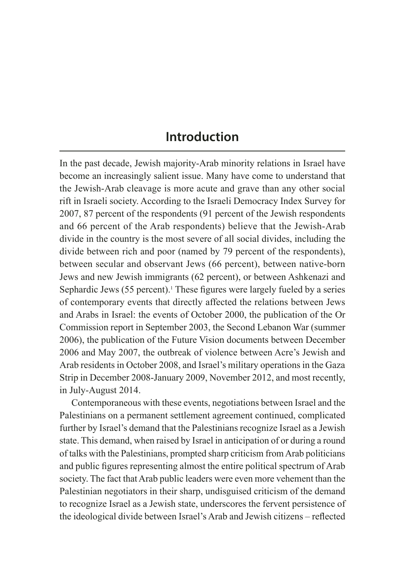#### **Introduction**

In the past decade, Jewish majority-Arab minority relations in Israel have become an increasingly salient issue. Many have come to understand that the Jewish-Arab cleavage is more acute and grave than any other social rift in Israeli society. According to the Israeli Democracy Index Survey for 2007, 87 percent of the respondents (91 percent of the Jewish respondents and 66 percent of the Arab respondents) believe that the Jewish-Arab divide in the country is the most severe of all social divides, including the divide between rich and poor (named by 79 percent of the respondents), between secular and observant Jews (66 percent), between native-born Jews and new Jewish immigrants (62 percent), or between Ashkenazi and Sephardic Jews (55 percent).<sup>1</sup> These figures were largely fueled by a series of contemporary events that directly affected the relations between Jews and Arabs in Israel: the events of October 2000, the publication of the Or Commission report in September 2003, the Second Lebanon War (summer 2006), the publication of the Future Vision documents between December 2006 and May 2007, the outbreak of violence between Acre's Jewish and Arab residents in October 2008, and Israel's military operations in the Gaza Strip in December 2008-January 2009, November 2012, and most recently, in July-August 2014.

Contemporaneous with these events, negotiations between Israel and the Palestinians on a permanent settlement agreement continued, complicated further by Israel's demand that the Palestinians recognize Israel as a Jewish state. This demand, when raised by Israel in anticipation of or during a round of talks with the Palestinians, prompted sharp criticism from Arab politicians and public figures representing almost the entire political spectrum of Arab society. The fact that Arab public leaders were even more vehement than the Palestinian negotiators in their sharp, undisguised criticism of the demand to recognize Israel as a Jewish state, underscores the fervent persistence of the ideological divide between Israel's Arab and Jewish citizens – reflected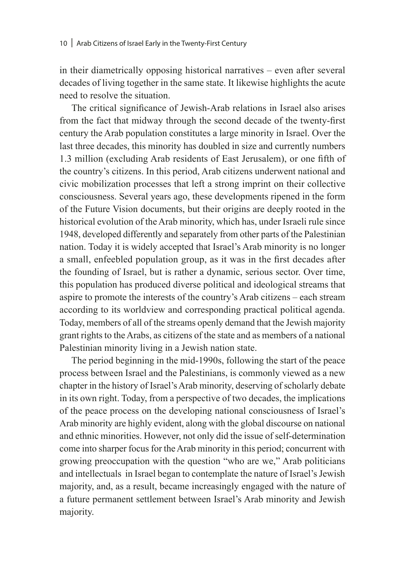in their diametrically opposing historical narratives – even after several decades of living together in the same state. It likewise highlights the acute need to resolve the situation.

The critical significance of Jewish-Arab relations in Israel also arises from the fact that midway through the second decade of the twenty-first century the Arab population constitutes a large minority in Israel. Over the last three decades, this minority has doubled in size and currently numbers 1.3 million (excluding Arab residents of East Jerusalem), or one fifth of the country's citizens. In this period, Arab citizens underwent national and civic mobilization processes that left a strong imprint on their collective consciousness. Several years ago, these developments ripened in the form of the Future Vision documents, but their origins are deeply rooted in the historical evolution of the Arab minority, which has, under Israeli rule since 1948, developed differently and separately from other parts of the Palestinian nation. Today it is widely accepted that Israel's Arab minority is no longer a small, enfeebled population group, as it was in the first decades after the founding of Israel, but is rather a dynamic, serious sector. Over time, this population has produced diverse political and ideological streams that aspire to promote the interests of the country's Arab citizens – each stream according to its worldview and corresponding practical political agenda. Today, members of all of the streams openly demand that the Jewish majority grant rights to the Arabs, as citizens of the state and as members of a national Palestinian minority living in a Jewish nation state.

The period beginning in the mid-1990s, following the start of the peace process between Israel and the Palestinians, is commonly viewed as a new chapter in the history of Israel's Arab minority, deserving of scholarly debate in its own right. Today, from a perspective of two decades, the implications of the peace process on the developing national consciousness of Israel's Arab minority are highly evident, along with the global discourse on national and ethnic minorities. However, not only did the issue of self-determination come into sharper focus for the Arab minority in this period; concurrent with growing preoccupation with the question "who are we," Arab politicians and intellectuals in Israel began to contemplate the nature of Israel's Jewish majority, and, as a result, became increasingly engaged with the nature of a future permanent settlement between Israel's Arab minority and Jewish majority.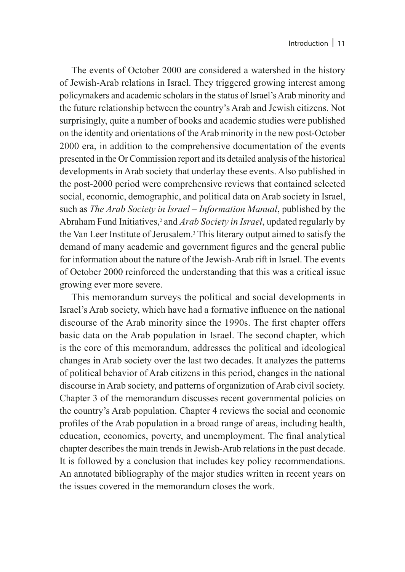The events of October 2000 are considered a watershed in the history of Jewish-Arab relations in Israel. They triggered growing interest among policymakers and academic scholars in the status of Israel's Arab minority and the future relationship between the country's Arab and Jewish citizens. Not surprisingly, quite a number of books and academic studies were published on the identity and orientations of the Arab minority in the new post-October 2000 era, in addition to the comprehensive documentation of the events presented in the Or Commission report and its detailed analysis of the historical developments in Arab society that underlay these events. Also published in the post-2000 period were comprehensive reviews that contained selected social, economic, demographic, and political data on Arab society in Israel, such as *The Arab Society in Israel – Information Manual*, published by the Abraham Fund Initiatives,<sup>2</sup> and *Arab Society in Israel*, updated regularly by the Van Leer Institute of Jerusalem.3 This literary output aimed to satisfy the demand of many academic and government figures and the general public for information about the nature of the Jewish-Arab rift in Israel. The events of October 2000 reinforced the understanding that this was a critical issue growing ever more severe.

This memorandum surveys the political and social developments in Israel's Arab society, which have had a formative influence on the national discourse of the Arab minority since the 1990s. The first chapter offers basic data on the Arab population in Israel. The second chapter, which is the core of this memorandum, addresses the political and ideological changes in Arab society over the last two decades. It analyzes the patterns of political behavior of Arab citizens in this period, changes in the national discourse in Arab society, and patterns of organization of Arab civil society. Chapter 3 of the memorandum discusses recent governmental policies on the country's Arab population. Chapter 4 reviews the social and economic profiles of the Arab population in a broad range of areas, including health, education, economics, poverty, and unemployment. The final analytical chapter describes the main trends in Jewish-Arab relations in the past decade. It is followed by a conclusion that includes key policy recommendations. An annotated bibliography of the major studies written in recent years on the issues covered in the memorandum closes the work.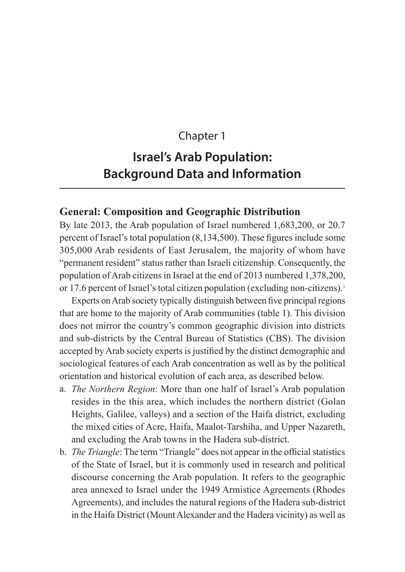#### Chapter 1

### **Israel's Arab Population: Background Data and Information**

#### **General: Composition and Geographic Distribution**

By late 2013, the Arab population of Israel numbered 1,683,200, or 20.7 percent of Israel's total population (8,134,500). These figures include some 305,000 Arab residents of East Jerusalem, the majority of whom have "permanent resident" status rather than Israeli citizenship. Consequently, the population of Arab citizens in Israel at the end of 2013 numbered 1,378,200, or 17.6 percent of Israel's total citizen population (excluding non-citizens).1

Experts on Arab society typically distinguish between five principal regions that are home to the majority of Arab communities (table 1). This division does not mirror the country's common geographic division into districts and sub-districts by the Central Bureau of Statistics (CBS). The division accepted by Arab society experts is justified by the distinct demographic and sociological features of each Arab concentration as well as by the political orientation and historical evolution of each area, as described below.

- a. *The Northern Region*: More than one half of Israel's Arab population resides in the this area, which includes the northern district (Golan Heights, Galilee, valleys) and a section of the Haifa district, excluding the mixed cities of Acre, Haifa, Maalot-Tarshiha, and Upper Nazareth, and excluding the Arab towns in the Hadera sub-district.
- b. *The Triangle*: The term "Triangle" does not appear in the official statistics of the State of Israel, but it is commonly used in research and political discourse concerning the Arab population. It refers to the geographic area annexed to Israel under the 1949 Armistice Agreements (Rhodes Agreements), and includes the natural regions of the Hadera sub-district in the Haifa District (Mount Alexander and the Hadera vicinity) as well as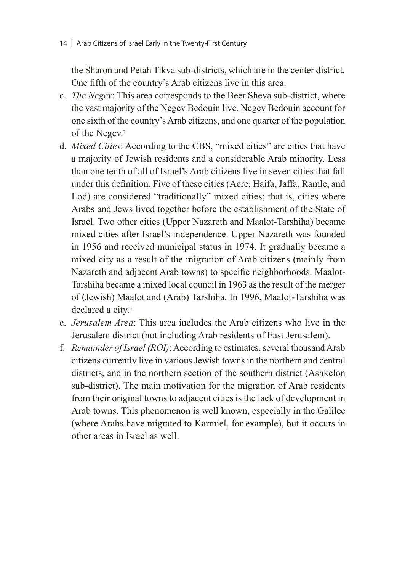the Sharon and Petah Tikva sub-districts, which are in the center district. One fifth of the country's Arab citizens live in this area.

- c. *The Negev*: This area corresponds to the Beer Sheva sub-district, where the vast majority of the Negev Bedouin live. Negev Bedouin account for one sixth of the country's Arab citizens, and one quarter of the population of the Negev.<sup>2</sup>
- d. *Mixed Cities*: According to the CBS, "mixed cities" are cities that have a majority of Jewish residents and a considerable Arab minority. Less than one tenth of all of Israel's Arab citizens live in seven cities that fall under this definition. Five of these cities (Acre, Haifa, Jaffa, Ramle, and Lod) are considered "traditionally" mixed cities; that is, cities where Arabs and Jews lived together before the establishment of the State of Israel. Two other cities (Upper Nazareth and Maalot-Tarshiha) became mixed cities after Israel's independence. Upper Nazareth was founded in 1956 and received municipal status in 1974. It gradually became a mixed city as a result of the migration of Arab citizens (mainly from Nazareth and adjacent Arab towns) to specific neighborhoods. Maalot-Tarshiha became a mixed local council in 1963 as the result of the merger of (Jewish) Maalot and (Arab) Tarshiha. In 1996, Maalot-Tarshiha was declared a city.<sup>3</sup>
- e. *Jerusalem Area*: This area includes the Arab citizens who live in the Jerusalem district (not including Arab residents of East Jerusalem).
- f. *Remainder of Israel (ROI)*: According to estimates, several thousand Arab citizens currently live in various Jewish towns in the northern and central districts, and in the northern section of the southern district (Ashkelon sub-district). The main motivation for the migration of Arab residents from their original towns to adjacent cities is the lack of development in Arab towns. This phenomenon is well known, especially in the Galilee (where Arabs have migrated to Karmiel, for example), but it occurs in other areas in Israel as well.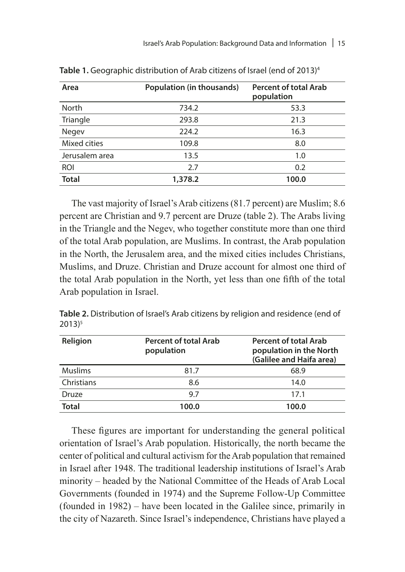| Area           | <b>Population (in thousands)</b> | <b>Percent of total Arab</b><br>population |
|----------------|----------------------------------|--------------------------------------------|
| North          | 734.2                            | 53.3                                       |
| Triangle       | 293.8                            | 21.3                                       |
| Negev          | 224.2                            | 16.3                                       |
| Mixed cities   | 109.8                            | 8.0                                        |
| Jerusalem area | 13.5                             | 1.0                                        |
| <b>ROI</b>     | 2.7                              | 0.2                                        |
| <b>Total</b>   | 1,378.2                          | 100.0                                      |

Table 1. Geographic distribution of Arab citizens of Israel (end of 2013)<sup>4</sup>

The vast majority of Israel's Arab citizens (81.7 percent) are Muslim; 8.6 percent are Christian and 9.7 percent are Druze (table 2). The Arabs living in the Triangle and the Negev, who together constitute more than one third of the total Arab population, are Muslims. In contrast, the Arab population in the North, the Jerusalem area, and the mixed cities includes Christians, Muslims, and Druze. Christian and Druze account for almost one third of the total Arab population in the North, yet less than one fifth of the total Arab population in Israel.

**Table 2.** Distribution of Israel's Arab citizens by religion and residence (end of  $2013$ <sup>5</sup>

| Religion       | <b>Percent of total Arab</b><br>population | <b>Percent of total Arab</b><br>population in the North<br>(Galilee and Haifa area) |
|----------------|--------------------------------------------|-------------------------------------------------------------------------------------|
| <b>Muslims</b> | 81.7                                       | 68.9                                                                                |
| Christians     | 8.6                                        | 14.0                                                                                |
| Druze          | 97                                         | 17.1                                                                                |
| <b>Total</b>   | 100.0                                      | 100.0                                                                               |

These figures are important for understanding the general political orientation of Israel's Arab population. Historically, the north became the center of political and cultural activism for the Arab population that remained in Israel after 1948. The traditional leadership institutions of Israel's Arab minority – headed by the National Committee of the Heads of Arab Local Governments (founded in 1974) and the Supreme Follow-Up Committee (founded in 1982) – have been located in the Galilee since, primarily in the city of Nazareth. Since Israel's independence, Christians have played a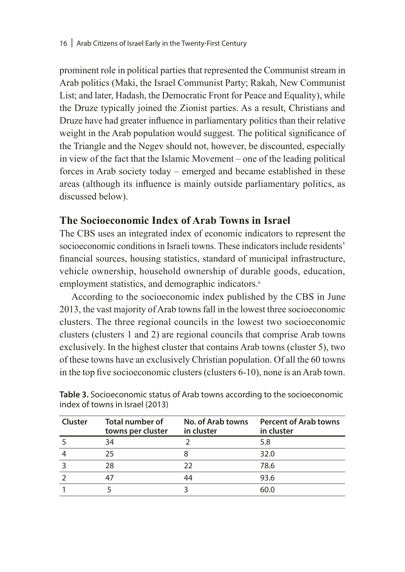prominent role in political parties that represented the Communist stream in Arab politics (Maki, the Israel Communist Party; Rakah, New Communist List; and later, Hadash, the Democratic Front for Peace and Equality), while the Druze typically joined the Zionist parties. As a result, Christians and Druze have had greater influence in parliamentary politics than their relative weight in the Arab population would suggest. The political significance of the Triangle and the Negev should not, however, be discounted, especially in view of the fact that the Islamic Movement – one of the leading political forces in Arab society today – emerged and became established in these areas (although its influence is mainly outside parliamentary politics, as discussed below).

#### **The Socioeconomic Index of Arab Towns in Israel**

The CBS uses an integrated index of economic indicators to represent the socioeconomic conditions in Israeli towns. These indicators include residents' financial sources, housing statistics, standard of municipal infrastructure, vehicle ownership, household ownership of durable goods, education, employment statistics, and demographic indicators.<sup>6</sup>

According to the socioeconomic index published by the CBS in June 2013, the vast majority of Arab towns fall in the lowest three socioeconomic clusters. The three regional councils in the lowest two socioeconomic clusters (clusters 1 and 2) are regional councils that comprise Arab towns exclusively. In the highest cluster that contains Arab towns (cluster 5), two of these towns have an exclusively Christian population. Of all the 60 towns in the top five socioeconomic clusters (clusters 6-10), none is an Arab town.

| Cluster | Total number of<br>towns per cluster | No. of Arab towns<br>in cluster | <b>Percent of Arab towns</b><br>in cluster |
|---------|--------------------------------------|---------------------------------|--------------------------------------------|
|         | 34                                   |                                 | 5.8                                        |
|         | 25                                   |                                 | 32.0                                       |
|         | 28                                   | フフ                              | 78.6                                       |
|         |                                      | 44                              | 93.6                                       |
|         |                                      |                                 | 60.0                                       |

**Table 3.** Socioeconomic status of Arab towns according to the socioeconomic index of towns in Israel (2013)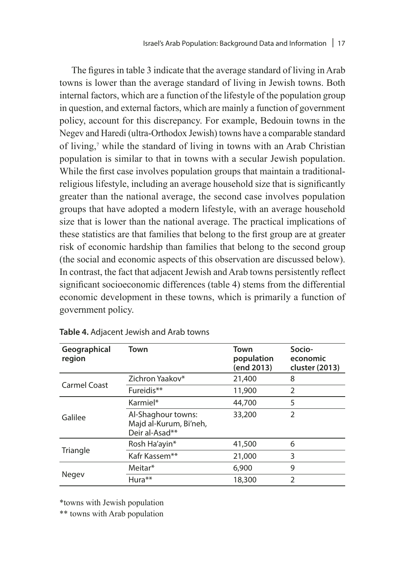The figures in table 3 indicate that the average standard of living in Arab towns is lower than the average standard of living in Jewish towns. Both internal factors, which are a function of the lifestyle of the population group in question, and external factors, which are mainly a function of government policy, account for this discrepancy. For example, Bedouin towns in the Negev and Haredi (ultra-Orthodox Jewish) towns have a comparable standard of living,<sup>7</sup> while the standard of living in towns with an Arab Christian population is similar to that in towns with a secular Jewish population. While the first case involves population groups that maintain a traditionalreligious lifestyle, including an average household size that is significantly greater than the national average, the second case involves population groups that have adopted a modern lifestyle, with an average household size that is lower than the national average. The practical implications of these statistics are that families that belong to the first group are at greater risk of economic hardship than families that belong to the second group (the social and economic aspects of this observation are discussed below). In contrast, the fact that adjacent Jewish and Arab towns persistently reflect significant socioeconomic differences (table 4) stems from the differential economic development in these towns, which is primarily a function of government policy.

| Geographical<br>region | Town                                                           | Town<br>population<br>(end 2013) | Socio-<br>economic<br>cluster (2013) |
|------------------------|----------------------------------------------------------------|----------------------------------|--------------------------------------|
| Carmel Coast           | Zichron Yaakov*                                                | 21,400                           | 8                                    |
|                        | Fureidis**                                                     | 11,900                           | 2                                    |
| Galilee                | Karmiel*                                                       | 44,700                           | 5                                    |
|                        | Al-Shaghour towns:<br>Majd al-Kurum, Bi'neh,<br>Deir al-Asad** | 33,200                           | $\mathfrak{D}$                       |
|                        | Rosh Ha'ayin*                                                  | 41,500                           | 6                                    |
| Triangle               | Kafr Kassem**                                                  | 21,000                           | 3                                    |
|                        | Meitar*                                                        | 6,900                            | 9                                    |
| <b>Negev</b>           | Hura**                                                         | 18,300                           | $\mathfrak{D}$                       |

\*towns with Jewish population

\*\* towns with Arab population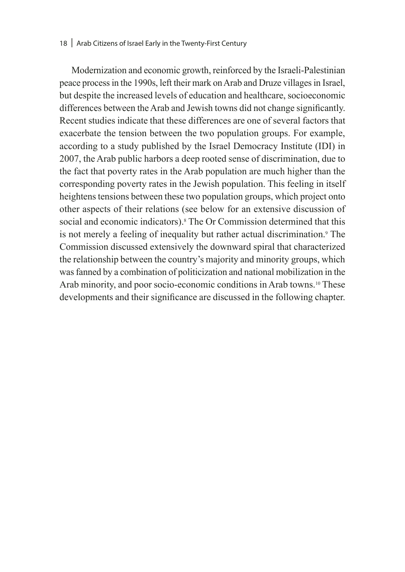#### 18 | Arab Citizens of Israel Early in the Twenty-First Century

Modernization and economic growth, reinforced by the Israeli-Palestinian peace process in the 1990s, left their mark on Arab and Druze villages in Israel, but despite the increased levels of education and healthcare, socioeconomic differences between the Arab and Jewish towns did not change significantly. Recent studies indicate that these differences are one of several factors that exacerbate the tension between the two population groups. For example, according to a study published by the Israel Democracy Institute (IDI) in 2007, the Arab public harbors a deep rooted sense of discrimination, due to the fact that poverty rates in the Arab population are much higher than the corresponding poverty rates in the Jewish population. This feeling in itself heightens tensions between these two population groups, which project onto other aspects of their relations (see below for an extensive discussion of social and economic indicators).<sup>8</sup> The Or Commission determined that this is not merely a feeling of inequality but rather actual discrimination.<sup>9</sup> The Commission discussed extensively the downward spiral that characterized the relationship between the country's majority and minority groups, which was fanned by a combination of politicization and national mobilization in the Arab minority, and poor socio-economic conditions in Arab towns.<sup>10</sup> These developments and their significance are discussed in the following chapter.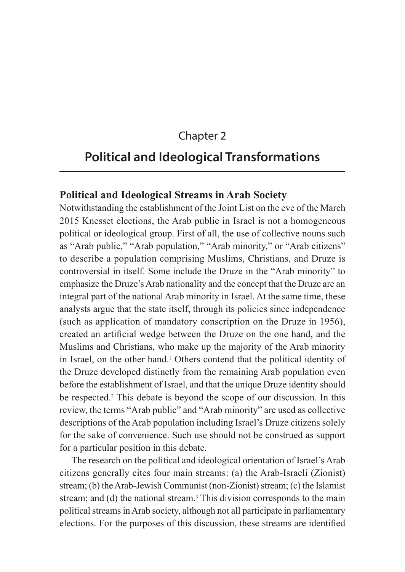#### Chapter 2

#### **Political and Ideological Transformations**

#### **Political and Ideological Streams in Arab Society**

Notwithstanding the establishment of the Joint List on the eve of the March 2015 Knesset elections, the Arab public in Israel is not a homogeneous political or ideological group. First of all, the use of collective nouns such as "Arab public," "Arab population," "Arab minority," or "Arab citizens" to describe a population comprising Muslims, Christians, and Druze is controversial in itself. Some include the Druze in the "Arab minority" to emphasize the Druze's Arab nationality and the concept that the Druze are an integral part of the national Arab minority in Israel. At the same time, these analysts argue that the state itself, through its policies since independence (such as application of mandatory conscription on the Druze in 1956), created an artificial wedge between the Druze on the one hand, and the Muslims and Christians, who make up the majority of the Arab minority in Israel, on the other hand.<sup>1</sup> Others contend that the political identity of the Druze developed distinctly from the remaining Arab population even before the establishment of Israel, and that the unique Druze identity should be respected.2 This debate is beyond the scope of our discussion. In this review, the terms "Arab public" and "Arab minority" are used as collective descriptions of the Arab population including Israel's Druze citizens solely for the sake of convenience. Such use should not be construed as support for a particular position in this debate.

The research on the political and ideological orientation of Israel's Arab citizens generally cites four main streams: (a) the Arab-Israeli (Zionist) stream; (b) the Arab-Jewish Communist (non-Zionist) stream; (c) the Islamist stream; and (d) the national stream.<sup>3</sup> This division corresponds to the main political streams in Arab society, although not all participate in parliamentary elections. For the purposes of this discussion, these streams are identified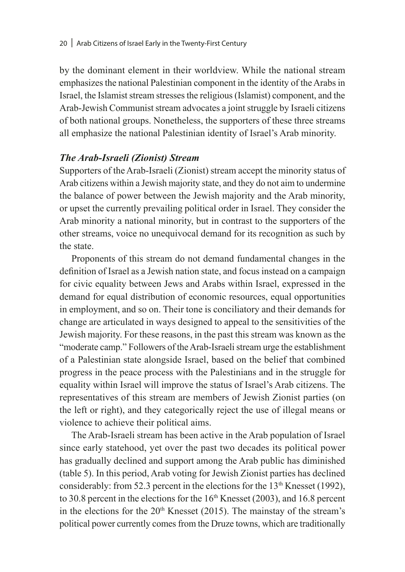by the dominant element in their worldview. While the national stream emphasizes the national Palestinian component in the identity of the Arabs in Israel, the Islamist stream stresses the religious (Islamist) component, and the Arab-Jewish Communist stream advocates a joint struggle by Israeli citizens of both national groups. Nonetheless, the supporters of these three streams all emphasize the national Palestinian identity of Israel's Arab minority.

#### *The Arab-Israeli (Zionist) Stream*

Supporters of the Arab-Israeli (Zionist) stream accept the minority status of Arab citizens within a Jewish majority state, and they do not aim to undermine the balance of power between the Jewish majority and the Arab minority, or upset the currently prevailing political order in Israel. They consider the Arab minority a national minority, but in contrast to the supporters of the other streams, voice no unequivocal demand for its recognition as such by the state.

Proponents of this stream do not demand fundamental changes in the definition of Israel as a Jewish nation state, and focus instead on a campaign for civic equality between Jews and Arabs within Israel, expressed in the demand for equal distribution of economic resources, equal opportunities in employment, and so on. Their tone is conciliatory and their demands for change are articulated in ways designed to appeal to the sensitivities of the Jewish majority. For these reasons, in the past this stream was known as the "moderate camp." Followers of the Arab-Israeli stream urge the establishment of a Palestinian state alongside Israel, based on the belief that combined progress in the peace process with the Palestinians and in the struggle for equality within Israel will improve the status of Israel's Arab citizens. The representatives of this stream are members of Jewish Zionist parties (on the left or right), and they categorically reject the use of illegal means or violence to achieve their political aims.

The Arab-Israeli stream has been active in the Arab population of Israel since early statehood, yet over the past two decades its political power has gradually declined and support among the Arab public has diminished (table 5). In this period, Arab voting for Jewish Zionist parties has declined considerably: from 52.3 percent in the elections for the  $13<sup>th</sup>$  Knesset (1992), to 30.8 percent in the elections for the  $16<sup>th</sup>$  Knesset (2003), and 16.8 percent in the elections for the  $20<sup>th</sup>$  Knesset (2015). The mainstay of the stream's political power currently comes from the Druze towns, which are traditionally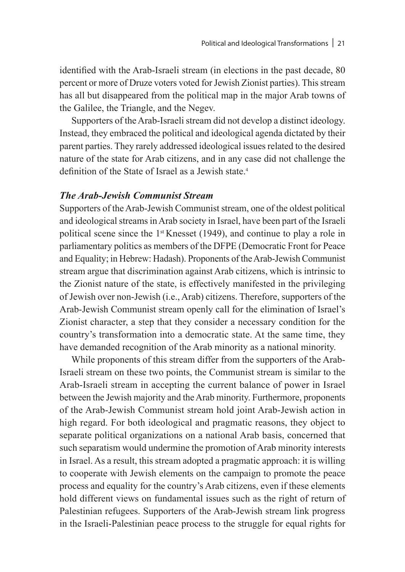identified with the Arab-Israeli stream (in elections in the past decade, 80 percent or more of Druze voters voted for Jewish Zionist parties). This stream has all but disappeared from the political map in the major Arab towns of the Galilee, the Triangle, and the Negev.

Supporters of the Arab-Israeli stream did not develop a distinct ideology. Instead, they embraced the political and ideological agenda dictated by their parent parties. They rarely addressed ideological issues related to the desired nature of the state for Arab citizens, and in any case did not challenge the definition of the State of Israel as a Jewish state.<sup>4</sup>

#### *The Arab-Jewish Communist Stream*

Supporters of the Arab-Jewish Communist stream, one of the oldest political and ideological streams in Arab society in Israel, have been part of the Israeli political scene since the 1st Knesset (1949), and continue to play a role in parliamentary politics as members of the DFPE (Democratic Front for Peace and Equality; in Hebrew: Hadash). Proponents of the Arab-Jewish Communist stream argue that discrimination against Arab citizens, which is intrinsic to the Zionist nature of the state, is effectively manifested in the privileging of Jewish over non-Jewish (i.e., Arab) citizens. Therefore, supporters of the Arab-Jewish Communist stream openly call for the elimination of Israel's Zionist character, a step that they consider a necessary condition for the country's transformation into a democratic state. At the same time, they have demanded recognition of the Arab minority as a national minority.

While proponents of this stream differ from the supporters of the Arab-Israeli stream on these two points, the Communist stream is similar to the Arab-Israeli stream in accepting the current balance of power in Israel between the Jewish majority and the Arab minority. Furthermore, proponents of the Arab-Jewish Communist stream hold joint Arab-Jewish action in high regard. For both ideological and pragmatic reasons, they object to separate political organizations on a national Arab basis, concerned that such separatism would undermine the promotion of Arab minority interests in Israel. As a result, this stream adopted a pragmatic approach: it is willing to cooperate with Jewish elements on the campaign to promote the peace process and equality for the country's Arab citizens, even if these elements hold different views on fundamental issues such as the right of return of Palestinian refugees. Supporters of the Arab-Jewish stream link progress in the Israeli-Palestinian peace process to the struggle for equal rights for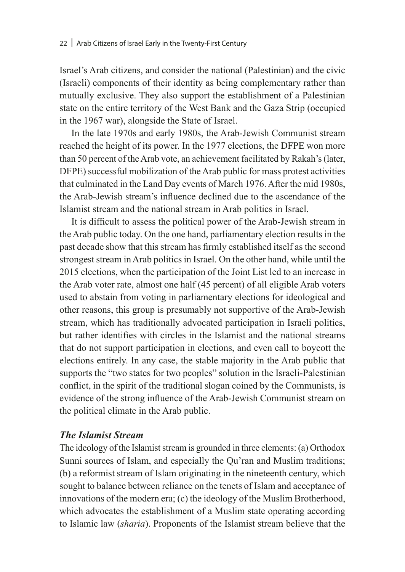Israel's Arab citizens, and consider the national (Palestinian) and the civic (Israeli) components of their identity as being complementary rather than mutually exclusive. They also support the establishment of a Palestinian state on the entire territory of the West Bank and the Gaza Strip (occupied in the 1967 war), alongside the State of Israel.

In the late 1970s and early 1980s, the Arab-Jewish Communist stream reached the height of its power. In the 1977 elections, the DFPE won more than 50 percent of the Arab vote, an achievement facilitated by Rakah's (later, DFPE) successful mobilization of the Arab public for mass protest activities that culminated in the Land Day events of March 1976. After the mid 1980s, the Arab-Jewish stream's influence declined due to the ascendance of the Islamist stream and the national stream in Arab politics in Israel.

It is difficult to assess the political power of the Arab-Jewish stream in the Arab public today. On the one hand, parliamentary election results in the past decade show that this stream has firmly established itself as the second strongest stream in Arab politics in Israel. On the other hand, while until the 2015 elections, when the participation of the Joint List led to an increase in the Arab voter rate, almost one half (45 percent) of all eligible Arab voters used to abstain from voting in parliamentary elections for ideological and other reasons, this group is presumably not supportive of the Arab-Jewish stream, which has traditionally advocated participation in Israeli politics, but rather identifies with circles in the Islamist and the national streams that do not support participation in elections, and even call to boycott the elections entirely. In any case, the stable majority in the Arab public that supports the "two states for two peoples" solution in the Israeli-Palestinian conflict, in the spirit of the traditional slogan coined by the Communists, is evidence of the strong influence of the Arab-Jewish Communist stream on the political climate in the Arab public.

#### *The Islamist Stream*

The ideology of the Islamist stream is grounded in three elements: (a) Orthodox Sunni sources of Islam, and especially the Qu'ran and Muslim traditions; (b) a reformist stream of Islam originating in the nineteenth century, which sought to balance between reliance on the tenets of Islam and acceptance of innovations of the modern era; (c) the ideology of the Muslim Brotherhood, which advocates the establishment of a Muslim state operating according to Islamic law (*sharia*). Proponents of the Islamist stream believe that the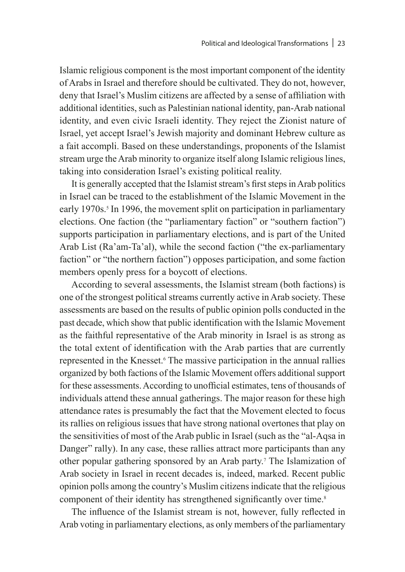Islamic religious component is the most important component of the identity of Arabs in Israel and therefore should be cultivated. They do not, however, deny that Israel's Muslim citizens are affected by a sense of affiliation with additional identities, such as Palestinian national identity, pan-Arab national identity, and even civic Israeli identity. They reject the Zionist nature of Israel, yet accept Israel's Jewish majority and dominant Hebrew culture as a fait accompli. Based on these understandings, proponents of the Islamist stream urge the Arab minority to organize itself along Islamic religious lines, taking into consideration Israel's existing political reality.

It is generally accepted that the Islamist stream's first steps in Arab politics in Israel can be traced to the establishment of the Islamic Movement in the early 1970s.<sup>5</sup> In 1996, the movement split on participation in parliamentary elections. One faction (the "parliamentary faction" or "southern faction") supports participation in parliamentary elections, and is part of the United Arab List (Ra'am-Ta'al), while the second faction ("the ex-parliamentary faction" or "the northern faction") opposes participation, and some faction members openly press for a boycott of elections.

According to several assessments, the Islamist stream (both factions) is one of the strongest political streams currently active in Arab society. These assessments are based on the results of public opinion polls conducted in the past decade, which show that public identification with the Islamic Movement as the faithful representative of the Arab minority in Israel is as strong as the total extent of identification with the Arab parties that are currently represented in the Knesset.<sup>6</sup> The massive participation in the annual rallies organized by both factions of the Islamic Movement offers additional support for these assessments. According to unofficial estimates, tens of thousands of individuals attend these annual gatherings. The major reason for these high attendance rates is presumably the fact that the Movement elected to focus its rallies on religious issues that have strong national overtones that play on the sensitivities of most of the Arab public in Israel (such as the "al-Aqsa in Danger" rally). In any case, these rallies attract more participants than any other popular gathering sponsored by an Arab party.<sup>7</sup> The Islamization of Arab society in Israel in recent decades is, indeed, marked. Recent public opinion polls among the country's Muslim citizens indicate that the religious component of their identity has strengthened significantly over time.<sup>8</sup>

The influence of the Islamist stream is not, however, fully reflected in Arab voting in parliamentary elections, as only members of the parliamentary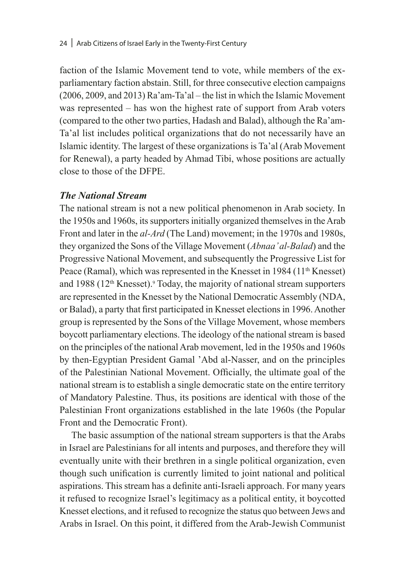#### 24 | Arab Citizens of Israel Early in the Twenty-First Century

faction of the Islamic Movement tend to vote, while members of the exparliamentary faction abstain. Still, for three consecutive election campaigns (2006, 2009, and 2013) Ra'am-Ta'al – the list in which the Islamic Movement was represented – has won the highest rate of support from Arab voters (compared to the other two parties, Hadash and Balad), although the Ra'am-Ta'al list includes political organizations that do not necessarily have an Islamic identity. The largest of these organizations is Ta'al (Arab Movement for Renewal), a party headed by Ahmad Tibi, whose positions are actually close to those of the DFPE.

#### *The National Stream*

The national stream is not a new political phenomenon in Arab society. In the 1950s and 1960s, its supporters initially organized themselves in the Arab Front and later in the *al-Ard* (The Land) movement; in the 1970s and 1980s, they organized the Sons of the Village Movement (*Abnaa' al-Balad*) and the Progressive National Movement, and subsequently the Progressive List for Peace (Ramal), which was represented in the Knesset in 1984 (11<sup>th</sup> Knesset) and 1988 (12<sup>th</sup> Knesset).<sup>9</sup> Today, the majority of national stream supporters are represented in the Knesset by the National Democratic Assembly (NDA, or Balad), a party that first participated in Knesset elections in 1996. Another group is represented by the Sons of the Village Movement, whose members boycott parliamentary elections. The ideology of the national stream is based on the principles of the national Arab movement, led in the 1950s and 1960s by then-Egyptian President Gamal 'Abd al-Nasser, and on the principles of the Palestinian National Movement. Officially, the ultimate goal of the national stream is to establish a single democratic state on the entire territory of Mandatory Palestine. Thus, its positions are identical with those of the Palestinian Front organizations established in the late 1960s (the Popular Front and the Democratic Front).

The basic assumption of the national stream supporters is that the Arabs in Israel are Palestinians for all intents and purposes, and therefore they will eventually unite with their brethren in a single political organization, even though such unification is currently limited to joint national and political aspirations. This stream has a definite anti-Israeli approach. For many years it refused to recognize Israel's legitimacy as a political entity, it boycotted Knesset elections, and it refused to recognize the status quo between Jews and Arabs in Israel. On this point, it differed from the Arab-Jewish Communist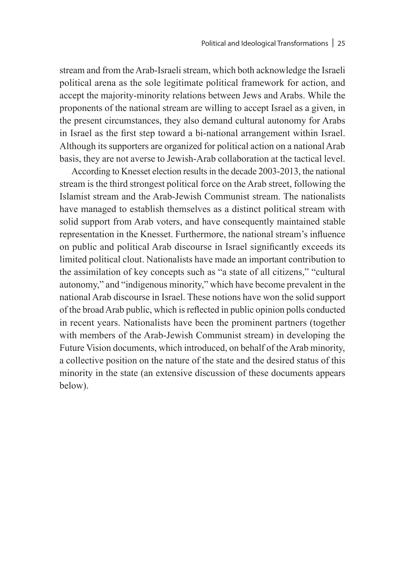stream and from the Arab-Israeli stream, which both acknowledge the Israeli political arena as the sole legitimate political framework for action, and accept the majority-minority relations between Jews and Arabs. While the proponents of the national stream are willing to accept Israel as a given, in the present circumstances, they also demand cultural autonomy for Arabs in Israel as the first step toward a bi-national arrangement within Israel. Although its supporters are organized for political action on a national Arab basis, they are not averse to Jewish-Arab collaboration at the tactical level.

According to Knesset election results in the decade 2003-2013, the national stream is the third strongest political force on the Arab street, following the Islamist stream and the Arab-Jewish Communist stream. The nationalists have managed to establish themselves as a distinct political stream with solid support from Arab voters, and have consequently maintained stable representation in the Knesset. Furthermore, the national stream's influence on public and political Arab discourse in Israel significantly exceeds its limited political clout. Nationalists have made an important contribution to the assimilation of key concepts such as "a state of all citizens," "cultural autonomy," and "indigenous minority," which have become prevalent in the national Arab discourse in Israel. These notions have won the solid support of the broad Arab public, which is reflected in public opinion polls conducted in recent years. Nationalists have been the prominent partners (together with members of the Arab-Jewish Communist stream) in developing the Future Vision documents, which introduced, on behalf of the Arab minority, a collective position on the nature of the state and the desired status of this minority in the state (an extensive discussion of these documents appears below).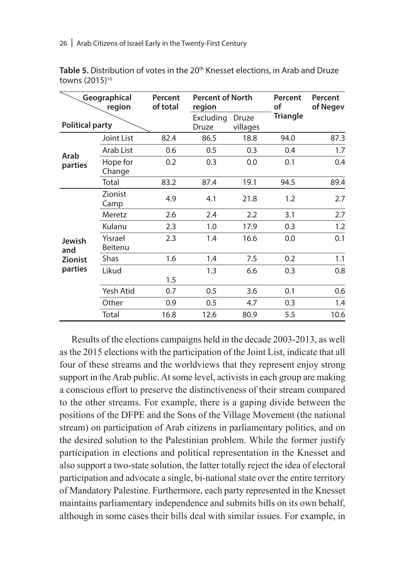| Geographical<br>region |                           | Percent<br>of total | <b>Percent of North</b><br>region |                   | Percent<br>οf   | Percent<br>of Negev |
|------------------------|---------------------------|---------------------|-----------------------------------|-------------------|-----------------|---------------------|
| <b>Political party</b> |                           |                     | Excluding<br>Druze                | Druze<br>villages | <b>Triangle</b> |                     |
|                        | Joint List                | 82.4                | 86.5                              | 18.8              | 94.0            | 87.3                |
|                        | Arab List                 | 0.6                 | 0.5                               | 0.3               | 0.4             | 1.7                 |
| Arab<br>parties        | Hope for<br>Change        | 0.2                 | 0.3                               | 0.0               | 0.1             | 0.4                 |
|                        | Total                     | 83.2                | 87.4                              | 19.1              | 94.5            | 89.4                |
| Jewish<br>and          | Zionist<br>Camp           | 4.9                 | 4.1                               | 21.8              | 1.2             | 2.7                 |
|                        | Meretz                    | 2.6                 | 2.4                               | 2.2               | 3.1             | 2.7                 |
|                        | Kulanu                    | 2.3                 | 1.0                               | 17.9              | 0.3             | 1.2                 |
|                        | Yisrael<br><b>Beitenu</b> | 2.3                 | 1.4                               | 16.6              | 0.0             | 0.1                 |
| <b>Zionist</b>         | Shas                      | 1.6                 | 1.4                               | 7.5               | 0.2             | 1.1                 |
| parties                | Likud                     | 1.5                 | 1.3                               | 6.6               | 0.3             | 0.8                 |
|                        | Yesh Atid                 | 0.7                 | 0.5                               | 3.6               | 0.1             | 0.6                 |
|                        | Other                     | 0.9                 | 0.5                               | 4.7               | 0.3             | 1.4                 |
|                        | Total                     | 16.8                | 12.6                              | 80.9              | 5.5             | 10.6                |

**Table 5.** Distribution of votes in the 20th Knesset elections, in Arab and Druze towns (2015)10

Results of the elections campaigns held in the decade 2003-2013, as well as the 2015 elections with the participation of the Joint List, indicate that all four of these streams and the worldviews that they represent enjoy strong support in the Arab public. At some level, activists in each group are making a conscious effort to preserve the distinctiveness of their stream compared to the other streams. For example, there is a gaping divide between the positions of the DFPE and the Sons of the Village Movement (the national stream) on participation of Arab citizens in parliamentary politics, and on the desired solution to the Palestinian problem. While the former justify participation in elections and political representation in the Knesset and also support a two-state solution, the latter totally reject the idea of electoral participation and advocate a single, bi-national state over the entire territory of Mandatory Palestine. Furthermore, each party represented in the Knesset maintains parliamentary independence and submits bills on its own behalf, although in some cases their bills deal with similar issues. For example, in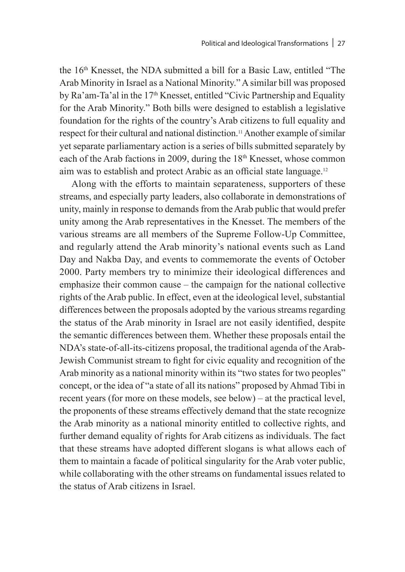the 16<sup>th</sup> Knesset, the NDA submitted a bill for a Basic Law, entitled "The Arab Minority in Israel as a National Minority." A similar bill was proposed by Ra'am-Ta'al in the 17<sup>th</sup> Knesset, entitled "Civic Partnership and Equality for the Arab Minority." Both bills were designed to establish a legislative foundation for the rights of the country's Arab citizens to full equality and respect for their cultural and national distinction.<sup>11</sup> Another example of similar yet separate parliamentary action is a series of bills submitted separately by each of the Arab factions in 2009, during the  $18<sup>th</sup>$  Knesset, whose common aim was to establish and protect Arabic as an official state language.<sup>12</sup>

Along with the efforts to maintain separateness, supporters of these streams, and especially party leaders, also collaborate in demonstrations of unity, mainly in response to demands from the Arab public that would prefer unity among the Arab representatives in the Knesset. The members of the various streams are all members of the Supreme Follow-Up Committee, and regularly attend the Arab minority's national events such as Land Day and Nakba Day, and events to commemorate the events of October 2000. Party members try to minimize their ideological differences and emphasize their common cause – the campaign for the national collective rights of the Arab public. In effect, even at the ideological level, substantial differences between the proposals adopted by the various streams regarding the status of the Arab minority in Israel are not easily identified, despite the semantic differences between them. Whether these proposals entail the NDA's state-of-all-its-citizens proposal, the traditional agenda of the Arab-Jewish Communist stream to fight for civic equality and recognition of the Arab minority as a national minority within its "two states for two peoples" concept, or the idea of "a state of all its nations" proposed by Ahmad Tibi in recent years (for more on these models, see below) – at the practical level, the proponents of these streams effectively demand that the state recognize the Arab minority as a national minority entitled to collective rights, and further demand equality of rights for Arab citizens as individuals. The fact that these streams have adopted different slogans is what allows each of them to maintain a facade of political singularity for the Arab voter public, while collaborating with the other streams on fundamental issues related to the status of Arab citizens in Israel.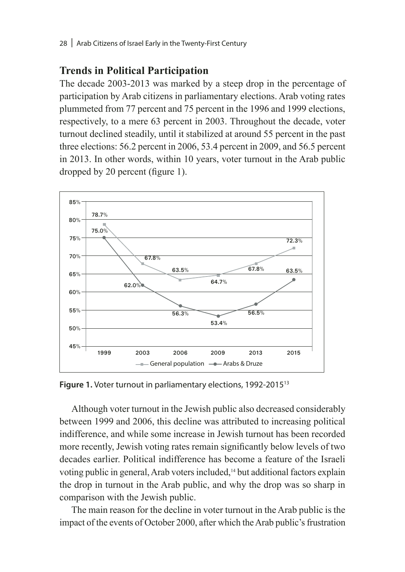#### **Trends in Political Participation**

The decade 2003-2013 was marked by a steep drop in the percentage of participation by Arab citizens in parliamentary elections. Arab voting rates plummeted from 77 percent and 75 percent in the 1996 and 1999 elections, respectively, to a mere 63 percent in 2003. Throughout the decade, voter turnout declined steadily, until it stabilized at around 55 percent in the past three elections: 56.2 percent in 2006, 53.4 percent in 2009, and 56.5 percent in 2013. In other words, within 10 years, voter turnout in the Arab public dropped by 20 percent (figure 1).



**Figure 1.** Voter turnout in parliamentary elections, 1992-201513

Although voter turnout in the Jewish public also decreased considerably between 1999 and 2006, this decline was attributed to increasing political indifference, and while some increase in Jewish turnout has been recorded more recently, Jewish voting rates remain significantly below levels of two decades earlier. Political indifference has become a feature of the Israeli voting public in general, Arab voters included,14 but additional factors explain the drop in turnout in the Arab public, and why the drop was so sharp in comparison with the Jewish public.

The main reason for the decline in voter turnout in the Arab public is the impact of the events of October 2000, after which the Arab public's frustration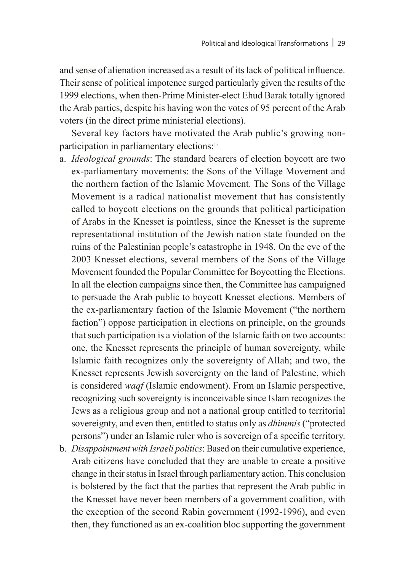and sense of alienation increased as a result of its lack of political influence. Their sense of political impotence surged particularly given the results of the 1999 elections, when then-Prime Minister-elect Ehud Barak totally ignored the Arab parties, despite his having won the votes of 95 percent of the Arab voters (in the direct prime ministerial elections).

Several key factors have motivated the Arab public's growing nonparticipation in parliamentary elections:<sup>15</sup>

- a. *Ideological grounds*: The standard bearers of election boycott are two ex-parliamentary movements: the Sons of the Village Movement and the northern faction of the Islamic Movement. The Sons of the Village Movement is a radical nationalist movement that has consistently called to boycott elections on the grounds that political participation of Arabs in the Knesset is pointless, since the Knesset is the supreme representational institution of the Jewish nation state founded on the ruins of the Palestinian people's catastrophe in 1948. On the eve of the 2003 Knesset elections, several members of the Sons of the Village Movement founded the Popular Committee for Boycotting the Elections. In all the election campaigns since then, the Committee has campaigned to persuade the Arab public to boycott Knesset elections. Members of the ex-parliamentary faction of the Islamic Movement ("the northern faction") oppose participation in elections on principle, on the grounds that such participation is a violation of the Islamic faith on two accounts: one, the Knesset represents the principle of human sovereignty, while Islamic faith recognizes only the sovereignty of Allah; and two, the Knesset represents Jewish sovereignty on the land of Palestine, which is considered *waqf* (Islamic endowment). From an Islamic perspective, recognizing such sovereignty is inconceivable since Islam recognizes the Jews as a religious group and not a national group entitled to territorial sovereignty, and even then, entitled to status only as *dhimmis* ("protected persons") under an Islamic ruler who is sovereign of a specific territory.
- b. *Disappointment with Israeli politics*: Based on their cumulative experience, Arab citizens have concluded that they are unable to create a positive change in their status in Israel through parliamentary action. This conclusion is bolstered by the fact that the parties that represent the Arab public in the Knesset have never been members of a government coalition, with the exception of the second Rabin government (1992-1996), and even then, they functioned as an ex-coalition bloc supporting the government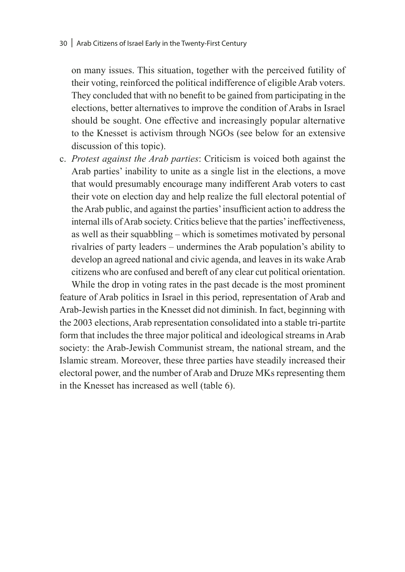on many issues. This situation, together with the perceived futility of their voting, reinforced the political indifference of eligible Arab voters. They concluded that with no benefit to be gained from participating in the elections, better alternatives to improve the condition of Arabs in Israel should be sought. One effective and increasingly popular alternative to the Knesset is activism through NGOs (see below for an extensive discussion of this topic).

c. *Protest against the Arab parties*: Criticism is voiced both against the Arab parties' inability to unite as a single list in the elections, a move that would presumably encourage many indifferent Arab voters to cast their vote on election day and help realize the full electoral potential of the Arab public, and against the parties' insufficient action to address the internal ills of Arab society. Critics believe that the parties' ineffectiveness, as well as their squabbling – which is sometimes motivated by personal rivalries of party leaders – undermines the Arab population's ability to develop an agreed national and civic agenda, and leaves in its wake Arab citizens who are confused and bereft of any clear cut political orientation.

While the drop in voting rates in the past decade is the most prominent feature of Arab politics in Israel in this period, representation of Arab and Arab-Jewish parties in the Knesset did not diminish. In fact, beginning with the 2003 elections, Arab representation consolidated into a stable tri-partite form that includes the three major political and ideological streams in Arab society: the Arab-Jewish Communist stream, the national stream, and the Islamic stream. Moreover, these three parties have steadily increased their electoral power, and the number of Arab and Druze MKs representing them in the Knesset has increased as well (table 6).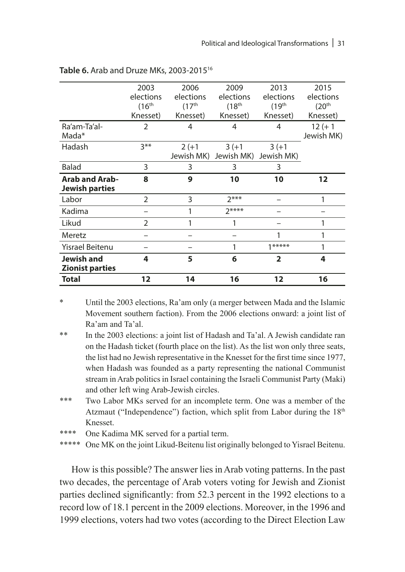|                        | 2003                | 2006                | 2009                  | 2013                    | 2015                |
|------------------------|---------------------|---------------------|-----------------------|-------------------------|---------------------|
|                        | elections           | elections           | elections             | elections               | elections           |
|                        | (16 <sup>th</sup> ) | (17 <sup>th</sup> ) | (18 <sup>th</sup> )   | (19 <sup>th</sup> )     | (20 <sup>th</sup> ) |
|                        | Knesset)            | Knesset)            | Knesset)              | Knesset)                | Knesset)            |
| Ra'am-Ta'al-           | $\overline{2}$      | 4                   | 4                     | 4                       | $12 (+ 1)$          |
| Mada*                  |                     |                     |                       |                         | Jewish MK)          |
| Hadash                 | $3***$              | $2(+1)$             | $3(+1)$               | $3(+1)$                 |                     |
|                        |                     |                     | Jewish MK) Jewish MK) | Jewish MK)              |                     |
| Balad                  | 3                   | 3                   | 3                     | 3                       |                     |
| <b>Arab and Arab-</b>  | 8                   | 9                   | 10                    | 10                      | $12 \overline{ }$   |
| <b>Jewish parties</b>  |                     |                     |                       |                         |                     |
| Labor                  | $\overline{2}$      | 3                   | $7***$                |                         |                     |
| Kadima                 |                     | 1                   | $7***$                |                         |                     |
| Likud                  | $\overline{2}$      | 1                   | 1                     |                         | 1                   |
| Meretz                 |                     |                     |                       | 1                       |                     |
| Yisrael Beitenu        |                     |                     |                       | $1*****$                | 1                   |
| Jewish and             | 4                   | 5                   | 6                     | $\overline{\mathbf{2}}$ | 4                   |
| <b>Zionist parties</b> |                     |                     |                       |                         |                     |
| <b>Total</b>           | 12                  | 14                  | 16                    | 12                      | 16                  |

| Table 6. Arab and Druze MKs, 2003-2015 <sup>16</sup> |  |
|------------------------------------------------------|--|
|------------------------------------------------------|--|

\* Until the 2003 elections, Ra'am only (a merger between Mada and the Islamic Movement southern faction). From the 2006 elections onward: a joint list of Ra'am and Ta'al.

\*\* In the 2003 elections: a joint list of Hadash and Ta'al. A Jewish candidate ran on the Hadash ticket (fourth place on the list). As the list won only three seats, the list had no Jewish representative in the Knesset for the first time since 1977, when Hadash was founded as a party representing the national Communist stream in Arab politics in Israel containing the Israeli Communist Party (Maki) and other left wing Arab-Jewish circles.

\*\*\* Two Labor MKs served for an incomplete term. One was a member of the Atzmaut ("Independence") faction, which split from Labor during the 18<sup>th</sup> Knesset.

\*\*\*\* One Kadima MK served for a partial term.<br>\*\*\*\*\* One MK on the joint Likud-Beitenu list orig

One MK on the joint Likud-Beitenu list originally belonged to Yisrael Beitenu.

How is this possible? The answer lies in Arab voting patterns. In the past two decades, the percentage of Arab voters voting for Jewish and Zionist parties declined significantly: from 52.3 percent in the 1992 elections to a record low of 18.1 percent in the 2009 elections. Moreover, in the 1996 and 1999 elections, voters had two votes (according to the Direct Election Law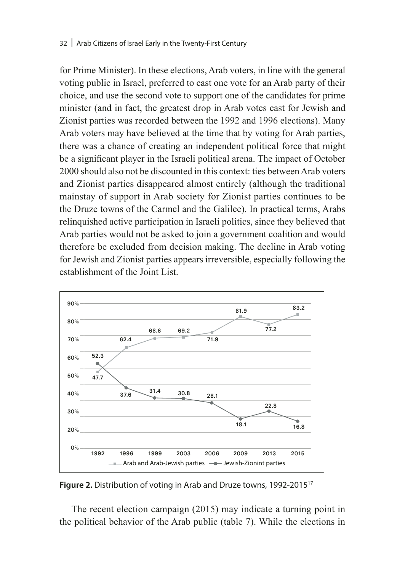#### 32 | Arab Citizens of Israel Early in the Twenty-First Century

for Prime Minister). In these elections, Arab voters, in line with the general voting public in Israel, preferred to cast one vote for an Arab party of their choice, and use the second vote to support one of the candidates for prime minister (and in fact, the greatest drop in Arab votes cast for Jewish and Zionist parties was recorded between the 1992 and 1996 elections). Many Arab voters may have believed at the time that by voting for Arab parties, there was a chance of creating an independent political force that might be a significant player in the Israeli political arena. The impact of October 2000 should also not be discounted in this context: ties between Arab voters and Zionist parties disappeared almost entirely (although the traditional mainstay of support in Arab society for Zionist parties continues to be the Druze towns of the Carmel and the Galilee). In practical terms, Arabs relinquished active participation in Israeli politics, since they believed that Arab parties would not be asked to join a government coalition and would therefore be excluded from decision making. The decline in Arab voting for Jewish and Zionist parties appears irreversible, especially following the establishment of the Joint List.



**Figure 2.** Distribution of voting in Arab and Druze towns, 1992-201517

The recent election campaign (2015) may indicate a turning point in the political behavior of the Arab public (table 7). While the elections in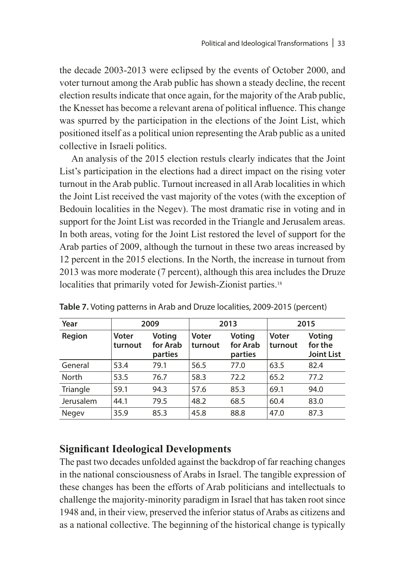the decade 2003-2013 were eclipsed by the events of October 2000, and voter turnout among the Arab public has shown a steady decline, the recent election results indicate that once again, for the majority of the Arab public, the Knesset has become a relevant arena of political influence. This change was spurred by the participation in the elections of the Joint List, which positioned itself as a political union representing the Arab public as a united collective in Israeli politics.

An analysis of the 2015 election restuls clearly indicates that the Joint List's participation in the elections had a direct impact on the rising voter turnout in the Arab public. Turnout increased in all Arab localities in which the Joint List received the vast majority of the votes (with the exception of Bedouin localities in the Negev). The most dramatic rise in voting and in support for the Joint List was recorded in the Triangle and Jerusalem areas. In both areas, voting for the Joint List restored the level of support for the Arab parties of 2009, although the turnout in these two areas increased by 12 percent in the 2015 elections. In the North, the increase in turnout from 2013 was more moderate (7 percent), although this area includes the Druze localities that primarily voted for Jewish-Zionist parties.<sup>18</sup>

| Year      | 2009             |                               | 2013             |                               | 2015             |                                               |
|-----------|------------------|-------------------------------|------------------|-------------------------------|------------------|-----------------------------------------------|
| Region    | Voter<br>turnout | Voting<br>for Arab<br>parties | Voter<br>turnout | Voting<br>for Arab<br>parties | Voter<br>turnout | <b>Voting</b><br>for the<br><b>Joint List</b> |
| General   | 53.4             | 79.1                          | 56.5             | 77.0                          | 63.5             | 82.4                                          |
| North     | 53.5             | 76.7                          | 58.3             | 72.2                          | 65.2             | 77.2                                          |
| Triangle  | 59.1             | 94.3                          | 57.6             | 85.3                          | 69.1             | 94.0                                          |
| Jerusalem | 44.1             | 79.5                          | 48.2             | 68.5                          | 60.4             | 83.0                                          |
| Negev     | 35.9             | 85.3                          | 45.8             | 88.8                          | 47.0             | 87.3                                          |

**Table 7.** Voting patterns in Arab and Druze localities, 2009-2015 (percent)

#### **Significant Ideological Developments**

The past two decades unfolded against the backdrop of far reaching changes in the national consciousness of Arabs in Israel. The tangible expression of these changes has been the efforts of Arab politicians and intellectuals to challenge the majority-minority paradigm in Israel that has taken root since 1948 and, in their view, preserved the inferior status of Arabs as citizens and as a national collective. The beginning of the historical change is typically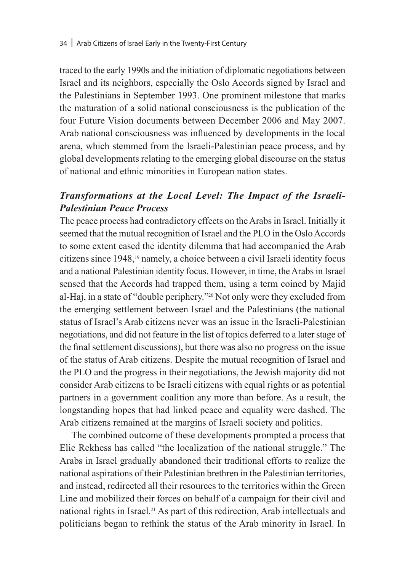traced to the early 1990s and the initiation of diplomatic negotiations between Israel and its neighbors, especially the Oslo Accords signed by Israel and the Palestinians in September 1993. One prominent milestone that marks the maturation of a solid national consciousness is the publication of the four Future Vision documents between December 2006 and May 2007. Arab national consciousness was influenced by developments in the local arena, which stemmed from the Israeli-Palestinian peace process, and by global developments relating to the emerging global discourse on the status of national and ethnic minorities in European nation states.

#### *Transformations at the Local Level: The Impact of the Israeli-Palestinian Peace Process*

The peace process had contradictory effects on the Arabs in Israel. Initially it seemed that the mutual recognition of Israel and the PLO in the Oslo Accords to some extent eased the identity dilemma that had accompanied the Arab citizens since 1948,19 namely, a choice between a civil Israeli identity focus and a national Palestinian identity focus. However, in time, the Arabs in Israel sensed that the Accords had trapped them, using a term coined by Majid al-Haj, in a state of "double periphery."20 Not only were they excluded from the emerging settlement between Israel and the Palestinians (the national status of Israel's Arab citizens never was an issue in the Israeli-Palestinian negotiations, and did not feature in the list of topics deferred to a later stage of the final settlement discussions), but there was also no progress on the issue of the status of Arab citizens. Despite the mutual recognition of Israel and the PLO and the progress in their negotiations, the Jewish majority did not consider Arab citizens to be Israeli citizens with equal rights or as potential partners in a government coalition any more than before. As a result, the longstanding hopes that had linked peace and equality were dashed. The Arab citizens remained at the margins of Israeli society and politics.

The combined outcome of these developments prompted a process that Elie Rekhess has called "the localization of the national struggle." The Arabs in Israel gradually abandoned their traditional efforts to realize the national aspirations of their Palestinian brethren in the Palestinian territories, and instead, redirected all their resources to the territories within the Green Line and mobilized their forces on behalf of a campaign for their civil and national rights in Israel.21 As part of this redirection, Arab intellectuals and politicians began to rethink the status of the Arab minority in Israel. In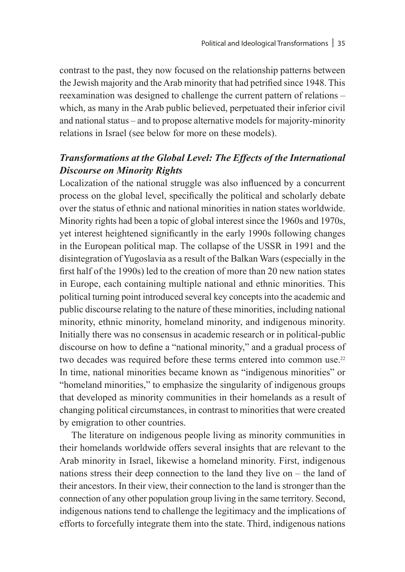contrast to the past, they now focused on the relationship patterns between the Jewish majority and the Arab minority that had petrified since 1948. This reexamination was designed to challenge the current pattern of relations – which, as many in the Arab public believed, perpetuated their inferior civil and national status – and to propose alternative models for majority-minority relations in Israel (see below for more on these models).

# *Transformations at the Global Level: The Effects of the International Discourse on Minority Rights*

Localization of the national struggle was also influenced by a concurrent process on the global level, specifically the political and scholarly debate over the status of ethnic and national minorities in nation states worldwide. Minority rights had been a topic of global interest since the 1960s and 1970s, yet interest heightened significantly in the early 1990s following changes in the European political map. The collapse of the USSR in 1991 and the disintegration of Yugoslavia as a result of the Balkan Wars (especially in the first half of the 1990s) led to the creation of more than 20 new nation states in Europe, each containing multiple national and ethnic minorities. This political turning point introduced several key concepts into the academic and public discourse relating to the nature of these minorities, including national minority, ethnic minority, homeland minority, and indigenous minority. Initially there was no consensus in academic research or in political-public discourse on how to define a "national minority," and a gradual process of two decades was required before these terms entered into common use.<sup>22</sup> In time, national minorities became known as "indigenous minorities" or "homeland minorities," to emphasize the singularity of indigenous groups that developed as minority communities in their homelands as a result of changing political circumstances, in contrast to minorities that were created by emigration to other countries.

The literature on indigenous people living as minority communities in their homelands worldwide offers several insights that are relevant to the Arab minority in Israel, likewise a homeland minority. First, indigenous nations stress their deep connection to the land they live on – the land of their ancestors. In their view, their connection to the land is stronger than the connection of any other population group living in the same territory. Second, indigenous nations tend to challenge the legitimacy and the implications of efforts to forcefully integrate them into the state. Third, indigenous nations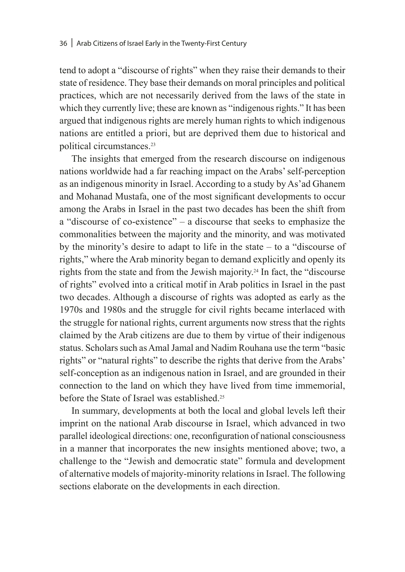tend to adopt a "discourse of rights" when they raise their demands to their state of residence. They base their demands on moral principles and political practices, which are not necessarily derived from the laws of the state in which they currently live; these are known as "indigenous rights." It has been argued that indigenous rights are merely human rights to which indigenous nations are entitled a priori, but are deprived them due to historical and political circumstances.23

The insights that emerged from the research discourse on indigenous nations worldwide had a far reaching impact on the Arabs' self-perception as an indigenous minority in Israel. According to a study by As'ad Ghanem and Mohanad Mustafa, one of the most significant developments to occur among the Arabs in Israel in the past two decades has been the shift from a "discourse of co-existence" – a discourse that seeks to emphasize the commonalities between the majority and the minority, and was motivated by the minority's desire to adapt to life in the state – to a "discourse of rights," where the Arab minority began to demand explicitly and openly its rights from the state and from the Jewish majority.24 In fact, the "discourse of rights" evolved into a critical motif in Arab politics in Israel in the past two decades. Although a discourse of rights was adopted as early as the 1970s and 1980s and the struggle for civil rights became interlaced with the struggle for national rights, current arguments now stress that the rights claimed by the Arab citizens are due to them by virtue of their indigenous status. Scholars such as Amal Jamal and Nadim Rouhana use the term "basic rights" or "natural rights" to describe the rights that derive from the Arabs' self-conception as an indigenous nation in Israel, and are grounded in their connection to the land on which they have lived from time immemorial, before the State of Israel was established.25

In summary, developments at both the local and global levels left their imprint on the national Arab discourse in Israel, which advanced in two parallel ideological directions: one, reconfiguration of national consciousness in a manner that incorporates the new insights mentioned above; two, a challenge to the "Jewish and democratic state" formula and development of alternative models of majority-minority relations in Israel. The following sections elaborate on the developments in each direction.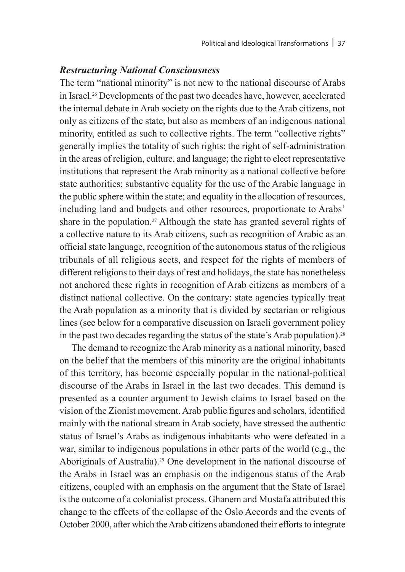#### *Restructuring National Consciousness*

The term "national minority" is not new to the national discourse of Arabs in Israel.26 Developments of the past two decades have, however, accelerated the internal debate in Arab society on the rights due to the Arab citizens, not only as citizens of the state, but also as members of an indigenous national minority, entitled as such to collective rights. The term "collective rights" generally implies the totality of such rights: the right of self-administration in the areas of religion, culture, and language; the right to elect representative institutions that represent the Arab minority as a national collective before state authorities; substantive equality for the use of the Arabic language in the public sphere within the state; and equality in the allocation of resources, including land and budgets and other resources, proportionate to Arabs' share in the population.<sup>27</sup> Although the state has granted several rights of a collective nature to its Arab citizens, such as recognition of Arabic as an official state language, recognition of the autonomous status of the religious tribunals of all religious sects, and respect for the rights of members of different religions to their days of rest and holidays, the state has nonetheless not anchored these rights in recognition of Arab citizens as members of a distinct national collective. On the contrary: state agencies typically treat the Arab population as a minority that is divided by sectarian or religious lines (see below for a comparative discussion on Israeli government policy in the past two decades regarding the status of the state's Arab population).28

The demand to recognize the Arab minority as a national minority, based on the belief that the members of this minority are the original inhabitants of this territory, has become especially popular in the national-political discourse of the Arabs in Israel in the last two decades. This demand is presented as a counter argument to Jewish claims to Israel based on the vision of the Zionist movement. Arab public figures and scholars, identified mainly with the national stream in Arab society, have stressed the authentic status of Israel's Arabs as indigenous inhabitants who were defeated in a war, similar to indigenous populations in other parts of the world (e.g., the Aboriginals of Australia).29 One development in the national discourse of the Arabs in Israel was an emphasis on the indigenous status of the Arab citizens, coupled with an emphasis on the argument that the State of Israel is the outcome of a colonialist process. Ghanem and Mustafa attributed this change to the effects of the collapse of the Oslo Accords and the events of October 2000, after which the Arab citizens abandoned their efforts to integrate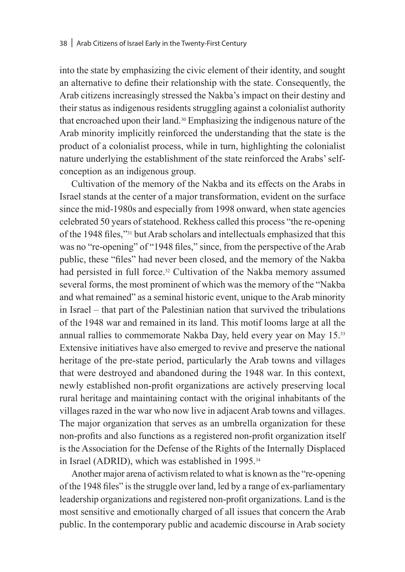into the state by emphasizing the civic element of their identity, and sought an alternative to define their relationship with the state. Consequently, the Arab citizens increasingly stressed the Nakba's impact on their destiny and their status as indigenous residents struggling against a colonialist authority that encroached upon their land.30 Emphasizing the indigenous nature of the Arab minority implicitly reinforced the understanding that the state is the product of a colonialist process, while in turn, highlighting the colonialist nature underlying the establishment of the state reinforced the Arabs' selfconception as an indigenous group.

Cultivation of the memory of the Nakba and its effects on the Arabs in Israel stands at the center of a major transformation, evident on the surface since the mid-1980s and especially from 1998 onward, when state agencies celebrated 50 years of statehood. Rekhess called this process "the re-opening of the 1948 files,"31 but Arab scholars and intellectuals emphasized that this was no "re-opening" of "1948 files," since, from the perspective of the Arab public, these "files" had never been closed, and the memory of the Nakba had persisted in full force.<sup>32</sup> Cultivation of the Nakba memory assumed several forms, the most prominent of which was the memory of the "Nakba and what remained" as a seminal historic event, unique to the Arab minority in Israel – that part of the Palestinian nation that survived the tribulations of the 1948 war and remained in its land. This motif looms large at all the annual rallies to commemorate Nakba Day, held every year on May 15.33 Extensive initiatives have also emerged to revive and preserve the national heritage of the pre-state period, particularly the Arab towns and villages that were destroyed and abandoned during the 1948 war. In this context, newly established non-profit organizations are actively preserving local rural heritage and maintaining contact with the original inhabitants of the villages razed in the war who now live in adjacent Arab towns and villages. The major organization that serves as an umbrella organization for these non-profits and also functions as a registered non-profit organization itself is the Association for the Defense of the Rights of the Internally Displaced in Israel (ADRID), which was established in 1995.34

Another major arena of activism related to what is known as the "re-opening of the 1948 files" is the struggle over land, led by a range of ex-parliamentary leadership organizations and registered non-profit organizations. Land is the most sensitive and emotionally charged of all issues that concern the Arab public. In the contemporary public and academic discourse in Arab society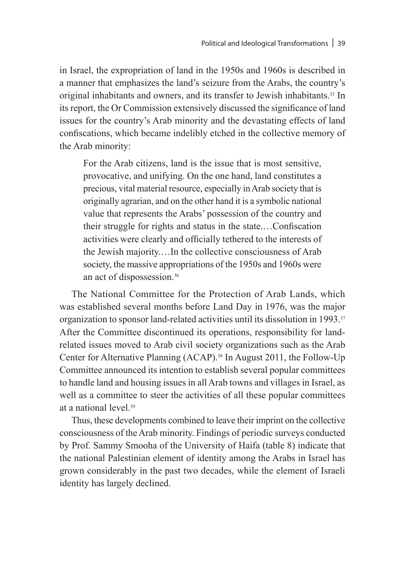in Israel, the expropriation of land in the 1950s and 1960s is described in a manner that emphasizes the land's seizure from the Arabs, the country's original inhabitants and owners, and its transfer to Jewish inhabitants.<sup>35</sup> In its report, the Or Commission extensively discussed the significance of land issues for the country's Arab minority and the devastating effects of land confiscations, which became indelibly etched in the collective memory of the Arab minority:

For the Arab citizens, land is the issue that is most sensitive, provocative, and unifying. On the one hand, land constitutes a precious, vital material resource, especially in Arab society that is originally agrarian, and on the other hand it is a symbolic national value that represents the Arabs' possession of the country and their struggle for rights and status in the state.…Confiscation activities were clearly and officially tethered to the interests of the Jewish majority.…In the collective consciousness of Arab society, the massive appropriations of the 1950s and 1960s were an act of dispossession.36

The National Committee for the Protection of Arab Lands, which was established several months before Land Day in 1976, was the major organization to sponsor land-related activities until its dissolution in 1993.37 After the Committee discontinued its operations, responsibility for landrelated issues moved to Arab civil society organizations such as the Arab Center for Alternative Planning (ACAP).38 In August 2011, the Follow-Up Committee announced its intention to establish several popular committees to handle land and housing issues in all Arab towns and villages in Israel, as well as a committee to steer the activities of all these popular committees at a national level<sup>39</sup>

Thus, these developments combined to leave their imprint on the collective consciousness of the Arab minority. Findings of periodic surveys conducted by Prof. Sammy Smooha of the University of Haifa (table 8) indicate that the national Palestinian element of identity among the Arabs in Israel has grown considerably in the past two decades, while the element of Israeli identity has largely declined.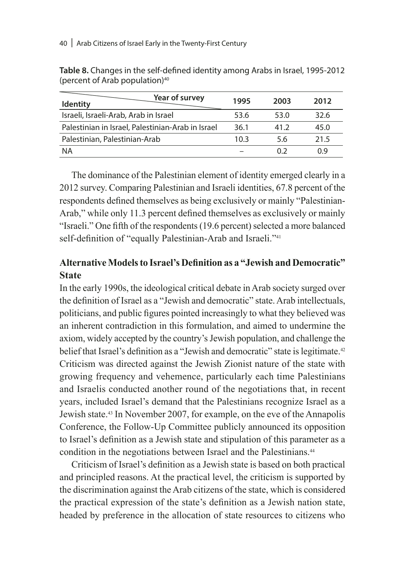| Year of survey<br><b>Identity</b>                 | 1995 | 2003 | 2012 |
|---------------------------------------------------|------|------|------|
| Israeli, Israeli-Arab, Arab in Israel             | 53.6 | 53.0 | 32.6 |
| Palestinian in Israel, Palestinian-Arab in Israel | 36.1 | 41.2 | 45.0 |
| Palestinian, Palestinian-Arab                     | 10.3 | 5.6  | 21.5 |
| <b>NA</b>                                         |      | 0 2  | በ ዓ  |

**Table 8.** Changes in the self-defined identity among Arabs in Israel, 1995-2012 (percent of Arab population)40

The dominance of the Palestinian element of identity emerged clearly in a 2012 survey. Comparing Palestinian and Israeli identities, 67.8 percent of the respondents defined themselves as being exclusively or mainly "Palestinian-Arab," while only 11.3 percent defined themselves as exclusively or mainly "Israeli." One fifth of the respondents (19.6 percent) selected a more balanced self-definition of "equally Palestinian-Arab and Israeli."<sup>41</sup>

# **Alternative Models to Israel's Definition as a "Jewish and Democratic" State**

In the early 1990s, the ideological critical debate in Arab society surged over the definition of Israel as a "Jewish and democratic" state. Arab intellectuals, politicians, and public figures pointed increasingly to what they believed was an inherent contradiction in this formulation, and aimed to undermine the axiom, widely accepted by the country's Jewish population, and challenge the belief that Israel's definition as a "Jewish and democratic" state is legitimate.<sup>42</sup> Criticism was directed against the Jewish Zionist nature of the state with growing frequency and vehemence, particularly each time Palestinians and Israelis conducted another round of the negotiations that, in recent years, included Israel's demand that the Palestinians recognize Israel as a Jewish state.43 In November 2007, for example, on the eve of the Annapolis Conference, the Follow-Up Committee publicly announced its opposition to Israel's definition as a Jewish state and stipulation of this parameter as a condition in the negotiations between Israel and the Palestinians.<sup>44</sup>

Criticism of Israel's definition as a Jewish state is based on both practical and principled reasons. At the practical level, the criticism is supported by the discrimination against the Arab citizens of the state, which is considered the practical expression of the state's definition as a Jewish nation state, headed by preference in the allocation of state resources to citizens who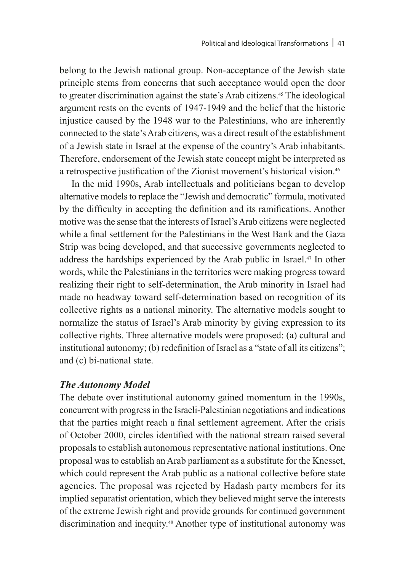belong to the Jewish national group. Non-acceptance of the Jewish state principle stems from concerns that such acceptance would open the door to greater discrimination against the state's Arab citizens.45 The ideological argument rests on the events of 1947-1949 and the belief that the historic injustice caused by the 1948 war to the Palestinians, who are inherently connected to the state's Arab citizens, was a direct result of the establishment of a Jewish state in Israel at the expense of the country's Arab inhabitants. Therefore, endorsement of the Jewish state concept might be interpreted as a retrospective justification of the Zionist movement's historical vision.<sup>46</sup>

In the mid 1990s, Arab intellectuals and politicians began to develop alternative models to replace the "Jewish and democratic" formula, motivated by the difficulty in accepting the definition and its ramifications. Another motive was the sense that the interests of Israel's Arab citizens were neglected while a final settlement for the Palestinians in the West Bank and the Gaza Strip was being developed, and that successive governments neglected to address the hardships experienced by the Arab public in Israel.47 In other words, while the Palestinians in the territories were making progress toward realizing their right to self-determination, the Arab minority in Israel had made no headway toward self-determination based on recognition of its collective rights as a national minority. The alternative models sought to normalize the status of Israel's Arab minority by giving expression to its collective rights. Three alternative models were proposed: (a) cultural and institutional autonomy; (b) redefinition of Israel as a "state of all its citizens"; and (c) bi-national state.

#### *The Autonomy Model*

The debate over institutional autonomy gained momentum in the 1990s, concurrent with progress in the Israeli-Palestinian negotiations and indications that the parties might reach a final settlement agreement. After the crisis of October 2000, circles identified with the national stream raised several proposals to establish autonomous representative national institutions. One proposal was to establish an Arab parliament as a substitute for the Knesset, which could represent the Arab public as a national collective before state agencies. The proposal was rejected by Hadash party members for its implied separatist orientation, which they believed might serve the interests of the extreme Jewish right and provide grounds for continued government discrimination and inequity.48 Another type of institutional autonomy was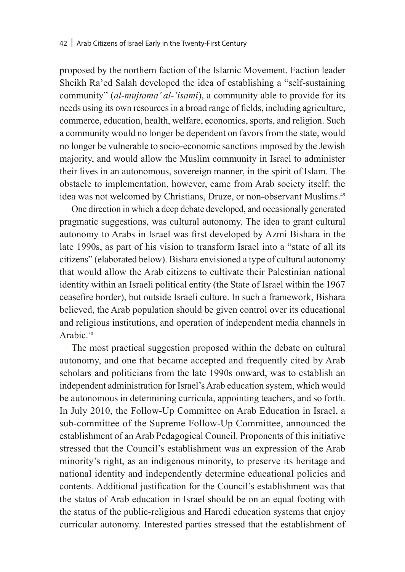proposed by the northern faction of the Islamic Movement. Faction leader Sheikh Ra'ed Salah developed the idea of establishing a "self-sustaining community" (*al-mujtama' al-'isami*), a community able to provide for its needs using its own resources in a broad range of fields, including agriculture, commerce, education, health, welfare, economics, sports, and religion. Such a community would no longer be dependent on favors from the state, would no longer be vulnerable to socio-economic sanctions imposed by the Jewish majority, and would allow the Muslim community in Israel to administer their lives in an autonomous, sovereign manner, in the spirit of Islam. The obstacle to implementation, however, came from Arab society itself: the idea was not welcomed by Christians, Druze, or non-observant Muslims.49

One direction in which a deep debate developed, and occasionally generated pragmatic suggestions, was cultural autonomy. The idea to grant cultural autonomy to Arabs in Israel was first developed by Azmi Bishara in the late 1990s, as part of his vision to transform Israel into a "state of all its citizens" (elaborated below). Bishara envisioned a type of cultural autonomy that would allow the Arab citizens to cultivate their Palestinian national identity within an Israeli political entity (the State of Israel within the 1967 ceasefire border), but outside Israeli culture. In such a framework, Bishara believed, the Arab population should be given control over its educational and religious institutions, and operation of independent media channels in Arabic.<sup>50</sup>

The most practical suggestion proposed within the debate on cultural autonomy, and one that became accepted and frequently cited by Arab scholars and politicians from the late 1990s onward, was to establish an independent administration for Israel's Arab education system, which would be autonomous in determining curricula, appointing teachers, and so forth. In July 2010, the Follow-Up Committee on Arab Education in Israel, a sub-committee of the Supreme Follow-Up Committee, announced the establishment of an Arab Pedagogical Council. Proponents of this initiative stressed that the Council's establishment was an expression of the Arab minority's right, as an indigenous minority, to preserve its heritage and national identity and independently determine educational policies and contents. Additional justification for the Council's establishment was that the status of Arab education in Israel should be on an equal footing with the status of the public-religious and Haredi education systems that enjoy curricular autonomy. Interested parties stressed that the establishment of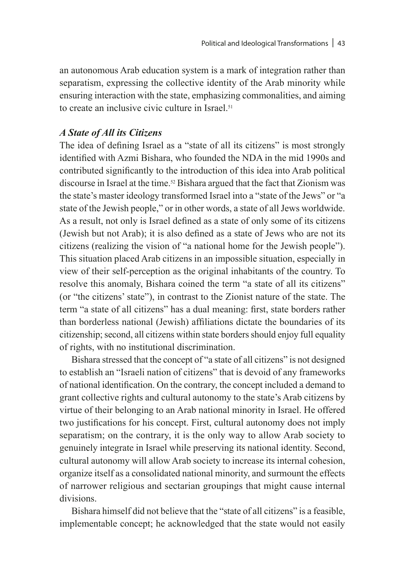an autonomous Arab education system is a mark of integration rather than separatism, expressing the collective identity of the Arab minority while ensuring interaction with the state, emphasizing commonalities, and aiming to create an inclusive civic culture in Israel.<sup>51</sup>

#### *A State of All its Citizens*

The idea of defining Israel as a "state of all its citizens" is most strongly identified with Azmi Bishara, who founded the NDA in the mid 1990s and contributed significantly to the introduction of this idea into Arab political discourse in Israel at the time.<sup>52</sup> Bishara argued that the fact that Zionism was the state's master ideology transformed Israel into a "state of the Jews" or "a state of the Jewish people," or in other words, a state of all Jews worldwide. As a result, not only is Israel defined as a state of only some of its citizens (Jewish but not Arab); it is also defined as a state of Jews who are not its citizens (realizing the vision of "a national home for the Jewish people"). This situation placed Arab citizens in an impossible situation, especially in view of their self-perception as the original inhabitants of the country. To resolve this anomaly, Bishara coined the term "a state of all its citizens" (or "the citizens' state"), in contrast to the Zionist nature of the state. The term "a state of all citizens" has a dual meaning: first, state borders rather than borderless national (Jewish) affiliations dictate the boundaries of its citizenship; second, all citizens within state borders should enjoy full equality of rights, with no institutional discrimination.

Bishara stressed that the concept of "a state of all citizens" is not designed to establish an "Israeli nation of citizens" that is devoid of any frameworks of national identification. On the contrary, the concept included a demand to grant collective rights and cultural autonomy to the state's Arab citizens by virtue of their belonging to an Arab national minority in Israel. He offered two justifications for his concept. First, cultural autonomy does not imply separatism; on the contrary, it is the only way to allow Arab society to genuinely integrate in Israel while preserving its national identity. Second, cultural autonomy will allow Arab society to increase its internal cohesion, organize itself as a consolidated national minority, and surmount the effects of narrower religious and sectarian groupings that might cause internal divisions.

Bishara himself did not believe that the "state of all citizens" is a feasible, implementable concept; he acknowledged that the state would not easily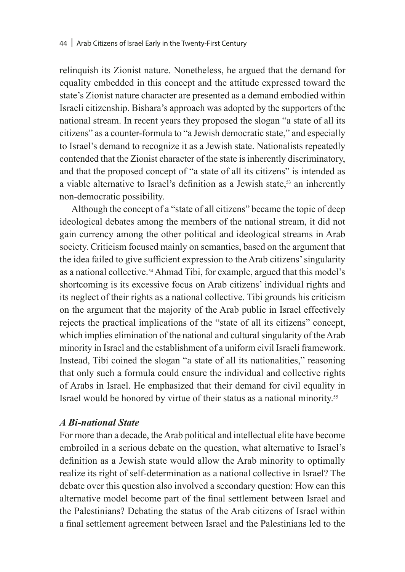relinquish its Zionist nature. Nonetheless, he argued that the demand for equality embedded in this concept and the attitude expressed toward the state's Zionist nature character are presented as a demand embodied within Israeli citizenship. Bishara's approach was adopted by the supporters of the national stream. In recent years they proposed the slogan "a state of all its citizens" as a counter-formula to "a Jewish democratic state," and especially to Israel's demand to recognize it as a Jewish state. Nationalists repeatedly contended that the Zionist character of the state is inherently discriminatory, and that the proposed concept of "a state of all its citizens" is intended as a viable alternative to Israel's definition as a Jewish state,<sup>53</sup> an inherently non-democratic possibility.

Although the concept of a "state of all citizens" became the topic of deep ideological debates among the members of the national stream, it did not gain currency among the other political and ideological streams in Arab society. Criticism focused mainly on semantics, based on the argument that the idea failed to give sufficient expression to the Arab citizens' singularity as a national collective.54 Ahmad Tibi, for example, argued that this model's shortcoming is its excessive focus on Arab citizens' individual rights and its neglect of their rights as a national collective. Tibi grounds his criticism on the argument that the majority of the Arab public in Israel effectively rejects the practical implications of the "state of all its citizens" concept, which implies elimination of the national and cultural singularity of the Arab minority in Israel and the establishment of a uniform civil Israeli framework. Instead, Tibi coined the slogan "a state of all its nationalities," reasoning that only such a formula could ensure the individual and collective rights of Arabs in Israel. He emphasized that their demand for civil equality in Israel would be honored by virtue of their status as a national minority.55

#### *A Bi-national State*

For more than a decade, the Arab political and intellectual elite have become embroiled in a serious debate on the question, what alternative to Israel's definition as a Jewish state would allow the Arab minority to optimally realize its right of self-determination as a national collective in Israel? The debate over this question also involved a secondary question: How can this alternative model become part of the final settlement between Israel and the Palestinians? Debating the status of the Arab citizens of Israel within a final settlement agreement between Israel and the Palestinians led to the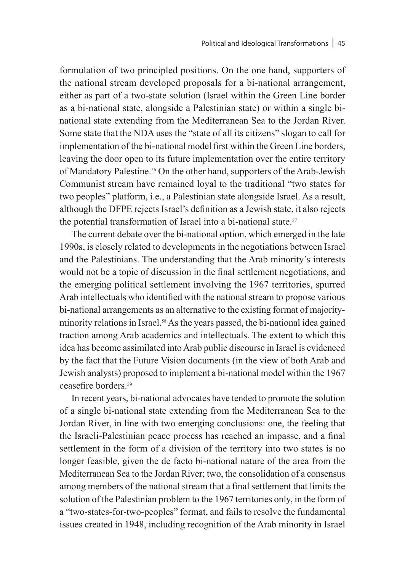formulation of two principled positions. On the one hand, supporters of the national stream developed proposals for a bi-national arrangement, either as part of a two-state solution (Israel within the Green Line border as a bi-national state, alongside a Palestinian state) or within a single binational state extending from the Mediterranean Sea to the Jordan River. Some state that the NDA uses the "state of all its citizens" slogan to call for implementation of the bi-national model first within the Green Line borders, leaving the door open to its future implementation over the entire territory of Mandatory Palestine.56 On the other hand, supporters of the Arab-Jewish Communist stream have remained loyal to the traditional "two states for two peoples" platform, i.e., a Palestinian state alongside Israel. As a result, although the DFPE rejects Israel's definition as a Jewish state, it also rejects the potential transformation of Israel into a bi-national state.<sup>57</sup>

The current debate over the bi-national option, which emerged in the late 1990s, is closely related to developments in the negotiations between Israel and the Palestinians. The understanding that the Arab minority's interests would not be a topic of discussion in the final settlement negotiations, and the emerging political settlement involving the 1967 territories, spurred Arab intellectuals who identified with the national stream to propose various bi-national arrangements as an alternative to the existing format of majorityminority relations in Israel.<sup>58</sup> As the years passed, the bi-national idea gained traction among Arab academics and intellectuals. The extent to which this idea has become assimilated into Arab public discourse in Israel is evidenced by the fact that the Future Vision documents (in the view of both Arab and Jewish analysts) proposed to implement a bi-national model within the 1967 ceasefire borders<sup>59</sup>

In recent years, bi-national advocates have tended to promote the solution of a single bi-national state extending from the Mediterranean Sea to the Jordan River, in line with two emerging conclusions: one, the feeling that the Israeli-Palestinian peace process has reached an impasse, and a final settlement in the form of a division of the territory into two states is no longer feasible, given the de facto bi-national nature of the area from the Mediterranean Sea to the Jordan River; two, the consolidation of a consensus among members of the national stream that a final settlement that limits the solution of the Palestinian problem to the 1967 territories only, in the form of a "two-states-for-two-peoples" format, and fails to resolve the fundamental issues created in 1948, including recognition of the Arab minority in Israel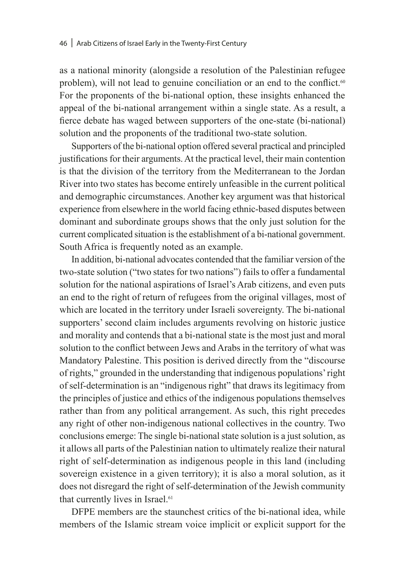as a national minority (alongside a resolution of the Palestinian refugee problem), will not lead to genuine conciliation or an end to the conflict.<sup>60</sup> For the proponents of the bi-national option, these insights enhanced the appeal of the bi-national arrangement within a single state. As a result, a fierce debate has waged between supporters of the one-state (bi-national) solution and the proponents of the traditional two-state solution.

Supporters of the bi-national option offered several practical and principled justifications for their arguments. At the practical level, their main contention is that the division of the territory from the Mediterranean to the Jordan River into two states has become entirely unfeasible in the current political and demographic circumstances. Another key argument was that historical experience from elsewhere in the world facing ethnic-based disputes between dominant and subordinate groups shows that the only just solution for the current complicated situation is the establishment of a bi-national government. South Africa is frequently noted as an example.

In addition, bi-national advocates contended that the familiar version of the two-state solution ("two states for two nations") fails to offer a fundamental solution for the national aspirations of Israel's Arab citizens, and even puts an end to the right of return of refugees from the original villages, most of which are located in the territory under Israeli sovereignty. The bi-national supporters' second claim includes arguments revolving on historic justice and morality and contends that a bi-national state is the most just and moral solution to the conflict between Jews and Arabs in the territory of what was Mandatory Palestine. This position is derived directly from the "discourse of rights," grounded in the understanding that indigenous populations' right of self-determination is an "indigenous right" that draws its legitimacy from the principles of justice and ethics of the indigenous populations themselves rather than from any political arrangement. As such, this right precedes any right of other non-indigenous national collectives in the country. Two conclusions emerge: The single bi-national state solution is a just solution, as it allows all parts of the Palestinian nation to ultimately realize their natural right of self-determination as indigenous people in this land (including sovereign existence in a given territory); it is also a moral solution, as it does not disregard the right of self-determination of the Jewish community that currently lives in Israel.<sup>61</sup>

DFPE members are the staunchest critics of the bi-national idea, while members of the Islamic stream voice implicit or explicit support for the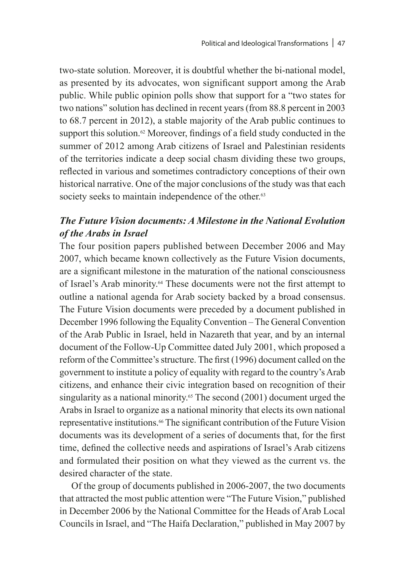two-state solution. Moreover, it is doubtful whether the bi-national model, as presented by its advocates, won significant support among the Arab public. While public opinion polls show that support for a "two states for two nations" solution has declined in recent years (from 88.8 percent in 2003 to 68.7 percent in 2012), a stable majority of the Arab public continues to support this solution.<sup>62</sup> Moreover, findings of a field study conducted in the summer of 2012 among Arab citizens of Israel and Palestinian residents of the territories indicate a deep social chasm dividing these two groups, reflected in various and sometimes contradictory conceptions of their own historical narrative. One of the major conclusions of the study was that each society seeks to maintain independence of the other.<sup>63</sup>

# *The Future Vision documents: A Milestone in the National Evolution of the Arabs in Israel*

The four position papers published between December 2006 and May 2007, which became known collectively as the Future Vision documents, are a significant milestone in the maturation of the national consciousness of Israel's Arab minority.64 These documents were not the first attempt to outline a national agenda for Arab society backed by a broad consensus. The Future Vision documents were preceded by a document published in December 1996 following the Equality Convention – The General Convention of the Arab Public in Israel, held in Nazareth that year, and by an internal document of the Follow-Up Committee dated July 2001, which proposed a reform of the Committee's structure. The first (1996) document called on the government to institute a policy of equality with regard to the country's Arab citizens, and enhance their civic integration based on recognition of their singularity as a national minority.<sup>65</sup> The second (2001) document urged the Arabs in Israel to organize as a national minority that elects its own national representative institutions.66 The significant contribution of the Future Vision documents was its development of a series of documents that, for the first time, defined the collective needs and aspirations of Israel's Arab citizens and formulated their position on what they viewed as the current vs. the desired character of the state.

Of the group of documents published in 2006-2007, the two documents that attracted the most public attention were "The Future Vision," published in December 2006 by the National Committee for the Heads of Arab Local Councils in Israel, and "The Haifa Declaration," published in May 2007 by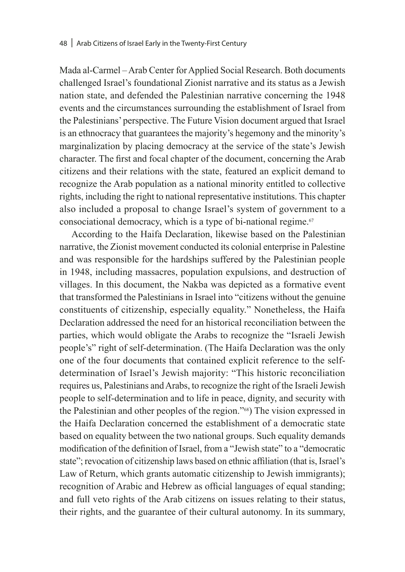Mada al-Carmel – Arab Center for Applied Social Research. Both documents challenged Israel's foundational Zionist narrative and its status as a Jewish nation state, and defended the Palestinian narrative concerning the 1948 events and the circumstances surrounding the establishment of Israel from the Palestinians' perspective. The Future Vision document argued that Israel is an ethnocracy that guarantees the majority's hegemony and the minority's marginalization by placing democracy at the service of the state's Jewish character. The first and focal chapter of the document, concerning the Arab citizens and their relations with the state, featured an explicit demand to recognize the Arab population as a national minority entitled to collective rights, including the right to national representative institutions. This chapter also included a proposal to change Israel's system of government to a consociational democracy, which is a type of bi-national regime. $67$ 

According to the Haifa Declaration, likewise based on the Palestinian narrative, the Zionist movement conducted its colonial enterprise in Palestine and was responsible for the hardships suffered by the Palestinian people in 1948, including massacres, population expulsions, and destruction of villages. In this document, the Nakba was depicted as a formative event that transformed the Palestinians in Israel into "citizens without the genuine constituents of citizenship, especially equality." Nonetheless, the Haifa Declaration addressed the need for an historical reconciliation between the parties, which would obligate the Arabs to recognize the "Israeli Jewish people's" right of self-determination. (The Haifa Declaration was the only one of the four documents that contained explicit reference to the selfdetermination of Israel's Jewish majority: "This historic reconciliation requires us, Palestinians and Arabs, to recognize the right of the Israeli Jewish people to self-determination and to life in peace, dignity, and security with the Palestinian and other peoples of the region."68) The vision expressed in the Haifa Declaration concerned the establishment of a democratic state based on equality between the two national groups. Such equality demands modification of the definition of Israel, from a "Jewish state" to a "democratic state"; revocation of citizenship laws based on ethnic affiliation (that is, Israel's Law of Return, which grants automatic citizenship to Jewish immigrants); recognition of Arabic and Hebrew as official languages of equal standing; and full veto rights of the Arab citizens on issues relating to their status, their rights, and the guarantee of their cultural autonomy. In its summary,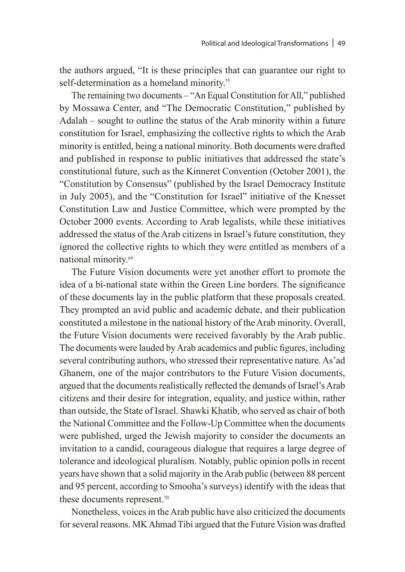the authors argued, "It is these principles that can guarantee our right to self-determination as a homeland minority."

The remaining two documents – "An Equal Constitution for All," published by Mossawa Center, and "The Democratic Constitution," published by Adalah – sought to outline the status of the Arab minority within a future constitution for Israel, emphasizing the collective rights to which the Arab minority is entitled, being a national minority. Both documents were drafted and published in response to public initiatives that addressed the state's constitutional future, such as the Kinneret Convention (October 2001), the "Constitution by Consensus" (published by the Israel Democracy Institute in July 2005), and the "Constitution for Israel" initiative of the Knesset Constitution Law and Justice Committee, which were prompted by the October 2000 events. According to Arab legalists, while these initiatives addressed the status of the Arab citizens in Israel's future constitution, they ignored the collective rights to which they were entitled as members of a national minority.69

The Future Vision documents were yet another effort to promote the idea of a bi-national state within the Green Line borders. The significance of these documents lay in the public platform that these proposals created. They prompted an avid public and academic debate, and their publication constituted a milestone in the national history of the Arab minority. Overall, the Future Vision documents were received favorably by the Arab public. The documents were lauded by Arab academics and public figures, including several contributing authors, who stressed their representative nature. As'ad Ghanem, one of the major contributors to the Future Vision documents, argued that the documents realistically reflected the demands of Israel's Arab citizens and their desire for integration, equality, and justice within, rather than outside, the State of Israel. Shawki Khatib, who served as chair of both the National Committee and the Follow-Up Committee when the documents were published, urged the Jewish majority to consider the documents an invitation to a candid, courageous dialogue that requires a large degree of tolerance and ideological pluralism. Notably, public opinion polls in recent years have shown that a solid majority in the Arab public (between 88 percent and 95 percent, according to Smooha's surveys) identify with the ideas that these documents represent.<sup>70</sup>

Nonetheless, voices in the Arab public have also criticized the documents for several reasons. MK Ahmad Tibi argued that the Future Vision was drafted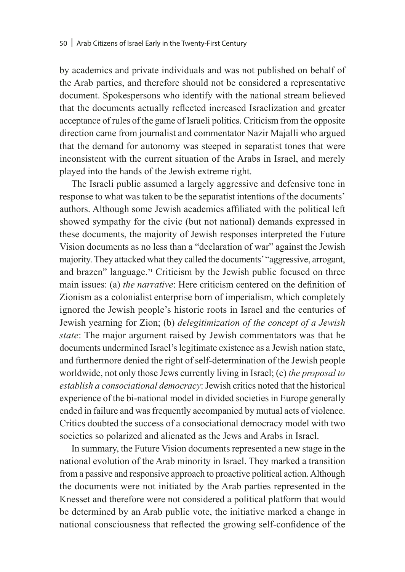by academics and private individuals and was not published on behalf of the Arab parties, and therefore should not be considered a representative document. Spokespersons who identify with the national stream believed that the documents actually reflected increased Israelization and greater acceptance of rules of the game of Israeli politics. Criticism from the opposite direction came from journalist and commentator Nazir Majalli who argued that the demand for autonomy was steeped in separatist tones that were inconsistent with the current situation of the Arabs in Israel, and merely played into the hands of the Jewish extreme right.

The Israeli public assumed a largely aggressive and defensive tone in response to what was taken to be the separatist intentions of the documents' authors. Although some Jewish academics affiliated with the political left showed sympathy for the civic (but not national) demands expressed in these documents, the majority of Jewish responses interpreted the Future Vision documents as no less than a "declaration of war" against the Jewish majority. They attacked what they called the documents' "aggressive, arrogant, and brazen" language.71 Criticism by the Jewish public focused on three main issues: (a) *the narrative*: Here criticism centered on the definition of Zionism as a colonialist enterprise born of imperialism, which completely ignored the Jewish people's historic roots in Israel and the centuries of Jewish yearning for Zion; (b) *delegitimization of the concept of a Jewish state*: The major argument raised by Jewish commentators was that he documents undermined Israel's legitimate existence as a Jewish nation state, and furthermore denied the right of self-determination of the Jewish people worldwide, not only those Jews currently living in Israel; (c) *the proposal to establish a consociational democracy*: Jewish critics noted that the historical experience of the bi-national model in divided societies in Europe generally ended in failure and was frequently accompanied by mutual acts of violence. Critics doubted the success of a consociational democracy model with two societies so polarized and alienated as the Jews and Arabs in Israel.

In summary, the Future Vision documents represented a new stage in the national evolution of the Arab minority in Israel. They marked a transition from a passive and responsive approach to proactive political action. Although the documents were not initiated by the Arab parties represented in the Knesset and therefore were not considered a political platform that would be determined by an Arab public vote, the initiative marked a change in national consciousness that reflected the growing self-confidence of the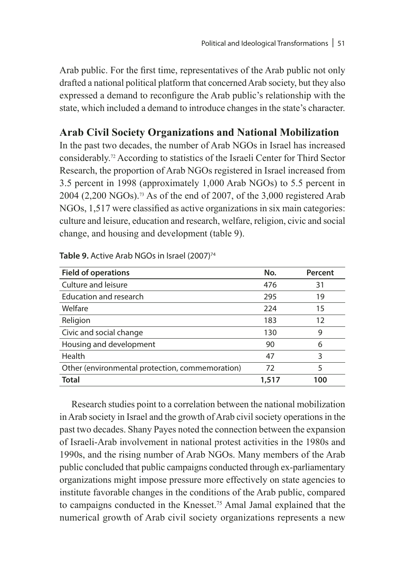Arab public. For the first time, representatives of the Arab public not only drafted a national political platform that concerned Arab society, but they also expressed a demand to reconfigure the Arab public's relationship with the state, which included a demand to introduce changes in the state's character.

# **Arab Civil Society Organizations and National Mobilization**

In the past two decades, the number of Arab NGOs in Israel has increased considerably.72 According to statistics of the Israeli Center for Third Sector Research, the proportion of Arab NGOs registered in Israel increased from 3.5 percent in 1998 (approximately 1,000 Arab NGOs) to 5.5 percent in 2004 (2,200 NGOs).73 As of the end of 2007, of the 3,000 registered Arab NGOs, 1,517 were classified as active organizations in six main categories: culture and leisure, education and research, welfare, religion, civic and social change, and housing and development (table 9).

| <b>Field of operations</b>                      | No.   | Percent |
|-------------------------------------------------|-------|---------|
| Culture and leisure                             | 476   | 31      |
| Education and research                          | 295   | 19      |
| Welfare                                         | 224   | 15      |
| Religion                                        | 183   | 12      |
| Civic and social change                         | 130   | 9       |
| Housing and development                         | 90    | 6       |
| Health                                          | 47    | 3       |
| Other (environmental protection, commemoration) | 72    | 5       |
| <b>Total</b>                                    | 1,517 | 100     |

Table 9. Active Arab NGOs in Israel (2007)<sup>74</sup>

Research studies point to a correlation between the national mobilization in Arab society in Israel and the growth of Arab civil society operations in the past two decades. Shany Payes noted the connection between the expansion of Israeli-Arab involvement in national protest activities in the 1980s and 1990s, and the rising number of Arab NGOs. Many members of the Arab public concluded that public campaigns conducted through ex-parliamentary organizations might impose pressure more effectively on state agencies to institute favorable changes in the conditions of the Arab public, compared to campaigns conducted in the Knesset.75 Amal Jamal explained that the numerical growth of Arab civil society organizations represents a new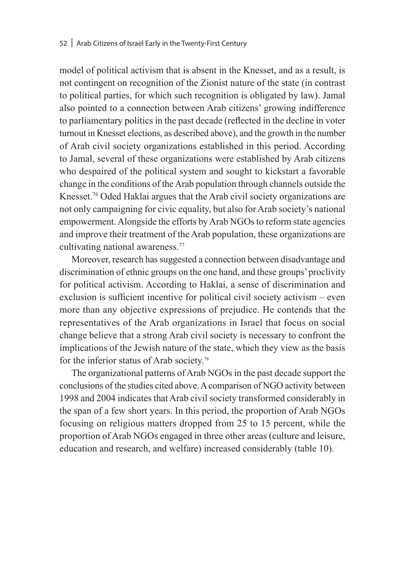#### 52 | Arab Citizens of Israel Early in the Twenty-First Century

model of political activism that is absent in the Knesset, and as a result, is not contingent on recognition of the Zionist nature of the state (in contrast to political parties, for which such recognition is obligated by law). Jamal also pointed to a connection between Arab citizens' growing indifference to parliamentary politics in the past decade (reflected in the decline in voter turnout in Knesset elections, as described above), and the growth in the number of Arab civil society organizations established in this period. According to Jamal, several of these organizations were established by Arab citizens who despaired of the political system and sought to kickstart a favorable change in the conditions of the Arab population through channels outside the Knesset.<sup>76</sup> Oded Haklai argues that the Arab civil society organizations are not only campaigning for civic equality, but also for Arab society's national empowerment. Alongside the efforts by Arab NGOs to reform state agencies and improve their treatment of the Arab population, these organizations are cultivating national awareness.<sup>77</sup>

Moreover, research has suggested a connection between disadvantage and discrimination of ethnic groups on the one hand, and these groups' proclivity for political activism. According to Haklai, a sense of discrimination and exclusion is sufficient incentive for political civil society activism – even more than any objective expressions of prejudice. He contends that the representatives of the Arab organizations in Israel that focus on social change believe that a strong Arab civil society is necessary to confront the implications of the Jewish nature of the state, which they view as the basis for the inferior status of Arab society.78

The organizational patterns of Arab NGOs in the past decade support the conclusions of the studies cited above. A comparison of NGO activity between 1998 and 2004 indicates that Arab civil society transformed considerably in the span of a few short years. In this period, the proportion of Arab NGOs focusing on religious matters dropped from 25 to 15 percent, while the proportion of Arab NGOs engaged in three other areas (culture and leisure, education and research, and welfare) increased considerably (table 10).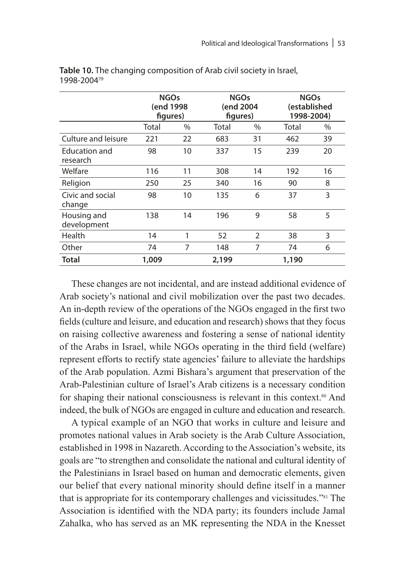|                            | <b>NGOs</b><br>(end 1998<br>figures) |      | <b>NGOs</b><br>(end 2004<br>figures) |                | <b>NGOs</b><br>(established<br>1998-2004) |      |
|----------------------------|--------------------------------------|------|--------------------------------------|----------------|-------------------------------------------|------|
|                            | Total                                | $\%$ | Total                                | $\%$           | Total                                     | $\%$ |
| Culture and leisure        | 221                                  | 22   | 683                                  | 31             | 462                                       | 39   |
| Education and<br>research  | 98                                   | 10   | 337                                  | 15             | 239                                       | 20   |
| Welfare                    | 116                                  | 11   | 308                                  | 14             | 192                                       | 16   |
| Religion                   | 250                                  | 25   | 340                                  | 16             | 90                                        | 8    |
| Civic and social<br>change | 98                                   | 10   | 135                                  | 6              | 37                                        | 3    |
| Housing and<br>development | 138                                  | 14   | 196                                  | 9              | 58                                        | 5    |
| Health                     | 14                                   | 1    | 52                                   | $\overline{2}$ | 38                                        | 3    |
| Other                      | 74                                   | 7    | 148                                  | 7              | 74                                        | 6    |
| Total                      | 1,009                                |      | 2,199                                |                | 1,190                                     |      |

**Table 10.** The changing composition of Arab civil society in Israel, 1998-200479

These changes are not incidental, and are instead additional evidence of Arab society's national and civil mobilization over the past two decades. An in-depth review of the operations of the NGOs engaged in the first two fields (culture and leisure, and education and research) shows that they focus on raising collective awareness and fostering a sense of national identity of the Arabs in Israel, while NGOs operating in the third field (welfare) represent efforts to rectify state agencies' failure to alleviate the hardships of the Arab population. Azmi Bishara's argument that preservation of the Arab-Palestinian culture of Israel's Arab citizens is a necessary condition for shaping their national consciousness is relevant in this context.<sup>80</sup> And indeed, the bulk of NGOs are engaged in culture and education and research.

A typical example of an NGO that works in culture and leisure and promotes national values in Arab society is the Arab Culture Association, established in 1998 in Nazareth. According to the Association's website, its goals are "to strengthen and consolidate the national and cultural identity of the Palestinians in Israel based on human and democratic elements, given our belief that every national minority should define itself in a manner that is appropriate for its contemporary challenges and vicissitudes."81 The Association is identified with the NDA party; its founders include Jamal Zahalka, who has served as an MK representing the NDA in the Knesset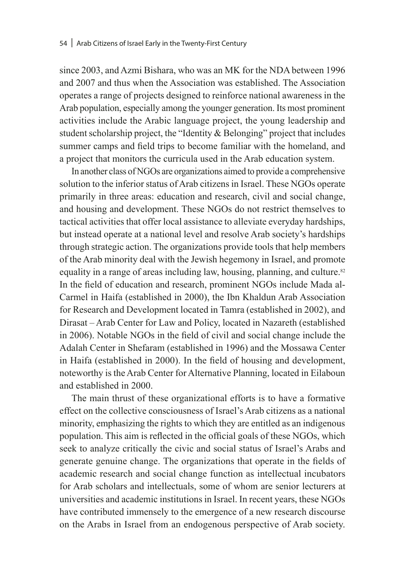since 2003, and Azmi Bishara, who was an MK for the NDA between 1996 and 2007 and thus when the Association was established. The Association operates a range of projects designed to reinforce national awareness in the Arab population, especially among the younger generation. Its most prominent activities include the Arabic language project, the young leadership and student scholarship project, the "Identity & Belonging" project that includes summer camps and field trips to become familiar with the homeland, and a project that monitors the curricula used in the Arab education system.

In another class of NGOs are organizations aimed to provide a comprehensive solution to the inferior status of Arab citizens in Israel. These NGOs operate primarily in three areas: education and research, civil and social change, and housing and development. These NGOs do not restrict themselves to tactical activities that offer local assistance to alleviate everyday hardships, but instead operate at a national level and resolve Arab society's hardships through strategic action. The organizations provide tools that help members of the Arab minority deal with the Jewish hegemony in Israel, and promote equality in a range of areas including law, housing, planning, and culture.<sup>82</sup> In the field of education and research, prominent NGOs include Mada al-Carmel in Haifa (established in 2000), the Ibn Khaldun Arab Association for Research and Development located in Tamra (established in 2002), and Dirasat – Arab Center for Law and Policy, located in Nazareth (established in 2006). Notable NGOs in the field of civil and social change include the Adalah Center in Shefaram (established in 1996) and the Mossawa Center in Haifa (established in 2000). In the field of housing and development, noteworthy is the Arab Center for Alternative Planning, located in Eilaboun and established in 2000.

The main thrust of these organizational efforts is to have a formative effect on the collective consciousness of Israel's Arab citizens as a national minority, emphasizing the rights to which they are entitled as an indigenous population. This aim is reflected in the official goals of these NGOs, which seek to analyze critically the civic and social status of Israel's Arabs and generate genuine change. The organizations that operate in the fields of academic research and social change function as intellectual incubators for Arab scholars and intellectuals, some of whom are senior lecturers at universities and academic institutions in Israel. In recent years, these NGOs have contributed immensely to the emergence of a new research discourse on the Arabs in Israel from an endogenous perspective of Arab society.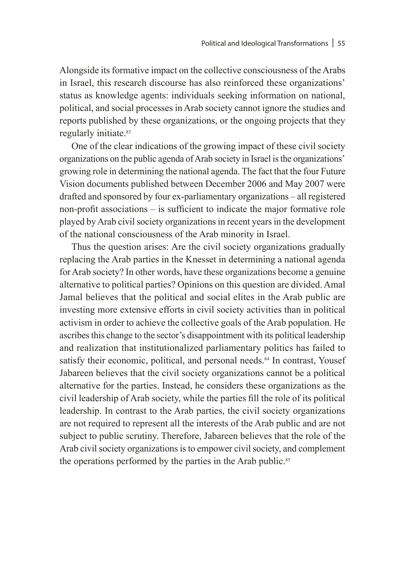Alongside its formative impact on the collective consciousness of the Arabs in Israel, this research discourse has also reinforced these organizations' status as knowledge agents: individuals seeking information on national, political, and social processes in Arab society cannot ignore the studies and reports published by these organizations, or the ongoing projects that they regularly initiate.<sup>83</sup>

One of the clear indications of the growing impact of these civil society organizations on the public agenda of Arab society in Israel is the organizations' growing role in determining the national agenda. The fact that the four Future Vision documents published between December 2006 and May 2007 were drafted and sponsored by four ex-parliamentary organizations – all registered non-profit associations – is sufficient to indicate the major formative role played by Arab civil society organizations in recent years in the development of the national consciousness of the Arab minority in Israel.

Thus the question arises: Are the civil society organizations gradually replacing the Arab parties in the Knesset in determining a national agenda for Arab society? In other words, have these organizations become a genuine alternative to political parties? Opinions on this question are divided. Amal Jamal believes that the political and social elites in the Arab public are investing more extensive efforts in civil society activities than in political activism in order to achieve the collective goals of the Arab population. He ascribes this change to the sector's disappointment with its political leadership and realization that institutionalized parliamentary politics has failed to satisfy their economic, political, and personal needs.<sup>84</sup> In contrast, Yousef Jabareen believes that the civil society organizations cannot be a political alternative for the parties. Instead, he considers these organizations as the civil leadership of Arab society, while the parties fill the role of its political leadership. In contrast to the Arab parties, the civil society organizations are not required to represent all the interests of the Arab public and are not subject to public scrutiny. Therefore, Jabareen believes that the role of the Arab civil society organizations is to empower civil society, and complement the operations performed by the parties in the Arab public.<sup>85</sup>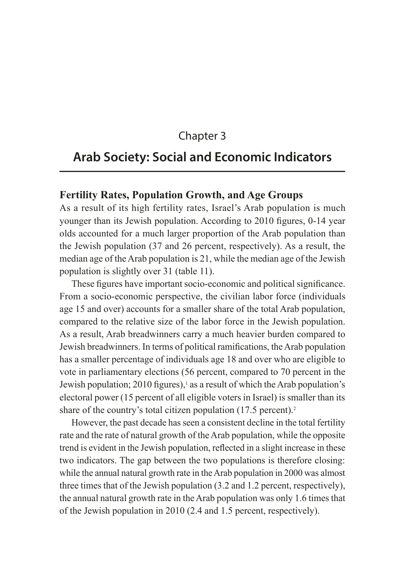# Chapter 3

# **Arab Society: Social and Economic Indicators**

## **Fertility Rates, Population Growth, and Age Groups**

As a result of its high fertility rates, Israel's Arab population is much younger than its Jewish population. According to 2010 figures, 0-14 year olds accounted for a much larger proportion of the Arab population than the Jewish population (37 and 26 percent, respectively). As a result, the median age of the Arab population is 21, while the median age of the Jewish population is slightly over 31 (table 11).

These figures have important socio-economic and political significance. From a socio-economic perspective, the civilian labor force (individuals age 15 and over) accounts for a smaller share of the total Arab population, compared to the relative size of the labor force in the Jewish population. As a result, Arab breadwinners carry a much heavier burden compared to Jewish breadwinners. In terms of political ramifications, the Arab population has a smaller percentage of individuals age 18 and over who are eligible to vote in parliamentary elections (56 percent, compared to 70 percent in the Jewish population; 2010 figures),<sup>1</sup> as a result of which the Arab population's electoral power (15 percent of all eligible voters in Israel) is smaller than its share of the country's total citizen population (17.5 percent).<sup>2</sup>

However, the past decade has seen a consistent decline in the total fertility rate and the rate of natural growth of the Arab population, while the opposite trend is evident in the Jewish population, reflected in a slight increase in these two indicators. The gap between the two populations is therefore closing: while the annual natural growth rate in the Arab population in 2000 was almost three times that of the Jewish population (3.2 and 1.2 percent, respectively), the annual natural growth rate in the Arab population was only 1.6 times that of the Jewish population in 2010 (2.4 and 1.5 percent, respectively).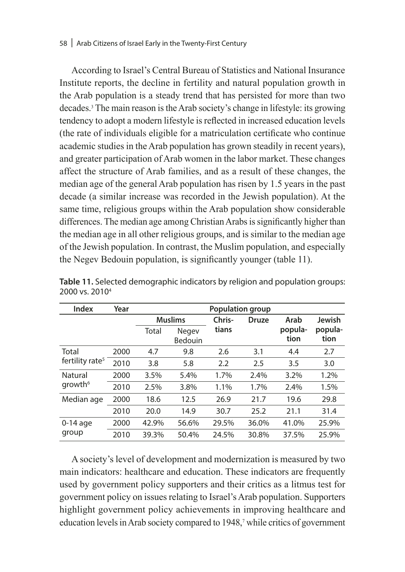#### 58 | Arab Citizens of Israel Early in the Twenty-First Century

According to Israel's Central Bureau of Statistics and National Insurance Institute reports, the decline in fertility and natural population growth in the Arab population is a steady trend that has persisted for more than two decades.3 The main reason is the Arab society's change in lifestyle: its growing tendency to adopt a modern lifestyle is reflected in increased education levels (the rate of individuals eligible for a matriculation certificate who continue academic studies in the Arab population has grown steadily in recent years), and greater participation of Arab women in the labor market. These changes affect the structure of Arab families, and as a result of these changes, the median age of the general Arab population has risen by 1.5 years in the past decade (a similar increase was recorded in the Jewish population). At the same time, religious groups within the Arab population show considerable differences. The median age among Christian Arabs is significantly higher than the median age in all other religious groups, and is similar to the median age of the Jewish population. In contrast, the Muslim population, and especially the Negev Bedouin population, is significantly younger (table 11).

| Index                       | Year | <b>Population group</b> |                  |        |              |                 |                 |
|-----------------------------|------|-------------------------|------------------|--------|--------------|-----------------|-----------------|
|                             |      |                         | <b>Muslims</b>   | Chris- | <b>Druze</b> | Arab            | Jewish          |
|                             |      | Total                   | Negev<br>Bedouin | tians  |              | popula-<br>tion | popula-<br>tion |
| Total                       | 2000 | 4.7                     | 9.8              | 2.6    | 3.1          | 4.4             | 2.7             |
| fertility rate <sup>5</sup> | 2010 | 3.8                     | 5.8              | 2.2    | 2.5          | 3.5             | 3.0             |
| Natural                     | 2000 | 3.5%                    | 5.4%             | 1.7%   | 2.4%         | 3.2%            | 1.2%            |
| growth <sup>6</sup>         | 2010 | 2.5%                    | 3.8%             | 1.1%   | 1.7%         | 2.4%            | 1.5%            |
| Median age                  | 2000 | 18.6                    | 12.5             | 26.9   | 21.7         | 19.6            | 29.8            |
|                             | 2010 | 20.0                    | 14.9             | 30.7   | 25.2         | 21.1            | 31.4            |
| $0-14$ age<br>group         | 2000 | 42.9%                   | 56.6%            | 29.5%  | 36.0%        | 41.0%           | 25.9%           |
|                             | 2010 | 39.3%                   | 50.4%            | 24.5%  | 30.8%        | 37.5%           | 25.9%           |

**Table 11.** Selected demographic indicators by religion and population groups: 2000 vs. 20104

A society's level of development and modernization is measured by two main indicators: healthcare and education. These indicators are frequently used by government policy supporters and their critics as a litmus test for government policy on issues relating to Israel's Arab population. Supporters highlight government policy achievements in improving healthcare and education levels in Arab society compared to 1948,<sup>7</sup> while critics of government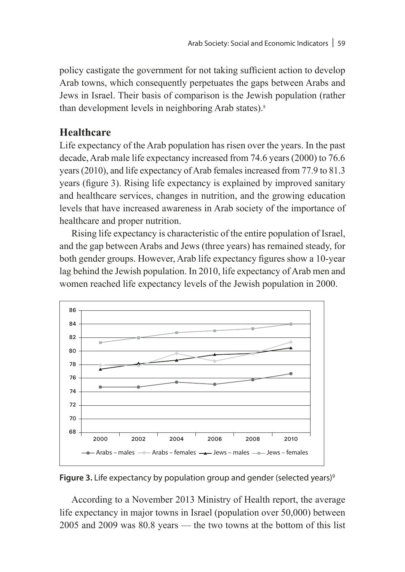policy castigate the government for not taking sufficient action to develop Arab towns, which consequently perpetuates the gaps between Arabs and Jews in Israel. Their basis of comparison is the Jewish population (rather than development levels in neighboring Arab states).8

# **Healthcare**

Life expectancy of the Arab population has risen over the years. In the past decade, Arab male life expectancy increased from 74.6 years (2000) to 76.6 years (2010), and life expectancy of Arab females increased from 77.9 to 81.3 years (figure 3). Rising life expectancy is explained by improved sanitary and healthcare services, changes in nutrition, and the growing education levels that have increased awareness in Arab society of the importance of healthcare and proper nutrition.

Rising life expectancy is characteristic of the entire population of Israel, and the gap between Arabs and Jews (three years) has remained steady, for both gender groups. However, Arab life expectancy figures show a 10-year lag behind the Jewish population. In 2010, life expectancy of Arab men and women reached life expectancy levels of the Jewish population in 2000.



**Figure 3.** Life expectancy by population group and gender (selected years)<sup>9</sup>

According to a November 2013 Ministry of Health report, the average life expectancy in major towns in Israel (population over 50,000) between 2005 and 2009 was 80.8 years — the two towns at the bottom of this list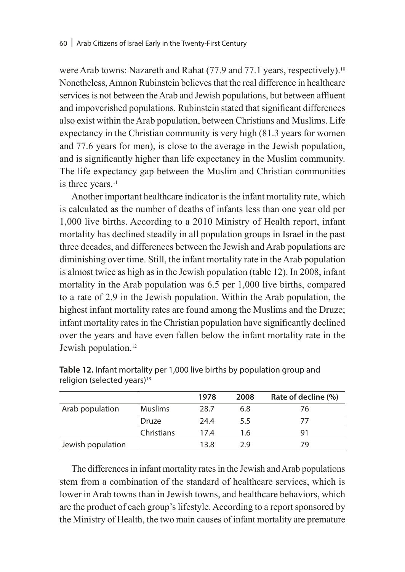were Arab towns: Nazareth and Rahat (77.9 and 77.1 years, respectively).<sup>10</sup> Nonetheless, Amnon Rubinstein believes that the real difference in healthcare services is not between the Arab and Jewish populations, but between affluent and impoverished populations. Rubinstein stated that significant differences also exist within the Arab population, between Christians and Muslims. Life expectancy in the Christian community is very high (81.3 years for women and 77.6 years for men), is close to the average in the Jewish population, and is significantly higher than life expectancy in the Muslim community. The life expectancy gap between the Muslim and Christian communities is three years.<sup>11</sup>

Another important healthcare indicator is the infant mortality rate, which is calculated as the number of deaths of infants less than one year old per 1,000 live births. According to a 2010 Ministry of Health report, infant mortality has declined steadily in all population groups in Israel in the past three decades, and differences between the Jewish and Arab populations are diminishing over time. Still, the infant mortality rate in the Arab population is almost twice as high as in the Jewish population (table 12). In 2008, infant mortality in the Arab population was 6.5 per 1,000 live births, compared to a rate of 2.9 in the Jewish population. Within the Arab population, the highest infant mortality rates are found among the Muslims and the Druze; infant mortality rates in the Christian population have significantly declined over the years and have even fallen below the infant mortality rate in the Jewish population.<sup>12</sup>

|                   |                | 1978 | 2008 | Rate of decline (%) |
|-------------------|----------------|------|------|---------------------|
| Arab population   | <b>Muslims</b> | 28.7 | 6.8  | 76                  |
|                   | Druze          | 24.4 | 5.5  | 77                  |
|                   | Christians     | 174  | 1.6  | 91                  |
| Jewish population |                | 13.8 | 29   | 79                  |

**Table 12.** Infant mortality per 1,000 live births by population group and religion (selected years)<sup>13</sup>

The differences in infant mortality rates in the Jewish and Arab populations stem from a combination of the standard of healthcare services, which is lower in Arab towns than in Jewish towns, and healthcare behaviors, which are the product of each group's lifestyle. According to a report sponsored by the Ministry of Health, the two main causes of infant mortality are premature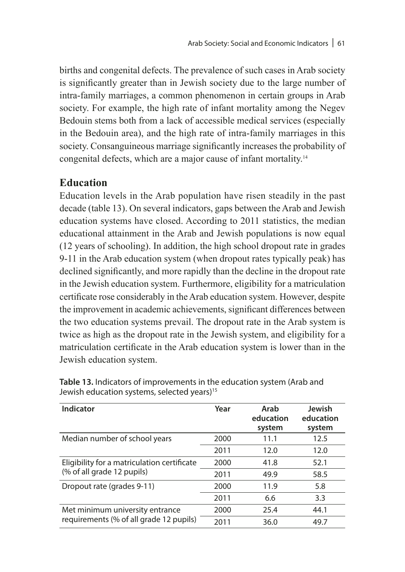births and congenital defects. The prevalence of such cases in Arab society is significantly greater than in Jewish society due to the large number of intra-family marriages, a common phenomenon in certain groups in Arab society. For example, the high rate of infant mortality among the Negev Bedouin stems both from a lack of accessible medical services (especially in the Bedouin area), and the high rate of intra-family marriages in this society. Consanguineous marriage significantly increases the probability of congenital defects, which are a major cause of infant mortality.14

# **Education**

Education levels in the Arab population have risen steadily in the past decade (table 13). On several indicators, gaps between the Arab and Jewish education systems have closed. According to 2011 statistics, the median educational attainment in the Arab and Jewish populations is now equal (12 years of schooling). In addition, the high school dropout rate in grades 9-11 in the Arab education system (when dropout rates typically peak) has declined significantly, and more rapidly than the decline in the dropout rate in the Jewish education system. Furthermore, eligibility for a matriculation certificate rose considerably in the Arab education system. However, despite the improvement in academic achievements, significant differences between the two education systems prevail. The dropout rate in the Arab system is twice as high as the dropout rate in the Jewish system, and eligibility for a matriculation certificate in the Arab education system is lower than in the Jewish education system.

| Indicator                                   | Year | Arab<br>education<br>system | Jewish<br>education<br>system |
|---------------------------------------------|------|-----------------------------|-------------------------------|
| Median number of school years               | 2000 | 11.1                        | 12.5                          |
|                                             | 2011 | 12.0                        | 12.0                          |
| Eligibility for a matriculation certificate | 2000 | 41.8                        | 52.1                          |
| (% of all grade 12 pupils)                  | 2011 | 49.9                        | 58.5                          |
| Dropout rate (grades 9-11)                  | 2000 | 11.9                        | 5.8                           |
|                                             | 2011 | 6.6                         | 3.3                           |
| Met minimum university entrance             | 2000 | 25.4                        | 44.1                          |
| requirements (% of all grade 12 pupils)     | 2011 | 36.0                        | 49.7                          |

**Table 13.** Indicators of improvements in the education system (Arab and Jewish education systems, selected years)<sup>15</sup>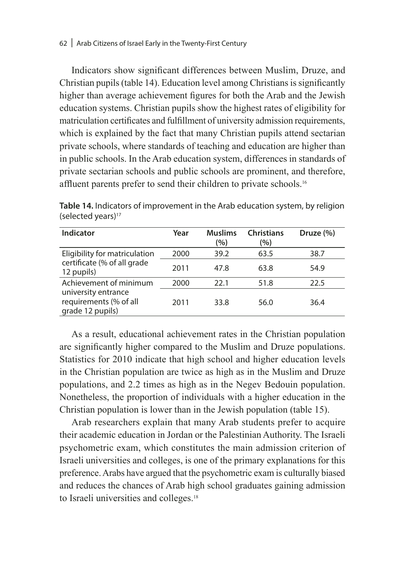Indicators show significant differences between Muslim, Druze, and Christian pupils (table 14). Education level among Christians is significantly higher than average achievement figures for both the Arab and the Jewish education systems. Christian pupils show the highest rates of eligibility for matriculation certificates and fulfillment of university admission requirements, which is explained by the fact that many Christian pupils attend sectarian private schools, where standards of teaching and education are higher than in public schools. In the Arab education system, differences in standards of private sectarian schools and public schools are prominent, and therefore, affluent parents prefer to send their children to private schools.<sup>16</sup>

| Indicator                                                         | Year | <b>Muslims</b><br>(%) | <b>Christians</b><br>(%) | Druze $(\% )$ |
|-------------------------------------------------------------------|------|-----------------------|--------------------------|---------------|
| Eligibility for matriculation                                     | 2000 | 39.2                  | 63.5                     | 38.7          |
| certificate (% of all grade<br>12 pupils)                         | 2011 | 47.8                  | 63.8                     | 54.9          |
| Achievement of minimum                                            | 2000 | 22.1                  | 51.8                     | 22.5          |
| university entrance<br>requirements (% of all<br>grade 12 pupils) | 2011 | 33.8                  | 56.0                     | 36.4          |

**Table 14.** Indicators of improvement in the Arab education system, by religion (selected years)<sup>17</sup>

As a result, educational achievement rates in the Christian population are significantly higher compared to the Muslim and Druze populations. Statistics for 2010 indicate that high school and higher education levels in the Christian population are twice as high as in the Muslim and Druze populations, and 2.2 times as high as in the Negev Bedouin population. Nonetheless, the proportion of individuals with a higher education in the Christian population is lower than in the Jewish population (table 15).

Arab researchers explain that many Arab students prefer to acquire their academic education in Jordan or the Palestinian Authority. The Israeli psychometric exam, which constitutes the main admission criterion of Israeli universities and colleges, is one of the primary explanations for this preference. Arabs have argued that the psychometric exam is culturally biased and reduces the chances of Arab high school graduates gaining admission to Israeli universities and colleges.<sup>18</sup>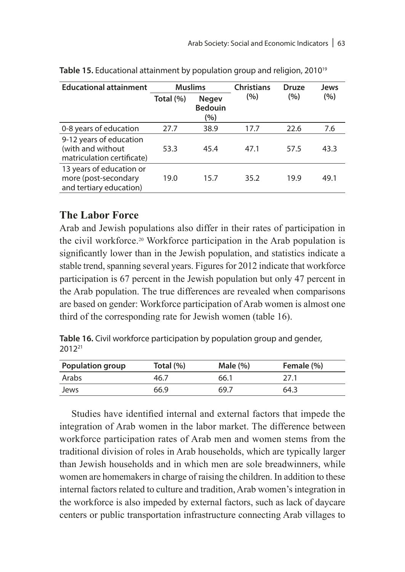| <b>Educational attainment</b>                                               | <b>Muslims</b> |                                       | <b>Christians</b> | <b>Druze</b> | Jews |
|-----------------------------------------------------------------------------|----------------|---------------------------------------|-------------------|--------------|------|
|                                                                             | Total (%)      | <b>Negev</b><br><b>Bedouin</b><br>(%) | (%)               | (%)          | (%)  |
| 0-8 years of education                                                      | 27.7           | 38.9                                  | 17.7              | 22.6         | 7.6  |
| 9-12 years of education<br>(with and without<br>matriculation certificate)  | 53.3           | 45.4                                  | 47.1              | 57.5         | 43.3 |
| 13 years of education or<br>more (post-secondary<br>and tertiary education) | 19.0           | 15.7                                  | 35.2              | 19.9         | 49.1 |

Table 15. Educational attainment by population group and religion, 2010<sup>19</sup>

# **The Labor Force**

Arab and Jewish populations also differ in their rates of participation in the civil workforce.20 Workforce participation in the Arab population is significantly lower than in the Jewish population, and statistics indicate a stable trend, spanning several years. Figures for 2012 indicate that workforce participation is 67 percent in the Jewish population but only 47 percent in the Arab population. The true differences are revealed when comparisons are based on gender: Workforce participation of Arab women is almost one third of the corresponding rate for Jewish women (table 16).

**Table 16.** Civil workforce participation by population group and gender, 201221

| <b>Population group</b> | Total (%) | Male $(\% )$ | Female (%) |
|-------------------------|-----------|--------------|------------|
| Arabs                   | 46.7      | 66.1         | 27.1       |
| Jews                    | 66.9      | 69.7         | 64.3       |

Studies have identified internal and external factors that impede the integration of Arab women in the labor market. The difference between workforce participation rates of Arab men and women stems from the traditional division of roles in Arab households, which are typically larger than Jewish households and in which men are sole breadwinners, while women are homemakers in charge of raising the children. In addition to these internal factors related to culture and tradition, Arab women's integration in the workforce is also impeded by external factors, such as lack of daycare centers or public transportation infrastructure connecting Arab villages to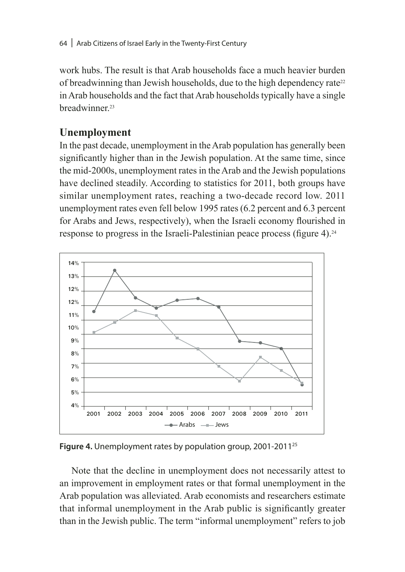work hubs. The result is that Arab households face a much heavier burden of breadwinning than Jewish households, due to the high dependency rate<sup>22</sup> in Arab households and the fact that Arab households typically have a single breadwinner<sup>23</sup>

# **Unemployment**

In the past decade, unemployment in the Arab population has generally been significantly higher than in the Jewish population. At the same time, since the mid-2000s, unemployment rates in the Arab and the Jewish populations have declined steadily. According to statistics for 2011, both groups have similar unemployment rates, reaching a two-decade record low. 2011 unemployment rates even fell below 1995 rates (6.2 percent and 6.3 percent for Arabs and Jews, respectively), when the Israeli economy flourished in response to progress in the Israeli-Palestinian peace process (figure 4).<sup>24</sup>



**Figure 4.** Unemployment rates by population group, 2001-201125

Note that the decline in unemployment does not necessarily attest to an improvement in employment rates or that formal unemployment in the Arab population was alleviated. Arab economists and researchers estimate that informal unemployment in the Arab public is significantly greater than in the Jewish public. The term "informal unemployment" refers to job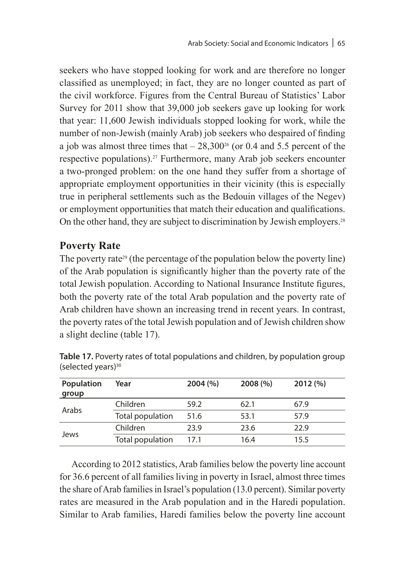seekers who have stopped looking for work and are therefore no longer classified as unemployed; in fact, they are no longer counted as part of the civil workforce. Figures from the Central Bureau of Statistics' Labor Survey for 2011 show that 39,000 job seekers gave up looking for work that year: 11,600 Jewish individuals stopped looking for work, while the number of non-Jewish (mainly Arab) job seekers who despaired of finding a job was almost three times that  $-28,300^{26}$  (or 0.4 and 5.5 percent of the respective populations).27 Furthermore, many Arab job seekers encounter a two-pronged problem: on the one hand they suffer from a shortage of appropriate employment opportunities in their vicinity (this is especially true in peripheral settlements such as the Bedouin villages of the Negev) or employment opportunities that match their education and qualifications. On the other hand, they are subject to discrimination by Jewish employers.<sup>28</sup>

# **Poverty Rate**

The poverty rate<sup>29</sup> (the percentage of the population below the poverty line) of the Arab population is significantly higher than the poverty rate of the total Jewish population. According to National Insurance Institute figures, both the poverty rate of the total Arab population and the poverty rate of Arab children have shown an increasing trend in recent years. In contrast, the poverty rates of the total Jewish population and of Jewish children show a slight decline (table 17).

| Population<br>group | Year             | 2004(%) | 2008(%) | 2012(%) |
|---------------------|------------------|---------|---------|---------|
|                     | Children         | 59.2    | 62.1    | 67.9    |
| Arabs               | Total population | 51.6    | 53.1    | 57.9    |
|                     | Children         | 23.9    | 23.6    | 22.9    |
| Jews                | Total population | 17.1    | 16.4    | 15.5    |

**Table 17.** Poverty rates of total populations and children, by population group (selected years)<sup>30</sup>

According to 2012 statistics, Arab families below the poverty line account for 36.6 percent of all families living in poverty in Israel, almost three times the share of Arab families in Israel's population (13.0 percent). Similar poverty rates are measured in the Arab population and in the Haredi population. Similar to Arab families, Haredi families below the poverty line account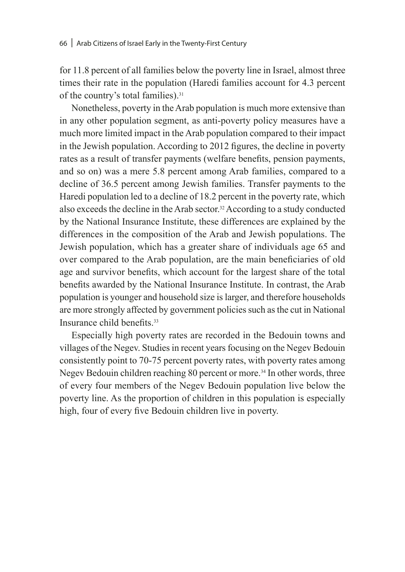for 11.8 percent of all families below the poverty line in Israel, almost three times their rate in the population (Haredi families account for 4.3 percent of the country's total families).<sup>31</sup>

Nonetheless, poverty in the Arab population is much more extensive than in any other population segment, as anti-poverty policy measures have a much more limited impact in the Arab population compared to their impact in the Jewish population. According to 2012 figures, the decline in poverty rates as a result of transfer payments (welfare benefits, pension payments, and so on) was a mere 5.8 percent among Arab families, compared to a decline of 36.5 percent among Jewish families. Transfer payments to the Haredi population led to a decline of 18.2 percent in the poverty rate, which also exceeds the decline in the Arab sector.32 According to a study conducted by the National Insurance Institute, these differences are explained by the differences in the composition of the Arab and Jewish populations. The Jewish population, which has a greater share of individuals age 65 and over compared to the Arab population, are the main beneficiaries of old age and survivor benefits, which account for the largest share of the total benefits awarded by the National Insurance Institute. In contrast, the Arab population is younger and household size is larger, and therefore households are more strongly affected by government policies such as the cut in National Insurance child benefits<sup>33</sup>

Especially high poverty rates are recorded in the Bedouin towns and villages of the Negev. Studies in recent years focusing on the Negev Bedouin consistently point to 70-75 percent poverty rates, with poverty rates among Negev Bedouin children reaching 80 percent or more.<sup>34</sup> In other words, three of every four members of the Negev Bedouin population live below the poverty line. As the proportion of children in this population is especially high, four of every five Bedouin children live in poverty.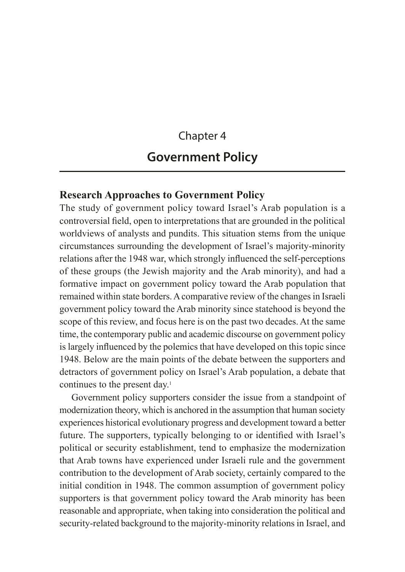# Chapter 4 **Government Policy**

## **Research Approaches to Government Policy**

The study of government policy toward Israel's Arab population is a controversial field, open to interpretations that are grounded in the political worldviews of analysts and pundits. This situation stems from the unique circumstances surrounding the development of Israel's majority-minority relations after the 1948 war, which strongly influenced the self-perceptions of these groups (the Jewish majority and the Arab minority), and had a formative impact on government policy toward the Arab population that remained within state borders. A comparative review of the changes in Israeli government policy toward the Arab minority since statehood is beyond the scope of this review, and focus here is on the past two decades. At the same time, the contemporary public and academic discourse on government policy is largely influenced by the polemics that have developed on this topic since 1948. Below are the main points of the debate between the supporters and detractors of government policy on Israel's Arab population, a debate that continues to the present day.<sup>1</sup>

Government policy supporters consider the issue from a standpoint of modernization theory, which is anchored in the assumption that human society experiences historical evolutionary progress and development toward a better future. The supporters, typically belonging to or identified with Israel's political or security establishment, tend to emphasize the modernization that Arab towns have experienced under Israeli rule and the government contribution to the development of Arab society, certainly compared to the initial condition in 1948. The common assumption of government policy supporters is that government policy toward the Arab minority has been reasonable and appropriate, when taking into consideration the political and security-related background to the majority-minority relations in Israel, and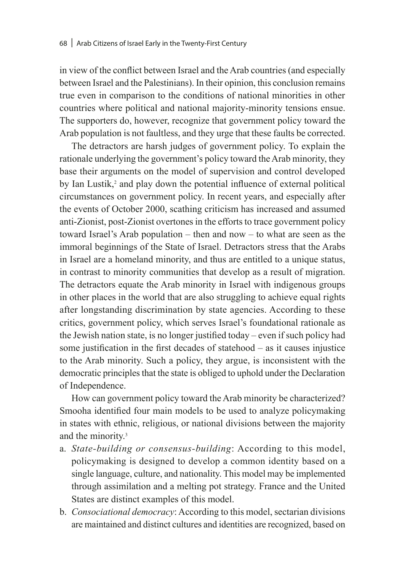in view of the conflict between Israel and the Arab countries (and especially between Israel and the Palestinians). In their opinion, this conclusion remains true even in comparison to the conditions of national minorities in other countries where political and national majority-minority tensions ensue. The supporters do, however, recognize that government policy toward the Arab population is not faultless, and they urge that these faults be corrected.

The detractors are harsh judges of government policy. To explain the rationale underlying the government's policy toward the Arab minority, they base their arguments on the model of supervision and control developed by Ian Lustik,<sup>2</sup> and play down the potential influence of external political circumstances on government policy. In recent years, and especially after the events of October 2000, scathing criticism has increased and assumed anti-Zionist, post-Zionist overtones in the efforts to trace government policy toward Israel's Arab population – then and now – to what are seen as the immoral beginnings of the State of Israel. Detractors stress that the Arabs in Israel are a homeland minority, and thus are entitled to a unique status, in contrast to minority communities that develop as a result of migration. The detractors equate the Arab minority in Israel with indigenous groups in other places in the world that are also struggling to achieve equal rights after longstanding discrimination by state agencies. According to these critics, government policy, which serves Israel's foundational rationale as the Jewish nation state, is no longer justified today – even if such policy had some justification in the first decades of statehood – as it causes injustice to the Arab minority. Such a policy, they argue, is inconsistent with the democratic principles that the state is obliged to uphold under the Declaration of Independence.

How can government policy toward the Arab minority be characterized? Smooha identified four main models to be used to analyze policymaking in states with ethnic, religious, or national divisions between the majority and the minority.3

- a. *State-building or consensus-building*: According to this model, policymaking is designed to develop a common identity based on a single language, culture, and nationality. This model may be implemented through assimilation and a melting pot strategy. France and the United States are distinct examples of this model.
- b. *Consociational democracy*: According to this model, sectarian divisions are maintained and distinct cultures and identities are recognized, based on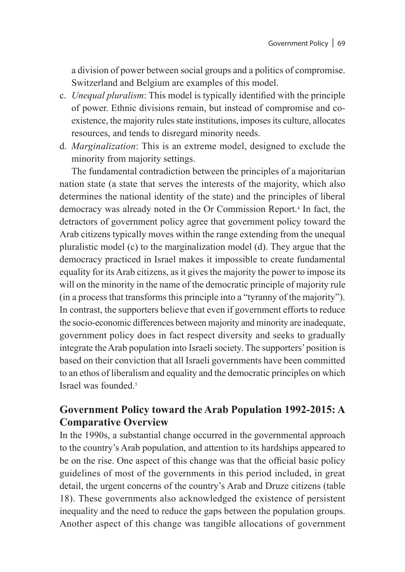a division of power between social groups and a politics of compromise. Switzerland and Belgium are examples of this model.

- c. *Unequal pluralism*: This model is typically identified with the principle of power. Ethnic divisions remain, but instead of compromise and coexistence, the majority rules state institutions, imposes its culture, allocates resources, and tends to disregard minority needs.
- d. *Marginalization*: This is an extreme model, designed to exclude the minority from majority settings.

The fundamental contradiction between the principles of a majoritarian nation state (a state that serves the interests of the majority, which also determines the national identity of the state) and the principles of liberal democracy was already noted in the Or Commission Report.4 In fact, the detractors of government policy agree that government policy toward the Arab citizens typically moves within the range extending from the unequal pluralistic model (c) to the marginalization model (d). They argue that the democracy practiced in Israel makes it impossible to create fundamental equality for its Arab citizens, as it gives the majority the power to impose its will on the minority in the name of the democratic principle of majority rule (in a process that transforms this principle into a "tyranny of the majority"). In contrast, the supporters believe that even if government efforts to reduce the socio-economic differences between majority and minority are inadequate, government policy does in fact respect diversity and seeks to gradually integrate the Arab population into Israeli society. The supporters' position is based on their conviction that all Israeli governments have been committed to an ethos of liberalism and equality and the democratic principles on which Israel was founded<sup>5</sup>

# **Government Policy toward the Arab Population 1992-2015: A Comparative Overview**

In the 1990s, a substantial change occurred in the governmental approach to the country's Arab population, and attention to its hardships appeared to be on the rise. One aspect of this change was that the official basic policy guidelines of most of the governments in this period included, in great detail, the urgent concerns of the country's Arab and Druze citizens (table 18). These governments also acknowledged the existence of persistent inequality and the need to reduce the gaps between the population groups. Another aspect of this change was tangible allocations of government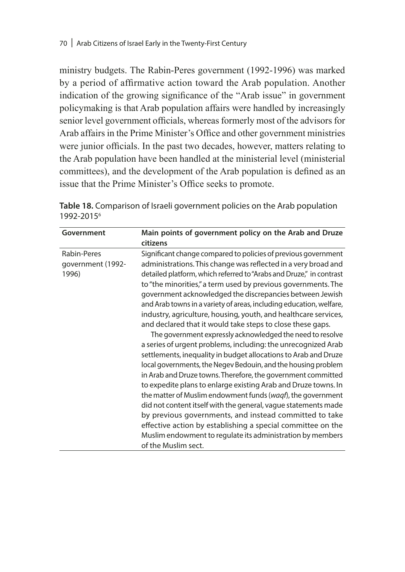ministry budgets. The Rabin-Peres government (1992-1996) was marked by a period of affirmative action toward the Arab population. Another indication of the growing significance of the "Arab issue" in government policymaking is that Arab population affairs were handled by increasingly senior level government officials, whereas formerly most of the advisors for Arab affairs in the Prime Minister's Office and other government ministries were junior officials. In the past two decades, however, matters relating to the Arab population have been handled at the ministerial level (ministerial committees), and the development of the Arab population is defined as an issue that the Prime Minister's Office seeks to promote.

**Table 18.** Comparison of Israeli government policies on the Arab population 1992-20156

| Government                                | Main points of government policy on the Arab and Druze<br>citizens                                                                                                                                                                                                                                                                                                                                                                                                                                                                                                                                                                                                                                                                                                                                                                                                                                                                                                                                                                                                                                                                                                                                                                                                                              |
|-------------------------------------------|-------------------------------------------------------------------------------------------------------------------------------------------------------------------------------------------------------------------------------------------------------------------------------------------------------------------------------------------------------------------------------------------------------------------------------------------------------------------------------------------------------------------------------------------------------------------------------------------------------------------------------------------------------------------------------------------------------------------------------------------------------------------------------------------------------------------------------------------------------------------------------------------------------------------------------------------------------------------------------------------------------------------------------------------------------------------------------------------------------------------------------------------------------------------------------------------------------------------------------------------------------------------------------------------------|
| Rabin-Peres<br>government (1992-<br>1996) | Significant change compared to policies of previous government<br>administrations. This change was reflected in a very broad and<br>detailed platform, which referred to "Arabs and Druze," in contrast<br>to "the minorities," a term used by previous governments. The<br>government acknowledged the discrepancies between Jewish<br>and Arab towns in a variety of areas, including education, welfare,<br>industry, agriculture, housing, youth, and healthcare services,<br>and declared that it would take steps to close these gaps.<br>The government expressly acknowledged the need to resolve<br>a series of urgent problems, including: the unrecognized Arab<br>settlements, inequality in budget allocations to Arab and Druze<br>local governments, the Negev Bedouin, and the housing problem<br>in Arab and Druze towns. Therefore, the government committed<br>to expedite plans to enlarge existing Arab and Druze towns. In<br>the matter of Muslim endowment funds (waqf), the government<br>did not content itself with the general, vague statements made<br>by previous governments, and instead committed to take<br>effective action by establishing a special committee on the<br>Muslim endowment to regulate its administration by members<br>of the Muslim sect. |
|                                           |                                                                                                                                                                                                                                                                                                                                                                                                                                                                                                                                                                                                                                                                                                                                                                                                                                                                                                                                                                                                                                                                                                                                                                                                                                                                                                 |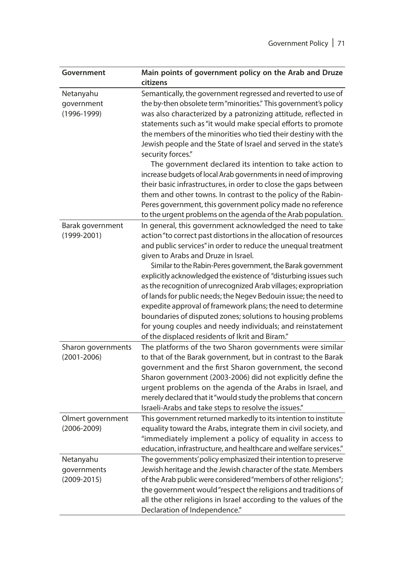| Government                                  | Main points of government policy on the Arab and Druze<br>citizens                                                                                                                                                                                                                                                                                                                                                                                                                                                                                                                                                                                                                                                                                                                                                           |
|---------------------------------------------|------------------------------------------------------------------------------------------------------------------------------------------------------------------------------------------------------------------------------------------------------------------------------------------------------------------------------------------------------------------------------------------------------------------------------------------------------------------------------------------------------------------------------------------------------------------------------------------------------------------------------------------------------------------------------------------------------------------------------------------------------------------------------------------------------------------------------|
| Netanyahu<br>government<br>$(1996 - 1999)$  | Semantically, the government regressed and reverted to use of<br>the by-then obsolete term "minorities." This government's policy<br>was also characterized by a patronizing attitude, reflected in<br>statements such as "it would make special efforts to promote<br>the members of the minorities who tied their destiny with the<br>Jewish people and the State of Israel and served in the state's<br>security forces."<br>The government declared its intention to take action to<br>increase budgets of local Arab governments in need of improving<br>their basic infrastructures, in order to close the gaps between<br>them and other towns. In contrast to the policy of the Rabin-<br>Peres government, this government policy made no reference<br>to the urgent problems on the agenda of the Arab population. |
| Barak government<br>$(1999 - 2001)$         | In general, this government acknowledged the need to take<br>action "to correct past distortions in the allocation of resources<br>and public services" in order to reduce the unequal treatment<br>given to Arabs and Druze in Israel.<br>Similar to the Rabin-Peres government, the Barak government<br>explicitly acknowledged the existence of "disturbing issues such<br>as the recognition of unrecognized Arab villages; expropriation<br>of lands for public needs; the Negev Bedouin issue; the need to<br>expedite approval of framework plans; the need to determine<br>boundaries of disputed zones; solutions to housing problems<br>for young couples and needy individuals; and reinstatement<br>of the displaced residents of Ikrit and Biram."                                                              |
| Sharon governments<br>$(2001 - 2006)$       | The platforms of the two Sharon governments were similar<br>to that of the Barak government, but in contrast to the Barak<br>government and the first Sharon government, the second<br>Sharon government (2003-2006) did not explicitly define the<br>urgent problems on the agenda of the Arabs in Israel, and<br>merely declared that it "would study the problems that concern<br>Israeli-Arabs and take steps to resolve the issues."                                                                                                                                                                                                                                                                                                                                                                                    |
| Olmert government<br>$(2006 - 2009)$        | This government returned markedly to its intention to institute<br>equality toward the Arabs, integrate them in civil society, and<br>"immediately implement a policy of equality in access to<br>education, infrastructure, and healthcare and welfare services."                                                                                                                                                                                                                                                                                                                                                                                                                                                                                                                                                           |
| Netanyahu<br>governments<br>$(2009 - 2015)$ | The governments' policy emphasized their intention to preserve<br>Jewish heritage and the Jewish character of the state. Members<br>of the Arab public were considered "members of other religions";<br>the government would "respect the religions and traditions of<br>all the other religions in Israel according to the values of the<br>Declaration of Independence."                                                                                                                                                                                                                                                                                                                                                                                                                                                   |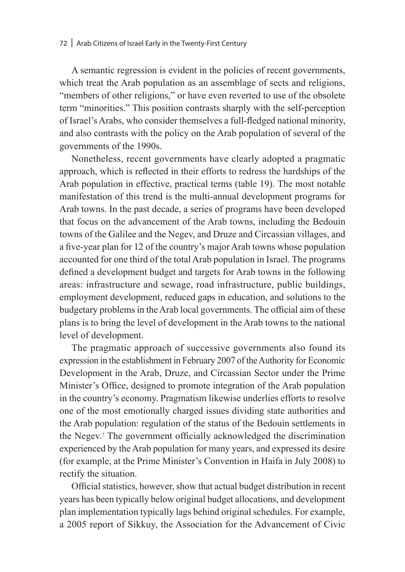A semantic regression is evident in the policies of recent governments, which treat the Arab population as an assemblage of sects and religions, "members of other religions," or have even reverted to use of the obsolete term "minorities." This position contrasts sharply with the self-perception of Israel's Arabs, who consider themselves a full-fledged national minority, and also contrasts with the policy on the Arab population of several of the governments of the 1990s.

Nonetheless, recent governments have clearly adopted a pragmatic approach, which is reflected in their efforts to redress the hardships of the Arab population in effective, practical terms (table 19). The most notable manifestation of this trend is the multi-annual development programs for Arab towns. In the past decade, a series of programs have been developed that focus on the advancement of the Arab towns, including the Bedouin towns of the Galilee and the Negev, and Druze and Circassian villages, and a five-year plan for 12 of the country's major Arab towns whose population accounted for one third of the total Arab population in Israel. The programs defined a development budget and targets for Arab towns in the following areas: infrastructure and sewage, road infrastructure, public buildings, employment development, reduced gaps in education, and solutions to the budgetary problems in the Arab local governments. The official aim of these plans is to bring the level of development in the Arab towns to the national level of development.

The pragmatic approach of successive governments also found its expression in the establishment in February 2007 of the Authority for Economic Development in the Arab, Druze, and Circassian Sector under the Prime Minister's Office, designed to promote integration of the Arab population in the country's economy. Pragmatism likewise underlies efforts to resolve one of the most emotionally charged issues dividing state authorities and the Arab population: regulation of the status of the Bedouin settlements in the Negev.7 The government officially acknowledged the discrimination experienced by the Arab population for many years, and expressed its desire (for example, at the Prime Minister's Convention in Haifa in July 2008) to rectify the situation.

Official statistics, however, show that actual budget distribution in recent years has been typically below original budget allocations, and development plan implementation typically lags behind original schedules. For example, a 2005 report of Sikkuy, the Association for the Advancement of Civic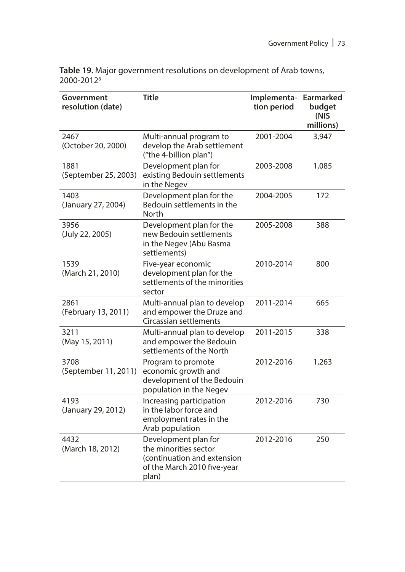| Table 19. Major government resolutions on development of Arab towns, |
|----------------------------------------------------------------------|
| 2000-2012 <sup>8</sup>                                               |

| Government<br>resolution (date) | Title                                                                                                                | Implementa-<br>tion period | Earmarked<br>budget<br>(NIS<br>millions) |
|---------------------------------|----------------------------------------------------------------------------------------------------------------------|----------------------------|------------------------------------------|
| 2467<br>(October 20, 2000)      | Multi-annual program to<br>develop the Arab settlement<br>("the 4-billion plan")                                     | 2001-2004                  | 3,947                                    |
| 1881<br>(September 25, 2003)    | Development plan for<br>existing Bedouin settlements<br>in the Negev                                                 | 2003-2008                  | 1,085                                    |
| 1403<br>(January 27, 2004)      | Development plan for the<br>Bedouin settlements in the<br>North                                                      | 2004-2005                  | 172                                      |
| 3956<br>(July 22, 2005)         | Development plan for the<br>new Bedouin settlements<br>in the Negev (Abu Basma<br>settlements)                       | 2005-2008                  | 388                                      |
| 1539<br>(March 21, 2010)        | Five-year economic<br>development plan for the<br>settlements of the minorities<br>sector                            | 2010-2014                  | 800                                      |
| 2861<br>(February 13, 2011)     | Multi-annual plan to develop<br>and empower the Druze and<br>Circassian settlements                                  | 2011-2014                  | 665                                      |
| 3211<br>(May 15, 2011)          | Multi-annual plan to develop<br>and empower the Bedouin<br>settlements of the North                                  | 2011-2015                  | 338                                      |
| 3708<br>(September 11, 2011)    | Program to promote<br>economic growth and<br>development of the Bedouin<br>population in the Negev                   | 2012-2016                  | 1,263                                    |
| 4193<br>(January 29, 2012)      | Increasing participation<br>in the labor force and<br>employment rates in the<br>Arab population                     | 2012-2016                  | 730                                      |
| 4432<br>(March 18, 2012)        | Development plan for<br>the minorities sector<br>(continuation and extension<br>of the March 2010 five-year<br>plan) | 2012-2016                  | 250                                      |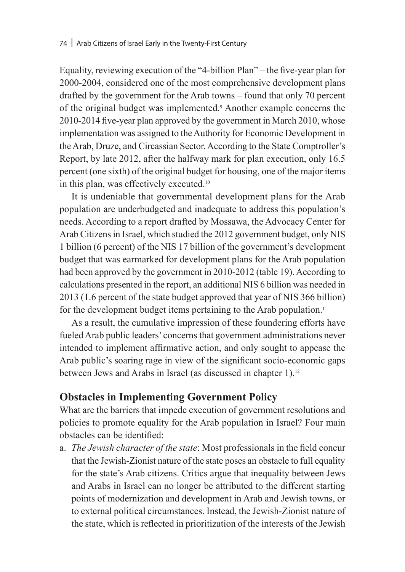Equality, reviewing execution of the "4-billion Plan" – the five-year plan for 2000-2004, considered one of the most comprehensive development plans drafted by the government for the Arab towns – found that only 70 percent of the original budget was implemented.9 Another example concerns the 2010-2014 five-year plan approved by the government in March 2010, whose implementation was assigned to the Authority for Economic Development in the Arab, Druze, and Circassian Sector. According to the State Comptroller's Report, by late 2012, after the halfway mark for plan execution, only 16.5 percent (one sixth) of the original budget for housing, one of the major items in this plan, was effectively executed.10

It is undeniable that governmental development plans for the Arab population are underbudgeted and inadequate to address this population's needs. According to a report drafted by Mossawa, the Advocacy Center for Arab Citizens in Israel, which studied the 2012 government budget, only NIS 1 billion (6 percent) of the NIS 17 billion of the government's development budget that was earmarked for development plans for the Arab population had been approved by the government in 2010-2012 (table 19). According to calculations presented in the report, an additional NIS 6 billion was needed in 2013 (1.6 percent of the state budget approved that year of NIS 366 billion) for the development budget items pertaining to the Arab population.<sup>11</sup>

As a result, the cumulative impression of these foundering efforts have fueled Arab public leaders' concerns that government administrations never intended to implement affirmative action, and only sought to appease the Arab public's soaring rage in view of the significant socio-economic gaps between Jews and Arabs in Israel (as discussed in chapter 1).<sup>12</sup>

# **Obstacles in Implementing Government Policy**

What are the barriers that impede execution of government resolutions and policies to promote equality for the Arab population in Israel? Four main obstacles can be identified:

a. *The Jewish character of the state*: Most professionals in the field concur that the Jewish-Zionist nature of the state poses an obstacle to full equality for the state's Arab citizens. Critics argue that inequality between Jews and Arabs in Israel can no longer be attributed to the different starting points of modernization and development in Arab and Jewish towns, or to external political circumstances. Instead, the Jewish-Zionist nature of the state, which is reflected in prioritization of the interests of the Jewish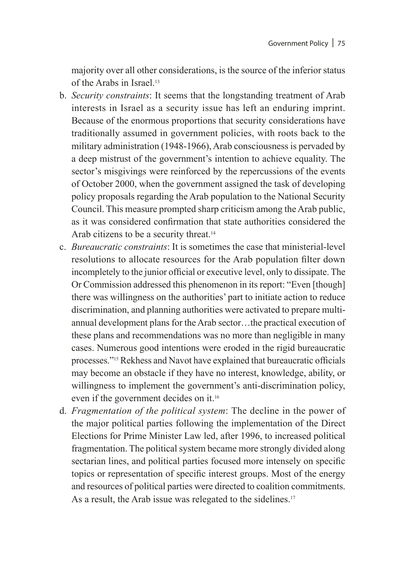majority over all other considerations, is the source of the inferior status of the Arabs in Israel<sup>13</sup>

- b. *Security constraints*: It seems that the longstanding treatment of Arab interests in Israel as a security issue has left an enduring imprint. Because of the enormous proportions that security considerations have traditionally assumed in government policies, with roots back to the military administration (1948-1966), Arab consciousness is pervaded by a deep mistrust of the government's intention to achieve equality. The sector's misgivings were reinforced by the repercussions of the events of October 2000, when the government assigned the task of developing policy proposals regarding the Arab population to the National Security Council. This measure prompted sharp criticism among the Arab public, as it was considered confirmation that state authorities considered the Arab citizens to be a security threat.<sup>14</sup>
- c. *Bureaucratic constraints*: It is sometimes the case that ministerial-level resolutions to allocate resources for the Arab population filter down incompletely to the junior official or executive level, only to dissipate. The Or Commission addressed this phenomenon in its report: "Even [though] there was willingness on the authorities' part to initiate action to reduce discrimination, and planning authorities were activated to prepare multiannual development plans for the Arab sector…the practical execution of these plans and recommendations was no more than negligible in many cases. Numerous good intentions were eroded in the rigid bureaucratic processes."15 Rekhess and Navot have explained that bureaucratic officials may become an obstacle if they have no interest, knowledge, ability, or willingness to implement the government's anti-discrimination policy, even if the government decides on it.16
- d. *Fragmentation of the political system*: The decline in the power of the major political parties following the implementation of the Direct Elections for Prime Minister Law led, after 1996, to increased political fragmentation. The political system became more strongly divided along sectarian lines, and political parties focused more intensely on specific topics or representation of specific interest groups. Most of the energy and resources of political parties were directed to coalition commitments. As a result, the Arab issue was relegated to the sidelines.<sup>17</sup>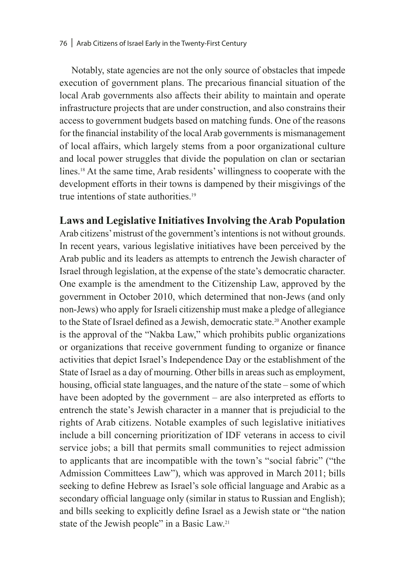Notably, state agencies are not the only source of obstacles that impede execution of government plans. The precarious financial situation of the local Arab governments also affects their ability to maintain and operate infrastructure projects that are under construction, and also constrains their access to government budgets based on matching funds. One of the reasons for the financial instability of the local Arab governments is mismanagement of local affairs, which largely stems from a poor organizational culture and local power struggles that divide the population on clan or sectarian lines.18 At the same time, Arab residents' willingness to cooperate with the development efforts in their towns is dampened by their misgivings of the true intentions of state authorities.<sup>19</sup>

## **Laws and Legislative Initiatives Involving the Arab Population**

Arab citizens' mistrust of the government's intentions is not without grounds. In recent years, various legislative initiatives have been perceived by the Arab public and its leaders as attempts to entrench the Jewish character of Israel through legislation, at the expense of the state's democratic character. One example is the amendment to the Citizenship Law, approved by the government in October 2010, which determined that non-Jews (and only non-Jews) who apply for Israeli citizenship must make a pledge of allegiance to the State of Israel defined as a Jewish, democratic state.<sup>20</sup> Another example is the approval of the "Nakba Law," which prohibits public organizations or organizations that receive government funding to organize or finance activities that depict Israel's Independence Day or the establishment of the State of Israel as a day of mourning. Other bills in areas such as employment, housing, official state languages, and the nature of the state – some of which have been adopted by the government – are also interpreted as efforts to entrench the state's Jewish character in a manner that is prejudicial to the rights of Arab citizens. Notable examples of such legislative initiatives include a bill concerning prioritization of IDF veterans in access to civil service jobs; a bill that permits small communities to reject admission to applicants that are incompatible with the town's "social fabric" ("the Admission Committees Law"), which was approved in March 2011; bills seeking to define Hebrew as Israel's sole official language and Arabic as a secondary official language only (similar in status to Russian and English); and bills seeking to explicitly define Israel as a Jewish state or "the nation state of the Jewish people" in a Basic Law.21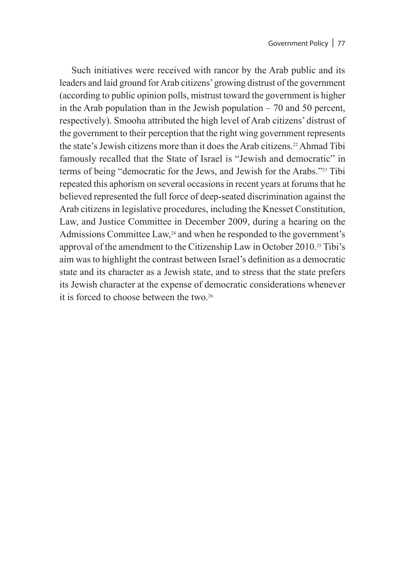Such initiatives were received with rancor by the Arab public and its leaders and laid ground for Arab citizens' growing distrust of the government (according to public opinion polls, mistrust toward the government is higher in the Arab population than in the Jewish population  $-70$  and 50 percent, respectively). Smooha attributed the high level of Arab citizens' distrust of the government to their perception that the right wing government represents the state's Jewish citizens more than it does the Arab citizens.<sup>22</sup> Ahmad Tibi famously recalled that the State of Israel is "Jewish and democratic" in terms of being "democratic for the Jews, and Jewish for the Arabs."23 Tibi repeated this aphorism on several occasions in recent years at forums that he believed represented the full force of deep-seated discrimination against the Arab citizens in legislative procedures, including the Knesset Constitution, Law, and Justice Committee in December 2009, during a hearing on the Admissions Committee Law,<sup>24</sup> and when he responded to the government's approval of the amendment to the Citizenship Law in October 2010.25 Tibi's aim was to highlight the contrast between Israel's definition as a democratic state and its character as a Jewish state, and to stress that the state prefers its Jewish character at the expense of democratic considerations whenever it is forced to choose between the two.<sup>26</sup>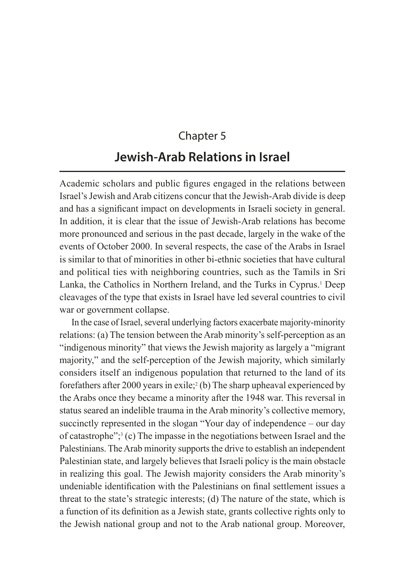# Chapter 5 **Jewish-Arab Relations in Israel**

Academic scholars and public figures engaged in the relations between Israel's Jewish and Arab citizens concur that the Jewish-Arab divide is deep and has a significant impact on developments in Israeli society in general. In addition, it is clear that the issue of Jewish-Arab relations has become more pronounced and serious in the past decade, largely in the wake of the events of October 2000. In several respects, the case of the Arabs in Israel is similar to that of minorities in other bi-ethnic societies that have cultural and political ties with neighboring countries, such as the Tamils in Sri Lanka, the Catholics in Northern Ireland, and the Turks in Cyprus.<sup>1</sup> Deep cleavages of the type that exists in Israel have led several countries to civil war or government collapse.

In the case of Israel, several underlying factors exacerbate majority-minority relations: (a) The tension between the Arab minority's self-perception as an "indigenous minority" that views the Jewish majority as largely a "migrant majority," and the self-perception of the Jewish majority, which similarly considers itself an indigenous population that returned to the land of its forefathers after 2000 years in exile;<sup>2</sup> (b) The sharp upheaval experienced by the Arabs once they became a minority after the 1948 war. This reversal in status seared an indelible trauma in the Arab minority's collective memory, succinctly represented in the slogan "Your day of independence – our day of catastrophe"; $3$  (c) The impasse in the negotiations between Israel and the Palestinians. The Arab minority supports the drive to establish an independent Palestinian state, and largely believes that Israeli policy is the main obstacle in realizing this goal. The Jewish majority considers the Arab minority's undeniable identification with the Palestinians on final settlement issues a threat to the state's strategic interests; (d) The nature of the state, which is a function of its definition as a Jewish state, grants collective rights only to the Jewish national group and not to the Arab national group. Moreover,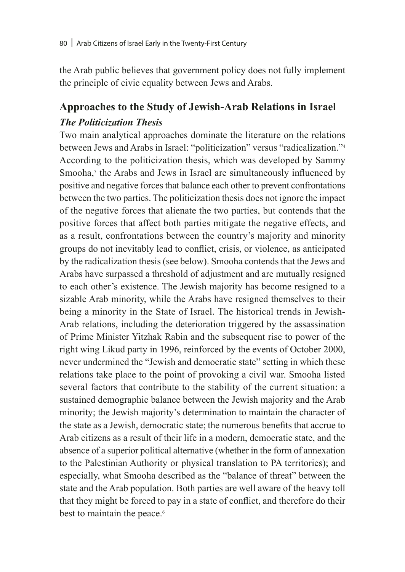the Arab public believes that government policy does not fully implement the principle of civic equality between Jews and Arabs.

# **Approaches to the Study of Jewish-Arab Relations in Israel** *The Politicization Thesis*

Two main analytical approaches dominate the literature on the relations between Jews and Arabs in Israel: "politicization" versus "radicalization."<sup>4</sup> According to the politicization thesis, which was developed by Sammy Smooha,<sup>5</sup> the Arabs and Jews in Israel are simultaneously influenced by positive and negative forces that balance each other to prevent confrontations between the two parties. The politicization thesis does not ignore the impact of the negative forces that alienate the two parties, but contends that the positive forces that affect both parties mitigate the negative effects, and as a result, confrontations between the country's majority and minority groups do not inevitably lead to conflict, crisis, or violence, as anticipated by the radicalization thesis (see below). Smooha contends that the Jews and Arabs have surpassed a threshold of adjustment and are mutually resigned to each other's existence. The Jewish majority has become resigned to a sizable Arab minority, while the Arabs have resigned themselves to their being a minority in the State of Israel. The historical trends in Jewish-Arab relations, including the deterioration triggered by the assassination of Prime Minister Yitzhak Rabin and the subsequent rise to power of the right wing Likud party in 1996, reinforced by the events of October 2000, never undermined the "Jewish and democratic state" setting in which these relations take place to the point of provoking a civil war. Smooha listed several factors that contribute to the stability of the current situation: a sustained demographic balance between the Jewish majority and the Arab minority; the Jewish majority's determination to maintain the character of the state as a Jewish, democratic state; the numerous benefits that accrue to Arab citizens as a result of their life in a modern, democratic state, and the absence of a superior political alternative (whether in the form of annexation to the Palestinian Authority or physical translation to PA territories); and especially, what Smooha described as the "balance of threat" between the state and the Arab population. Both parties are well aware of the heavy toll that they might be forced to pay in a state of conflict, and therefore do their best to maintain the peace.<sup>6</sup>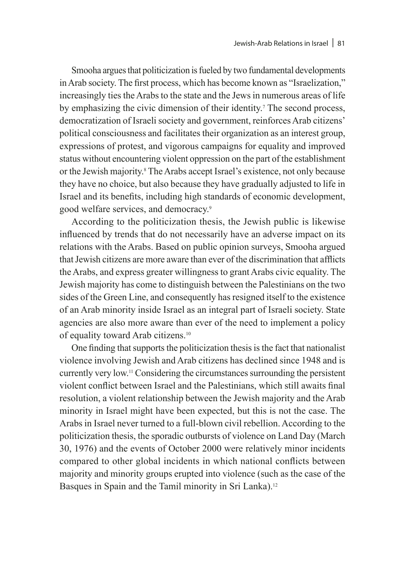Smooha argues that politicization is fueled by two fundamental developments in Arab society. The first process, which has become known as "Israelization," increasingly ties the Arabs to the state and the Jews in numerous areas of life by emphasizing the civic dimension of their identity.<sup>7</sup> The second process, democratization of Israeli society and government, reinforces Arab citizens' political consciousness and facilitates their organization as an interest group, expressions of protest, and vigorous campaigns for equality and improved status without encountering violent oppression on the part of the establishment or the Jewish majority.8 The Arabs accept Israel's existence, not only because they have no choice, but also because they have gradually adjusted to life in Israel and its benefits, including high standards of economic development, good welfare services, and democracy.9

According to the politicization thesis, the Jewish public is likewise influenced by trends that do not necessarily have an adverse impact on its relations with the Arabs. Based on public opinion surveys, Smooha argued that Jewish citizens are more aware than ever of the discrimination that afflicts the Arabs, and express greater willingness to grant Arabs civic equality. The Jewish majority has come to distinguish between the Palestinians on the two sides of the Green Line, and consequently has resigned itself to the existence of an Arab minority inside Israel as an integral part of Israeli society. State agencies are also more aware than ever of the need to implement a policy of equality toward Arab citizens.10

One finding that supports the politicization thesis is the fact that nationalist violence involving Jewish and Arab citizens has declined since 1948 and is currently very low.11 Considering the circumstances surrounding the persistent violent conflict between Israel and the Palestinians, which still awaits final resolution, a violent relationship between the Jewish majority and the Arab minority in Israel might have been expected, but this is not the case. The Arabs in Israel never turned to a full-blown civil rebellion. According to the politicization thesis, the sporadic outbursts of violence on Land Day (March 30, 1976) and the events of October 2000 were relatively minor incidents compared to other global incidents in which national conflicts between majority and minority groups erupted into violence (such as the case of the Basques in Spain and the Tamil minority in Sri Lanka).<sup>12</sup>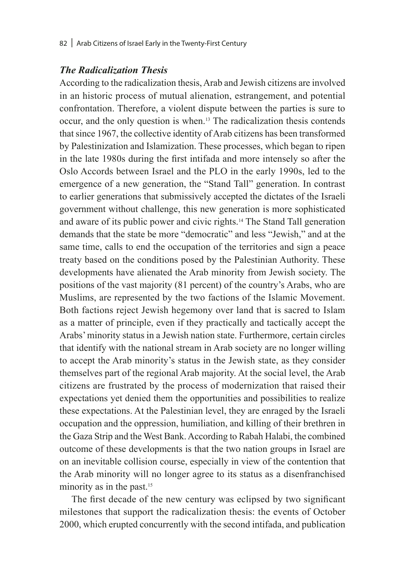#### *The Radicalization Thesis*

According to the radicalization thesis, Arab and Jewish citizens are involved in an historic process of mutual alienation, estrangement, and potential confrontation. Therefore, a violent dispute between the parties is sure to occur, and the only question is when.13 The radicalization thesis contends that since 1967, the collective identity of Arab citizens has been transformed by Palestinization and Islamization. These processes, which began to ripen in the late 1980s during the first intifada and more intensely so after the Oslo Accords between Israel and the PLO in the early 1990s, led to the emergence of a new generation, the "Stand Tall" generation. In contrast to earlier generations that submissively accepted the dictates of the Israeli government without challenge, this new generation is more sophisticated and aware of its public power and civic rights.14 The Stand Tall generation demands that the state be more "democratic" and less "Jewish," and at the same time, calls to end the occupation of the territories and sign a peace treaty based on the conditions posed by the Palestinian Authority. These developments have alienated the Arab minority from Jewish society. The positions of the vast majority (81 percent) of the country's Arabs, who are Muslims, are represented by the two factions of the Islamic Movement. Both factions reject Jewish hegemony over land that is sacred to Islam as a matter of principle, even if they practically and tactically accept the Arabs' minority status in a Jewish nation state. Furthermore, certain circles that identify with the national stream in Arab society are no longer willing to accept the Arab minority's status in the Jewish state, as they consider themselves part of the regional Arab majority. At the social level, the Arab citizens are frustrated by the process of modernization that raised their expectations yet denied them the opportunities and possibilities to realize these expectations. At the Palestinian level, they are enraged by the Israeli occupation and the oppression, humiliation, and killing of their brethren in the Gaza Strip and the West Bank. According to Rabah Halabi, the combined outcome of these developments is that the two nation groups in Israel are on an inevitable collision course, especially in view of the contention that the Arab minority will no longer agree to its status as a disenfranchised minority as in the past.<sup>15</sup>

The first decade of the new century was eclipsed by two significant milestones that support the radicalization thesis: the events of October 2000, which erupted concurrently with the second intifada, and publication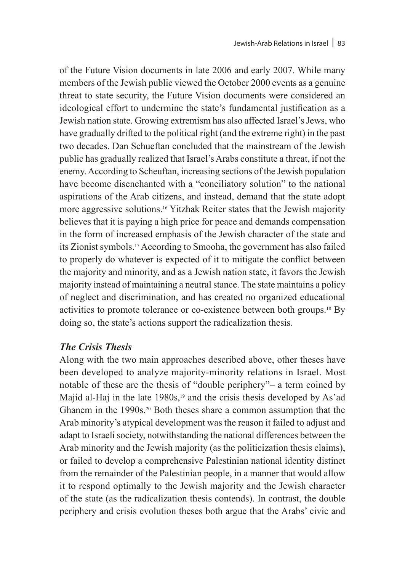of the Future Vision documents in late 2006 and early 2007. While many members of the Jewish public viewed the October 2000 events as a genuine threat to state security, the Future Vision documents were considered an ideological effort to undermine the state's fundamental justification as a Jewish nation state. Growing extremism has also affected Israel's Jews, who have gradually drifted to the political right (and the extreme right) in the past two decades. Dan Schueftan concluded that the mainstream of the Jewish public has gradually realized that Israel's Arabs constitute a threat, if not the enemy. According to Scheuftan, increasing sections of the Jewish population have become disenchanted with a "conciliatory solution" to the national aspirations of the Arab citizens, and instead, demand that the state adopt more aggressive solutions.16 Yitzhak Reiter states that the Jewish majority believes that it is paying a high price for peace and demands compensation in the form of increased emphasis of the Jewish character of the state and its Zionist symbols.17 According to Smooha, the government has also failed to properly do whatever is expected of it to mitigate the conflict between the majority and minority, and as a Jewish nation state, it favors the Jewish majority instead of maintaining a neutral stance. The state maintains a policy of neglect and discrimination, and has created no organized educational activities to promote tolerance or co-existence between both groups.18 By doing so, the state's actions support the radicalization thesis.

#### *The Crisis Thesis*

Along with the two main approaches described above, other theses have been developed to analyze majority-minority relations in Israel. Most notable of these are the thesis of "double periphery"– a term coined by Majid al-Haj in the late  $1980s$ ,<sup>19</sup> and the crisis thesis developed by As'ad Ghanem in the 1990s.<sup>20</sup> Both theses share a common assumption that the Arab minority's atypical development was the reason it failed to adjust and adapt to Israeli society, notwithstanding the national differences between the Arab minority and the Jewish majority (as the politicization thesis claims), or failed to develop a comprehensive Palestinian national identity distinct from the remainder of the Palestinian people, in a manner that would allow it to respond optimally to the Jewish majority and the Jewish character of the state (as the radicalization thesis contends). In contrast, the double periphery and crisis evolution theses both argue that the Arabs' civic and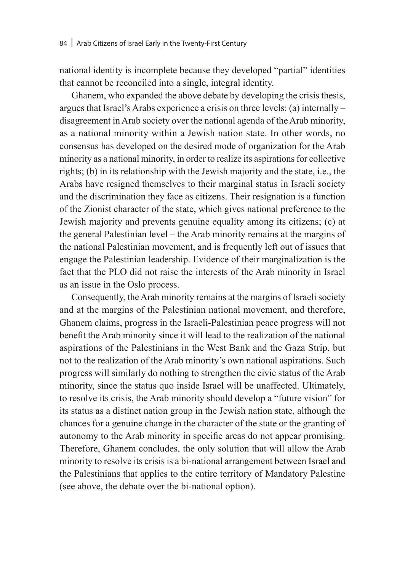national identity is incomplete because they developed "partial" identities that cannot be reconciled into a single, integral identity.

Ghanem, who expanded the above debate by developing the crisis thesis, argues that Israel's Arabs experience a crisis on three levels: (a) internally – disagreement in Arab society over the national agenda of the Arab minority, as a national minority within a Jewish nation state. In other words, no consensus has developed on the desired mode of organization for the Arab minority as a national minority, in order to realize its aspirations for collective rights; (b) in its relationship with the Jewish majority and the state, i.e., the Arabs have resigned themselves to their marginal status in Israeli society and the discrimination they face as citizens. Their resignation is a function of the Zionist character of the state, which gives national preference to the Jewish majority and prevents genuine equality among its citizens; (c) at the general Palestinian level – the Arab minority remains at the margins of the national Palestinian movement, and is frequently left out of issues that engage the Palestinian leadership. Evidence of their marginalization is the fact that the PLO did not raise the interests of the Arab minority in Israel as an issue in the Oslo process.

Consequently, the Arab minority remains at the margins of Israeli society and at the margins of the Palestinian national movement, and therefore, Ghanem claims, progress in the Israeli-Palestinian peace progress will not benefit the Arab minority since it will lead to the realization of the national aspirations of the Palestinians in the West Bank and the Gaza Strip, but not to the realization of the Arab minority's own national aspirations. Such progress will similarly do nothing to strengthen the civic status of the Arab minority, since the status quo inside Israel will be unaffected. Ultimately, to resolve its crisis, the Arab minority should develop a "future vision" for its status as a distinct nation group in the Jewish nation state, although the chances for a genuine change in the character of the state or the granting of autonomy to the Arab minority in specific areas do not appear promising. Therefore, Ghanem concludes, the only solution that will allow the Arab minority to resolve its crisis is a bi-national arrangement between Israel and the Palestinians that applies to the entire territory of Mandatory Palestine (see above, the debate over the bi-national option).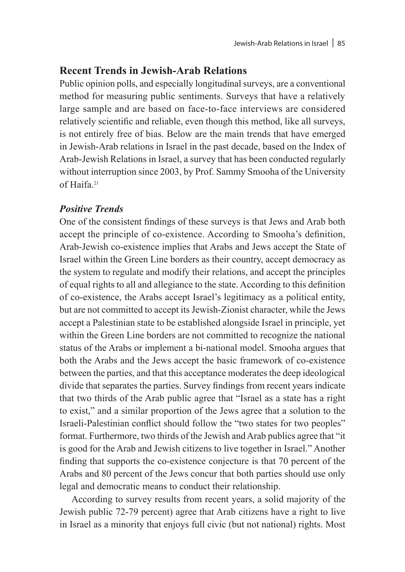# **Recent Trends in Jewish-Arab Relations**

Public opinion polls, and especially longitudinal surveys, are a conventional method for measuring public sentiments. Surveys that have a relatively large sample and are based on face-to-face interviews are considered relatively scientific and reliable, even though this method, like all surveys, is not entirely free of bias. Below are the main trends that have emerged in Jewish-Arab relations in Israel in the past decade, based on the Index of Arab-Jewish Relations in Israel, a survey that has been conducted regularly without interruption since 2003, by Prof. Sammy Smooha of the University of Haifa.21

## *Positive Trends*

One of the consistent findings of these surveys is that Jews and Arab both accept the principle of co-existence. According to Smooha's definition, Arab-Jewish co-existence implies that Arabs and Jews accept the State of Israel within the Green Line borders as their country, accept democracy as the system to regulate and modify their relations, and accept the principles of equal rights to all and allegiance to the state. According to this definition of co-existence, the Arabs accept Israel's legitimacy as a political entity, but are not committed to accept its Jewish-Zionist character, while the Jews accept a Palestinian state to be established alongside Israel in principle, yet within the Green Line borders are not committed to recognize the national status of the Arabs or implement a bi-national model. Smooha argues that both the Arabs and the Jews accept the basic framework of co-existence between the parties, and that this acceptance moderates the deep ideological divide that separates the parties. Survey findings from recent years indicate that two thirds of the Arab public agree that "Israel as a state has a right to exist," and a similar proportion of the Jews agree that a solution to the Israeli-Palestinian conflict should follow the "two states for two peoples" format. Furthermore, two thirds of the Jewish and Arab publics agree that "it is good for the Arab and Jewish citizens to live together in Israel." Another finding that supports the co-existence conjecture is that 70 percent of the Arabs and 80 percent of the Jews concur that both parties should use only legal and democratic means to conduct their relationship.

According to survey results from recent years, a solid majority of the Jewish public 72-79 percent) agree that Arab citizens have a right to live in Israel as a minority that enjoys full civic (but not national) rights. Most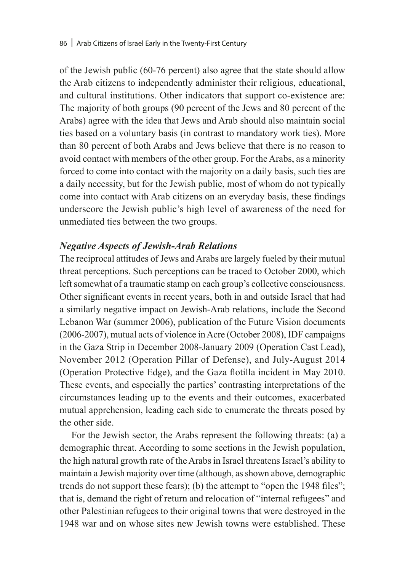of the Jewish public (60-76 percent) also agree that the state should allow the Arab citizens to independently administer their religious, educational, and cultural institutions. Other indicators that support co-existence are: The majority of both groups (90 percent of the Jews and 80 percent of the Arabs) agree with the idea that Jews and Arab should also maintain social ties based on a voluntary basis (in contrast to mandatory work ties). More than 80 percent of both Arabs and Jews believe that there is no reason to avoid contact with members of the other group. For the Arabs, as a minority forced to come into contact with the majority on a daily basis, such ties are a daily necessity, but for the Jewish public, most of whom do not typically come into contact with Arab citizens on an everyday basis, these findings underscore the Jewish public's high level of awareness of the need for unmediated ties between the two groups.

#### *Negative Aspects of Jewish-Arab Relations*

The reciprocal attitudes of Jews and Arabs are largely fueled by their mutual threat perceptions. Such perceptions can be traced to October 2000, which left somewhat of a traumatic stamp on each group's collective consciousness. Other significant events in recent years, both in and outside Israel that had a similarly negative impact on Jewish-Arab relations, include the Second Lebanon War (summer 2006), publication of the Future Vision documents (2006-2007), mutual acts of violence in Acre (October 2008), IDF campaigns in the Gaza Strip in December 2008-January 2009 (Operation Cast Lead), November 2012 (Operation Pillar of Defense), and July-August 2014 (Operation Protective Edge), and the Gaza flotilla incident in May 2010. These events, and especially the parties' contrasting interpretations of the circumstances leading up to the events and their outcomes, exacerbated mutual apprehension, leading each side to enumerate the threats posed by the other side.

For the Jewish sector, the Arabs represent the following threats: (a) a demographic threat. According to some sections in the Jewish population, the high natural growth rate of the Arabs in Israel threatens Israel's ability to maintain a Jewish majority over time (although, as shown above, demographic trends do not support these fears); (b) the attempt to "open the 1948 files"; that is, demand the right of return and relocation of "internal refugees" and other Palestinian refugees to their original towns that were destroyed in the 1948 war and on whose sites new Jewish towns were established. These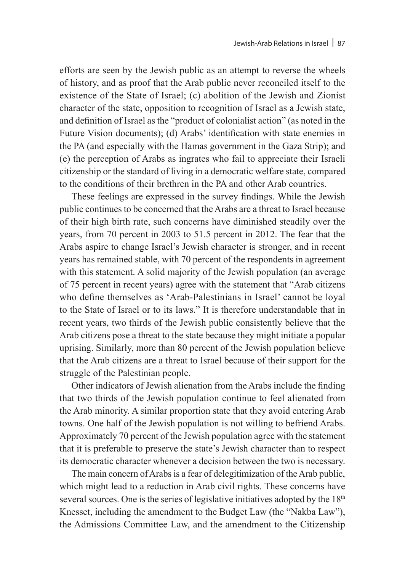efforts are seen by the Jewish public as an attempt to reverse the wheels of history, and as proof that the Arab public never reconciled itself to the existence of the State of Israel; (c) abolition of the Jewish and Zionist character of the state, opposition to recognition of Israel as a Jewish state, and definition of Israel as the "product of colonialist action" (as noted in the Future Vision documents); (d) Arabs' identification with state enemies in the PA (and especially with the Hamas government in the Gaza Strip); and (e) the perception of Arabs as ingrates who fail to appreciate their Israeli citizenship or the standard of living in a democratic welfare state, compared to the conditions of their brethren in the PA and other Arab countries.

These feelings are expressed in the survey findings. While the Jewish public continues to be concerned that the Arabs are a threat to Israel because of their high birth rate, such concerns have diminished steadily over the years, from 70 percent in 2003 to 51.5 percent in 2012. The fear that the Arabs aspire to change Israel's Jewish character is stronger, and in recent years has remained stable, with 70 percent of the respondents in agreement with this statement. A solid majority of the Jewish population (an average of 75 percent in recent years) agree with the statement that "Arab citizens who define themselves as 'Arab-Palestinians in Israel' cannot be loyal to the State of Israel or to its laws." It is therefore understandable that in recent years, two thirds of the Jewish public consistently believe that the Arab citizens pose a threat to the state because they might initiate a popular uprising. Similarly, more than 80 percent of the Jewish population believe that the Arab citizens are a threat to Israel because of their support for the struggle of the Palestinian people.

Other indicators of Jewish alienation from the Arabs include the finding that two thirds of the Jewish population continue to feel alienated from the Arab minority. A similar proportion state that they avoid entering Arab towns. One half of the Jewish population is not willing to befriend Arabs. Approximately 70 percent of the Jewish population agree with the statement that it is preferable to preserve the state's Jewish character than to respect its democratic character whenever a decision between the two is necessary.

The main concern of Arabs is a fear of delegitimization of the Arab public, which might lead to a reduction in Arab civil rights. These concerns have several sources. One is the series of legislative initiatives adopted by the  $18<sup>th</sup>$ Knesset, including the amendment to the Budget Law (the "Nakba Law"), the Admissions Committee Law, and the amendment to the Citizenship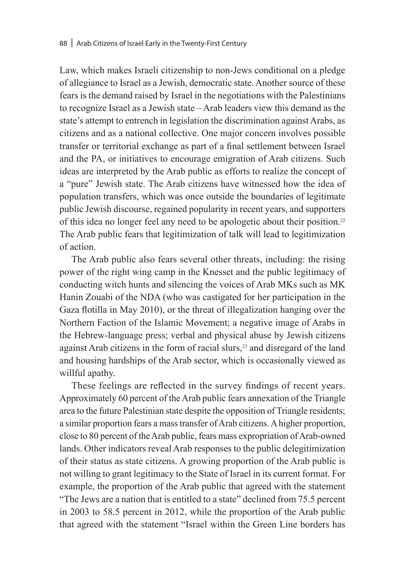Law, which makes Israeli citizenship to non-Jews conditional on a pledge of allegiance to Israel as a Jewish, democratic state. Another source of these fears is the demand raised by Israel in the negotiations with the Palestinians to recognize Israel as a Jewish state – Arab leaders view this demand as the state's attempt to entrench in legislation the discrimination against Arabs, as citizens and as a national collective. One major concern involves possible transfer or territorial exchange as part of a final settlement between Israel and the PA, or initiatives to encourage emigration of Arab citizens. Such ideas are interpreted by the Arab public as efforts to realize the concept of a "pure" Jewish state. The Arab citizens have witnessed how the idea of population transfers, which was once outside the boundaries of legitimate public Jewish discourse, regained popularity in recent years, and supporters of this idea no longer feel any need to be apologetic about their position.22 The Arab public fears that legitimization of talk will lead to legitimization of action.

The Arab public also fears several other threats, including: the rising power of the right wing camp in the Knesset and the public legitimacy of conducting witch hunts and silencing the voices of Arab MKs such as MK Hanin Zouabi of the NDA (who was castigated for her participation in the Gaza flotilla in May 2010), or the threat of illegalization hanging over the Northern Faction of the Islamic Movement; a negative image of Arabs in the Hebrew-language press; verbal and physical abuse by Jewish citizens against Arab citizens in the form of racial slurs,23 and disregard of the land and housing hardships of the Arab sector, which is occasionally viewed as willful apathy.

These feelings are reflected in the survey findings of recent years. Approximately 60 percent of the Arab public fears annexation of the Triangle area to the future Palestinian state despite the opposition of Triangle residents; a similar proportion fears a mass transfer of Arab citizens. A higher proportion, close to 80 percent of the Arab public, fears mass expropriation of Arab-owned lands. Other indicators reveal Arab responses to the public delegitimization of their status as state citizens. A growing proportion of the Arab public is not willing to grant legitimacy to the State of Israel in its current format. For example, the proportion of the Arab public that agreed with the statement "The Jews are a nation that is entitled to a state" declined from 75.5 percent in 2003 to 58.5 percent in 2012, while the proportion of the Arab public that agreed with the statement "Israel within the Green Line borders has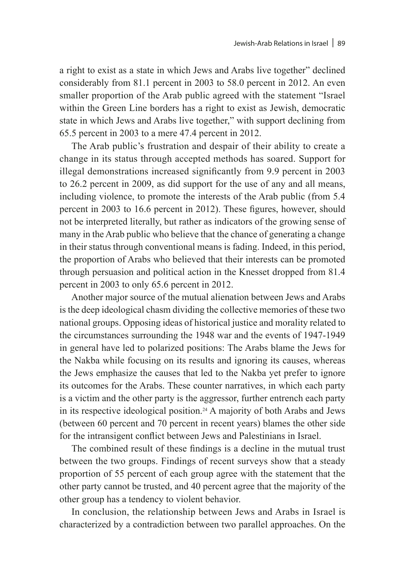a right to exist as a state in which Jews and Arabs live together" declined considerably from 81.1 percent in 2003 to 58.0 percent in 2012. An even smaller proportion of the Arab public agreed with the statement "Israel within the Green Line borders has a right to exist as Jewish, democratic state in which Jews and Arabs live together," with support declining from 65.5 percent in 2003 to a mere 47.4 percent in 2012.

The Arab public's frustration and despair of their ability to create a change in its status through accepted methods has soared. Support for illegal demonstrations increased significantly from 9.9 percent in 2003 to 26.2 percent in 2009, as did support for the use of any and all means, including violence, to promote the interests of the Arab public (from 5.4 percent in 2003 to 16.6 percent in 2012). These figures, however, should not be interpreted literally, but rather as indicators of the growing sense of many in the Arab public who believe that the chance of generating a change in their status through conventional means is fading. Indeed, in this period, the proportion of Arabs who believed that their interests can be promoted through persuasion and political action in the Knesset dropped from 81.4 percent in 2003 to only 65.6 percent in 2012.

Another major source of the mutual alienation between Jews and Arabs is the deep ideological chasm dividing the collective memories of these two national groups. Opposing ideas of historical justice and morality related to the circumstances surrounding the 1948 war and the events of 1947-1949 in general have led to polarized positions: The Arabs blame the Jews for the Nakba while focusing on its results and ignoring its causes, whereas the Jews emphasize the causes that led to the Nakba yet prefer to ignore its outcomes for the Arabs. These counter narratives, in which each party is a victim and the other party is the aggressor, further entrench each party in its respective ideological position.24 A majority of both Arabs and Jews (between 60 percent and 70 percent in recent years) blames the other side for the intransigent conflict between Jews and Palestinians in Israel.

The combined result of these findings is a decline in the mutual trust between the two groups. Findings of recent surveys show that a steady proportion of 55 percent of each group agree with the statement that the other party cannot be trusted, and 40 percent agree that the majority of the other group has a tendency to violent behavior.

In conclusion, the relationship between Jews and Arabs in Israel is characterized by a contradiction between two parallel approaches. On the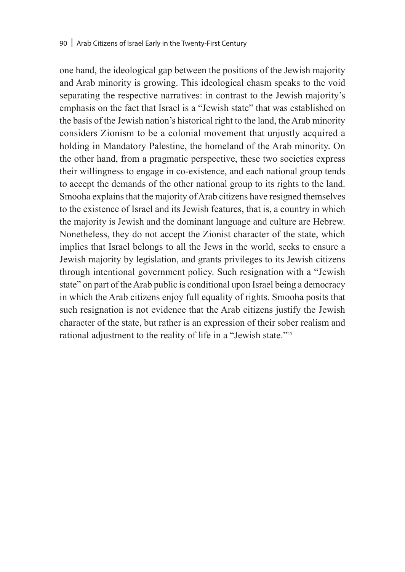one hand, the ideological gap between the positions of the Jewish majority and Arab minority is growing. This ideological chasm speaks to the void separating the respective narratives: in contrast to the Jewish majority's emphasis on the fact that Israel is a "Jewish state" that was established on the basis of the Jewish nation's historical right to the land, the Arab minority considers Zionism to be a colonial movement that unjustly acquired a holding in Mandatory Palestine, the homeland of the Arab minority. On the other hand, from a pragmatic perspective, these two societies express their willingness to engage in co-existence, and each national group tends to accept the demands of the other national group to its rights to the land. Smooha explains that the majority of Arab citizens have resigned themselves to the existence of Israel and its Jewish features, that is, a country in which the majority is Jewish and the dominant language and culture are Hebrew. Nonetheless, they do not accept the Zionist character of the state, which implies that Israel belongs to all the Jews in the world, seeks to ensure a Jewish majority by legislation, and grants privileges to its Jewish citizens through intentional government policy. Such resignation with a "Jewish state" on part of the Arab public is conditional upon Israel being a democracy in which the Arab citizens enjoy full equality of rights. Smooha posits that such resignation is not evidence that the Arab citizens justify the Jewish character of the state, but rather is an expression of their sober realism and rational adjustment to the reality of life in a "Jewish state."25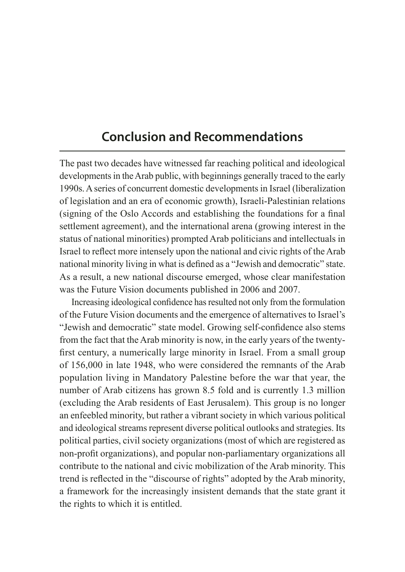# **Conclusion and Recommendations**

The past two decades have witnessed far reaching political and ideological developments in the Arab public, with beginnings generally traced to the early 1990s. A series of concurrent domestic developments in Israel (liberalization of legislation and an era of economic growth), Israeli-Palestinian relations (signing of the Oslo Accords and establishing the foundations for a final settlement agreement), and the international arena (growing interest in the status of national minorities) prompted Arab politicians and intellectuals in Israel to reflect more intensely upon the national and civic rights of the Arab national minority living in what is defined as a "Jewish and democratic" state. As a result, a new national discourse emerged, whose clear manifestation was the Future Vision documents published in 2006 and 2007.

Increasing ideological confidence has resulted not only from the formulation of the Future Vision documents and the emergence of alternatives to Israel's "Jewish and democratic" state model. Growing self-confidence also stems from the fact that the Arab minority is now, in the early years of the twentyfirst century, a numerically large minority in Israel. From a small group of 156,000 in late 1948, who were considered the remnants of the Arab population living in Mandatory Palestine before the war that year, the number of Arab citizens has grown 8.5 fold and is currently 1.3 million (excluding the Arab residents of East Jerusalem). This group is no longer an enfeebled minority, but rather a vibrant society in which various political and ideological streams represent diverse political outlooks and strategies. Its political parties, civil society organizations (most of which are registered as non-profit organizations), and popular non-parliamentary organizations all contribute to the national and civic mobilization of the Arab minority. This trend is reflected in the "discourse of rights" adopted by the Arab minority, a framework for the increasingly insistent demands that the state grant it the rights to which it is entitled.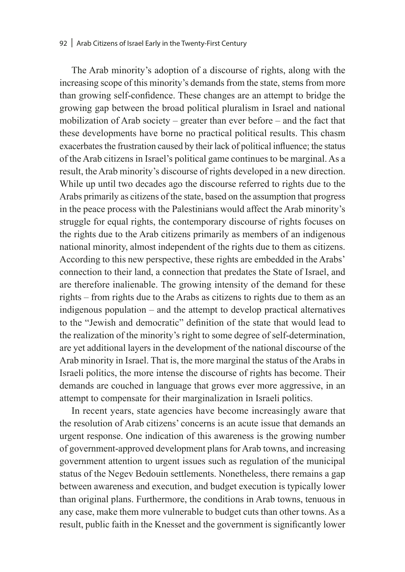#### 92 | Arab Citizens of Israel Early in the Twenty-First Century

The Arab minority's adoption of a discourse of rights, along with the increasing scope of this minority's demands from the state, stems from more than growing self-confidence. These changes are an attempt to bridge the growing gap between the broad political pluralism in Israel and national mobilization of Arab society – greater than ever before – and the fact that these developments have borne no practical political results. This chasm exacerbates the frustration caused by their lack of political influence; the status of the Arab citizens in Israel's political game continues to be marginal. As a result, the Arab minority's discourse of rights developed in a new direction. While up until two decades ago the discourse referred to rights due to the Arabs primarily as citizens of the state, based on the assumption that progress in the peace process with the Palestinians would affect the Arab minority's struggle for equal rights, the contemporary discourse of rights focuses on the rights due to the Arab citizens primarily as members of an indigenous national minority, almost independent of the rights due to them as citizens. According to this new perspective, these rights are embedded in the Arabs' connection to their land, a connection that predates the State of Israel, and are therefore inalienable. The growing intensity of the demand for these rights – from rights due to the Arabs as citizens to rights due to them as an indigenous population – and the attempt to develop practical alternatives to the "Jewish and democratic" definition of the state that would lead to the realization of the minority's right to some degree of self-determination, are yet additional layers in the development of the national discourse of the Arab minority in Israel. That is, the more marginal the status of the Arabs in Israeli politics, the more intense the discourse of rights has become. Their demands are couched in language that grows ever more aggressive, in an attempt to compensate for their marginalization in Israeli politics.

In recent years, state agencies have become increasingly aware that the resolution of Arab citizens' concerns is an acute issue that demands an urgent response. One indication of this awareness is the growing number of government-approved development plans for Arab towns, and increasing government attention to urgent issues such as regulation of the municipal status of the Negev Bedouin settlements. Nonetheless, there remains a gap between awareness and execution, and budget execution is typically lower than original plans. Furthermore, the conditions in Arab towns, tenuous in any case, make them more vulnerable to budget cuts than other towns. As a result, public faith in the Knesset and the government is significantly lower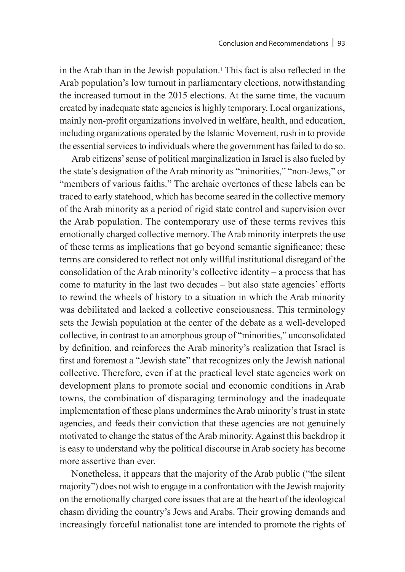in the Arab than in the Jewish population.1 This fact is also reflected in the Arab population's low turnout in parliamentary elections, notwithstanding the increased turnout in the 2015 elections. At the same time, the vacuum created by inadequate state agencies is highly temporary. Local organizations, mainly non-profit organizations involved in welfare, health, and education, including organizations operated by the Islamic Movement, rush in to provide the essential services to individuals where the government has failed to do so.

Arab citizens' sense of political marginalization in Israel is also fueled by the state's designation of the Arab minority as "minorities," "non-Jews," or "members of various faiths." The archaic overtones of these labels can be traced to early statehood, which has become seared in the collective memory of the Arab minority as a period of rigid state control and supervision over the Arab population. The contemporary use of these terms revives this emotionally charged collective memory. The Arab minority interprets the use of these terms as implications that go beyond semantic significance; these terms are considered to reflect not only willful institutional disregard of the consolidation of the Arab minority's collective identity – a process that has come to maturity in the last two decades – but also state agencies' efforts to rewind the wheels of history to a situation in which the Arab minority was debilitated and lacked a collective consciousness. This terminology sets the Jewish population at the center of the debate as a well-developed collective, in contrast to an amorphous group of "minorities," unconsolidated by definition, and reinforces the Arab minority's realization that Israel is first and foremost a "Jewish state" that recognizes only the Jewish national collective. Therefore, even if at the practical level state agencies work on development plans to promote social and economic conditions in Arab towns, the combination of disparaging terminology and the inadequate implementation of these plans undermines the Arab minority's trust in state agencies, and feeds their conviction that these agencies are not genuinely motivated to change the status of the Arab minority. Against this backdrop it is easy to understand why the political discourse in Arab society has become more assertive than ever.

Nonetheless, it appears that the majority of the Arab public ("the silent majority") does not wish to engage in a confrontation with the Jewish majority on the emotionally charged core issues that are at the heart of the ideological chasm dividing the country's Jews and Arabs. Their growing demands and increasingly forceful nationalist tone are intended to promote the rights of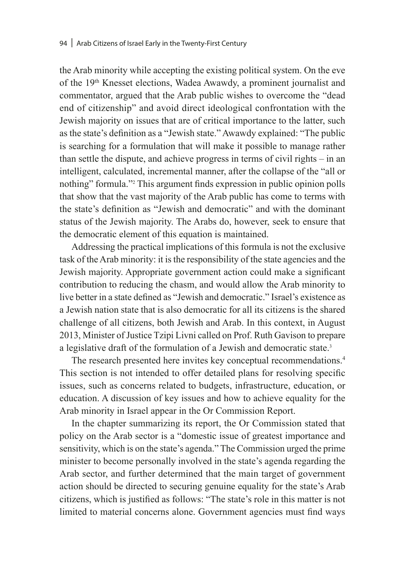the Arab minority while accepting the existing political system. On the eve of the 19th Knesset elections, Wadea Awawdy, a prominent journalist and commentator, argued that the Arab public wishes to overcome the "dead end of citizenship" and avoid direct ideological confrontation with the Jewish majority on issues that are of critical importance to the latter, such as the state's definition as a "Jewish state." Awawdy explained: "The public is searching for a formulation that will make it possible to manage rather than settle the dispute, and achieve progress in terms of civil rights – in an intelligent, calculated, incremental manner, after the collapse of the "all or nothing" formula."2 This argument finds expression in public opinion polls that show that the vast majority of the Arab public has come to terms with the state's definition as "Jewish and democratic" and with the dominant status of the Jewish majority. The Arabs do, however, seek to ensure that the democratic element of this equation is maintained.

Addressing the practical implications of this formula is not the exclusive task of the Arab minority: it is the responsibility of the state agencies and the Jewish majority. Appropriate government action could make a significant contribution to reducing the chasm, and would allow the Arab minority to live better in a state defined as "Jewish and democratic." Israel's existence as a Jewish nation state that is also democratic for all its citizens is the shared challenge of all citizens, both Jewish and Arab. In this context, in August 2013, Minister of Justice Tzipi Livni called on Prof. Ruth Gavison to prepare a legislative draft of the formulation of a Jewish and democratic state.<sup>3</sup>

The research presented here invites key conceptual recommendations.4 This section is not intended to offer detailed plans for resolving specific issues, such as concerns related to budgets, infrastructure, education, or education. A discussion of key issues and how to achieve equality for the Arab minority in Israel appear in the Or Commission Report.

In the chapter summarizing its report, the Or Commission stated that policy on the Arab sector is a "domestic issue of greatest importance and sensitivity, which is on the state's agenda." The Commission urged the prime minister to become personally involved in the state's agenda regarding the Arab sector, and further determined that the main target of government action should be directed to securing genuine equality for the state's Arab citizens, which is justified as follows: "The state's role in this matter is not limited to material concerns alone. Government agencies must find ways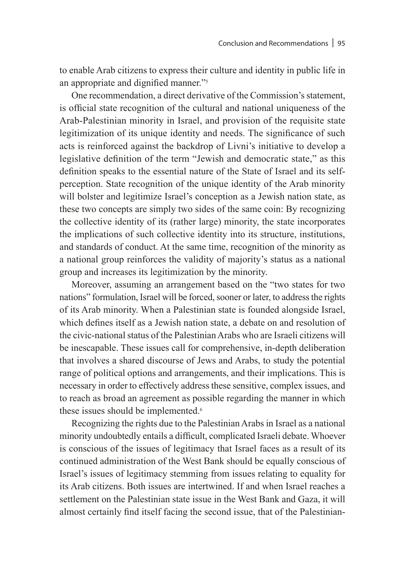to enable Arab citizens to express their culture and identity in public life in an appropriate and dignified manner."<sup>5</sup>

One recommendation, a direct derivative of the Commission's statement, is official state recognition of the cultural and national uniqueness of the Arab-Palestinian minority in Israel, and provision of the requisite state legitimization of its unique identity and needs. The significance of such acts is reinforced against the backdrop of Livni's initiative to develop a legislative definition of the term "Jewish and democratic state," as this definition speaks to the essential nature of the State of Israel and its selfperception. State recognition of the unique identity of the Arab minority will bolster and legitimize Israel's conception as a Jewish nation state, as these two concepts are simply two sides of the same coin: By recognizing the collective identity of its (rather large) minority, the state incorporates the implications of such collective identity into its structure, institutions, and standards of conduct. At the same time, recognition of the minority as a national group reinforces the validity of majority's status as a national group and increases its legitimization by the minority.

Moreover, assuming an arrangement based on the "two states for two nations" formulation, Israel will be forced, sooner or later, to address the rights of its Arab minority. When a Palestinian state is founded alongside Israel, which defines itself as a Jewish nation state, a debate on and resolution of the civic-national status of the Palestinian Arabs who are Israeli citizens will be inescapable. These issues call for comprehensive, in-depth deliberation that involves a shared discourse of Jews and Arabs, to study the potential range of political options and arrangements, and their implications. This is necessary in order to effectively address these sensitive, complex issues, and to reach as broad an agreement as possible regarding the manner in which these issues should be implemented.<sup>6</sup>

Recognizing the rights due to the Palestinian Arabs in Israel as a national minority undoubtedly entails a difficult, complicated Israeli debate. Whoever is conscious of the issues of legitimacy that Israel faces as a result of its continued administration of the West Bank should be equally conscious of Israel's issues of legitimacy stemming from issues relating to equality for its Arab citizens. Both issues are intertwined. If and when Israel reaches a settlement on the Palestinian state issue in the West Bank and Gaza, it will almost certainly find itself facing the second issue, that of the Palestinian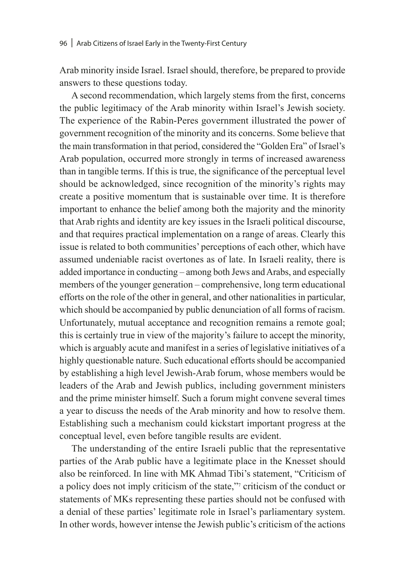Arab minority inside Israel. Israel should, therefore, be prepared to provide answers to these questions today.

A second recommendation, which largely stems from the first, concerns the public legitimacy of the Arab minority within Israel's Jewish society. The experience of the Rabin-Peres government illustrated the power of government recognition of the minority and its concerns. Some believe that the main transformation in that period, considered the "Golden Era" of Israel's Arab population, occurred more strongly in terms of increased awareness than in tangible terms. If this is true, the significance of the perceptual level should be acknowledged, since recognition of the minority's rights may create a positive momentum that is sustainable over time. It is therefore important to enhance the belief among both the majority and the minority that Arab rights and identity are key issues in the Israeli political discourse, and that requires practical implementation on a range of areas. Clearly this issue is related to both communities' perceptions of each other, which have assumed undeniable racist overtones as of late. In Israeli reality, there is added importance in conducting – among both Jews and Arabs, and especially members of the younger generation – comprehensive, long term educational efforts on the role of the other in general, and other nationalities in particular, which should be accompanied by public denunciation of all forms of racism. Unfortunately, mutual acceptance and recognition remains a remote goal; this is certainly true in view of the majority's failure to accept the minority, which is arguably acute and manifest in a series of legislative initiatives of a highly questionable nature. Such educational efforts should be accompanied by establishing a high level Jewish-Arab forum, whose members would be leaders of the Arab and Jewish publics, including government ministers and the prime minister himself. Such a forum might convene several times a year to discuss the needs of the Arab minority and how to resolve them. Establishing such a mechanism could kickstart important progress at the conceptual level, even before tangible results are evident.

The understanding of the entire Israeli public that the representative parties of the Arab public have a legitimate place in the Knesset should also be reinforced. In line with MK Ahmad Tibi's statement, "Criticism of a policy does not imply criticism of the state,"7 criticism of the conduct or statements of MKs representing these parties should not be confused with a denial of these parties' legitimate role in Israel's parliamentary system. In other words, however intense the Jewish public's criticism of the actions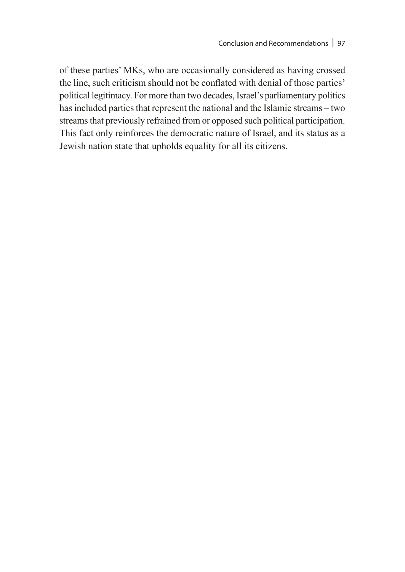of these parties' MKs, who are occasionally considered as having crossed the line, such criticism should not be conflated with denial of those parties' political legitimacy. For more than two decades, Israel's parliamentary politics has included parties that represent the national and the Islamic streams – two streams that previously refrained from or opposed such political participation. This fact only reinforces the democratic nature of Israel, and its status as a Jewish nation state that upholds equality for all its citizens.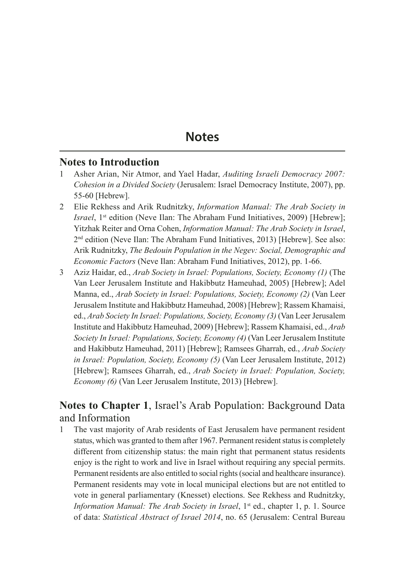# **Notes**

#### **Notes to Introduction**

- 1 Asher Arian, Nir Atmor, and Yael Hadar, *Auditing Israeli Democracy 2007: Cohesion in a Divided Society* (Jerusalem: Israel Democracy Institute, 2007), pp. 55-60 [Hebrew].
- 2 Elie Rekhess and Arik Rudnitzky, *Information Manual: The Arab Society in Israel*, 1<sup>st</sup> edition (Neve Ilan: The Abraham Fund Initiatives, 2009) [Hebrew]; Yitzhak Reiter and Orna Cohen, *Information Manual: The Arab Society in Israel*,  $2<sup>nd</sup>$  edition (Neve Ilan: The Abraham Fund Initiatives, 2013) [Hebrew]. See also: Arik Rudnitzky, *The Bedouin Population in the Negev: Social, Demographic and Economic Factors* (Neve Ilan: Abraham Fund Initiatives, 2012), pp. 1-66.
- 3 Aziz Haidar, ed., *Arab Society in Israel: Populations, Society, Economy (1)* (The Van Leer Jerusalem Institute and Hakibbutz Hameuhad, 2005) [Hebrew]; Adel Manna, ed., *Arab Society in Israel: Populations, Society, Economy (2)* (Van Leer Jerusalem Institute and Hakibbutz Hameuhad, 2008) [Hebrew]; Rassem Khamaisi, ed., *Arab Society In Israel: Populations, Society, Economy (3)* (Van Leer Jerusalem Institute and Hakibbutz Hameuhad, 2009) [Hebrew]; Rassem Khamaisi, ed., *Arab Society In Israel: Populations, Society, Economy (4)* (Van Leer Jerusalem Institute and Hakibbutz Hameuhad, 2011) [Hebrew]; Ramsees Gharrah, ed., *Arab Society in Israel: Population, Society, Economy (5)* (Van Leer Jerusalem Institute, 2012) [Hebrew]; Ramsees Gharrah, ed., *Arab Society in Israel: Population, Society, Economy (6)* (Van Leer Jerusalem Institute, 2013) [Hebrew].

# **Notes to Chapter 1**, Israel's Arab Population: Background Data and Information

1 The vast majority of Arab residents of East Jerusalem have permanent resident status, which was granted to them after 1967. Permanent resident status is completely different from citizenship status: the main right that permanent status residents enjoy is the right to work and live in Israel without requiring any special permits. Permanent residents are also entitled to social rights (social and healthcare insurance). Permanent residents may vote in local municipal elections but are not entitled to vote in general parliamentary (Knesset) elections. See Rekhess and Rudnitzky, *Information Manual: The Arab Society in Israel*, 1<sup>st</sup> ed., chapter 1, p. 1. Source of data: *Statistical Abstract of Israel 2014*, no. 65 (Jerusalem: Central Bureau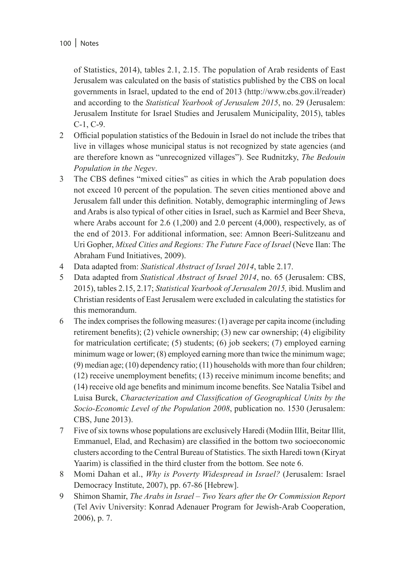of Statistics, 2014), tables 2.1, 2.15. The population of Arab residents of East Jerusalem was calculated on the basis of statistics published by the CBS on local governments in Israel, updated to the end of 2013 (http://www.cbs.gov.il/reader) and according to the *Statistical Yearbook of Jerusalem 2015*, no. 29 (Jerusalem: Jerusalem Institute for Israel Studies and Jerusalem Municipality, 2015), tables C-1, C-9.

- 2 Official population statistics of the Bedouin in Israel do not include the tribes that live in villages whose municipal status is not recognized by state agencies (and are therefore known as "unrecognized villages"). See Rudnitzky, *The Bedouin Population in the Negev*.
- 3 The CBS defines "mixed cities" as cities in which the Arab population does not exceed 10 percent of the population. The seven cities mentioned above and Jerusalem fall under this definition. Notably, demographic intermingling of Jews and Arabs is also typical of other cities in Israel, such as Karmiel and Beer Sheva, where Arabs account for  $2.6$  (1,200) and  $2.0$  percent (4,000), respectively, as of the end of 2013. For additional information, see: Amnon Beeri-Sulitzeanu and Uri Gopher, *Mixed Cities and Regions: The Future Face of Israel* (Neve Ilan: The Abraham Fund Initiatives, 2009).
- 4 Data adapted from: *Statistical Abstract of Israel 2014*, table 2.17.
- 5 Data adapted from *Statistical Abstract of Israel 2014*, no. 65 (Jerusalem: CBS, 2015), tables 2.15, 2.17; *Statistical Yearbook of Jerusalem 2015,* ibid. Muslim and Christian residents of East Jerusalem were excluded in calculating the statistics for this memorandum.
- 6 The index comprises the following measures: (1) average per capita income (including retirement benefits); (2) vehicle ownership; (3) new car ownership; (4) eligibility for matriculation certificate; (5) students; (6) job seekers; (7) employed earning minimum wage or lower; (8) employed earning more than twice the minimum wage; (9) median age; (10) dependency ratio; (11) households with more than four children; (12) receive unemployment benefits; (13) receive minimum income benefits; and (14) receive old age benefits and minimum income benefits. See Natalia Tsibel and Luisa Burck, *Characterization and Classification of Geographical Units by the Socio-Economic Level of the Population 2008*, publication no. 1530 (Jerusalem: CBS, June 2013).
- 7 Five of six towns whose populations are exclusively Haredi (Modiin IlIit, Beitar Illit, Emmanuel, Elad, and Rechasim) are classified in the bottom two socioeconomic clusters according to the Central Bureau of Statistics. The sixth Haredi town (Kiryat Yaarim) is classified in the third cluster from the bottom. See note 6.
- 8 Momi Dahan et al., *Why is Poverty Widespread in Israel?* (Jerusalem: Israel Democracy Institute, 2007), pp. 67-86 [Hebrew].
- 9 Shimon Shamir, *The Arabs in Israel Two Years after the Or Commission Report* (Tel Aviv University: Konrad Adenauer Program for Jewish-Arab Cooperation, 2006), p. 7.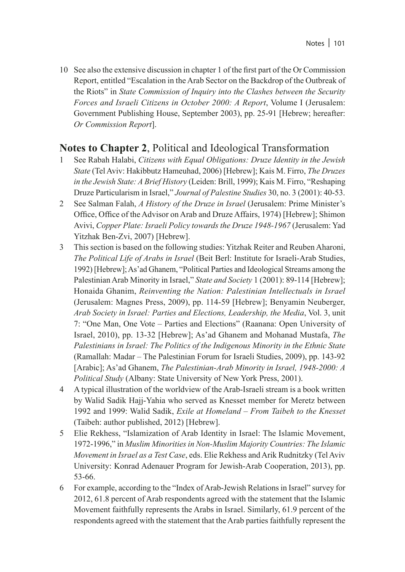10 See also the extensive discussion in chapter 1 of the first part of the Or Commission Report, entitled "Escalation in the Arab Sector on the Backdrop of the Outbreak of the Riots" in *State Commission of Inquiry into the Clashes between the Security Forces and Israeli Citizens in October 2000: A Report*, Volume I (Jerusalem: Government Publishing House, September 2003), pp. 25-91 [Hebrew; hereafter: *Or Commission Report*].

## **Notes to Chapter 2**, Political and Ideological Transformation

- 1 See Rabah Halabi, *Citizens with Equal Obligations: Druze Identity in the Jewish State* (Tel Aviv: Hakibbutz Hameuhad, 2006) [Hebrew]; Kais M. Firro, *The Druzes in the Jewish State: A Brief History* (Leiden: Brill, 1999); Kais M. Firro, "Reshaping Druze Particularism in Israel," *Journal of Palestine Studies* 30, no. 3 (2001): 40-53.
- 2 See Salman Falah, *A History of the Druze in Israel* (Jerusalem: Prime Minister's Office, Office of the Advisor on Arab and Druze Affairs, 1974) [Hebrew]; Shimon Avivi, *Copper Plate: Israeli Policy towards the Druze 1948-1967* (Jerusalem: Yad Yitzhak Ben-Zvi, 2007) [Hebrew].
- 3 This section is based on the following studies: Yitzhak Reiter and Reuben Aharoni, *The Political Life of Arabs in Israel* (Beit Berl: Institute for Israeli-Arab Studies, 1992) [Hebrew]; As'ad Ghanem, "Political Parties and Ideological Streams among the Palestinian Arab Minority in Israel," *State and Society* 1 (2001): 89-114 [Hebrew]; Honaida Ghanim, *Reinventing the Nation: Palestinian Intellectuals in Israel* (Jerusalem: Magnes Press, 2009), pp. 114-59 [Hebrew]; Benyamin Neuberger, *Arab Society in Israel: Parties and Elections, Leadership, the Media*, Vol. 3, unit 7: "One Man, One Vote – Parties and Elections" (Raanana: Open University of Israel, 2010), pp. 13-32 [Hebrew]; As'ad Ghanem and Mohanad Mustafa, *The Palestinians in Israel: The Politics of the Indigenous Minority in the Ethnic State* (Ramallah: Madar – The Palestinian Forum for Israeli Studies, 2009), pp. 143-92 [Arabic]; As'ad Ghanem, *The Palestinian-Arab Minority in Israel, 1948-2000: A Political Study* (Albany: State University of New York Press, 2001).
- 4 A typical illustration of the worldview of the Arab-Israeli stream is a book written by Walid Sadik Hajj-Yahia who served as Knesset member for Meretz between 1992 and 1999: Walid Sadik, *Exile at Homeland – From Taibeh to the Knesset* (Taibeh: author published, 2012) [Hebrew].
- 5 Elie Rekhess, "Islamization of Arab Identity in Israel: The Islamic Movement, 1972-1996," in *Muslim Minorities in Non-Muslim Majority Countries: The Islamic Movement in Israel as a Test Case*, eds. Elie Rekhess and Arik Rudnitzky (Tel Aviv University: Konrad Adenauer Program for Jewish-Arab Cooperation, 2013), pp. 53-66.
- 6 For example, according to the "Index of Arab-Jewish Relations in Israel" survey for 2012, 61.8 percent of Arab respondents agreed with the statement that the Islamic Movement faithfully represents the Arabs in Israel. Similarly, 61.9 percent of the respondents agreed with the statement that the Arab parties faithfully represent the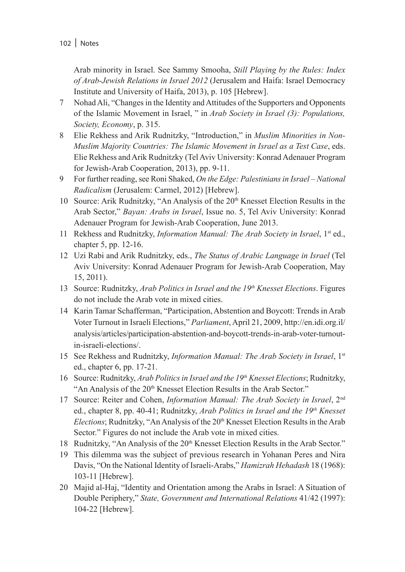Arab minority in Israel. See Sammy Smooha, *Still Playing by the Rules: Index of Arab-Jewish Relations in Israel 2012* (Jerusalem and Haifa: Israel Democracy Institute and University of Haifa, 2013), p. 105 [Hebrew].

- 7 Nohad Ali, "Changes in the Identity and Attitudes of the Supporters and Opponents of the Islamic Movement in Israel, " in *Arab Society in Israel (3): Populations, Society, Economy*, p. 315.
- 8 Elie Rekhess and Arik Rudnitzky, "Introduction," in *Muslim Minorities in Non-Muslim Majority Countries: The Islamic Movement in Israel as a Test Case*, eds. Elie Rekhess and Arik Rudnitzky (Tel Aviv University: Konrad Adenauer Program for Jewish-Arab Cooperation, 2013), pp. 9-11.
- 9 For further reading, see Roni Shaked, *On the Edge: Palestinians in Israel National Radicalism* (Jerusalem: Carmel, 2012) [Hebrew].
- 10 Source: Arik Rudnitzky, "An Analysis of the 20<sup>th</sup> Knesset Election Results in the Arab Sector," *Bayan: Arabs in Israel*, Issue no. 5, Tel Aviv University: Konrad Adenauer Program for Jewish-Arab Cooperation, June 2013.
- 11 Rekhess and Rudnitzky, *Information Manual: The Arab Society in Israel*, 1st ed., chapter 5, pp. 12-16.
- 12 Uzi Rabi and Arik Rudnitzky, eds., *The Status of Arabic Language in Israel* (Tel Aviv University: Konrad Adenauer Program for Jewish-Arab Cooperation, May 15, 2011).
- 13 Source: Rudnitzky, *Arab Politics in Israel and the 19th Knesset Elections*. Figures do not include the Arab vote in mixed cities.
- 14 Karin Tamar Schafferman, "Participation, Abstention and Boycott: Trends in Arab Voter Turnout in Israeli Elections," *Parliament*, April 21, 2009, http://en.idi.org.il/ analysis/articles/participation-abstention-and-boycott-trends-in-arab-voter-turnoutin-israeli-elections/.
- 15 See Rekhess and Rudnitzky, *Information Manual: The Arab Society in Israel*, 1st ed., chapter 6, pp. 17-21.
- 16 Source: Rudnitzky, *Arab Politics in Israel and the 19th Knesset Elections*; Rudnitzky, "An Analysis of the 20<sup>th</sup> Knesset Election Results in the Arab Sector."
- 17 Source: Reiter and Cohen, *Information Manual: The Arab Society in Israel*, 2nd ed., chapter 8, pp. 40-41; Rudnitzky, *Arab Politics in Israel and the 19th Knesset Elections*; Rudnitzky, "An Analysis of the 20<sup>th</sup> Knesset Election Results in the Arab Sector." Figures do not include the Arab vote in mixed cities.
- 18 Rudnitzky, "An Analysis of the 20<sup>th</sup> Knesset Election Results in the Arab Sector."
- 19 This dilemma was the subject of previous research in Yohanan Peres and Nira Davis, "On the National Identity of Israeli-Arabs," *Hamizrah Hehadash* 18 (1968): 103-11 [Hebrew].
- 20 Majid al-Haj, "Identity and Orientation among the Arabs in Israel: A Situation of Double Periphery," *State, Government and International Relations* 41/42 (1997): 104-22 [Hebrew].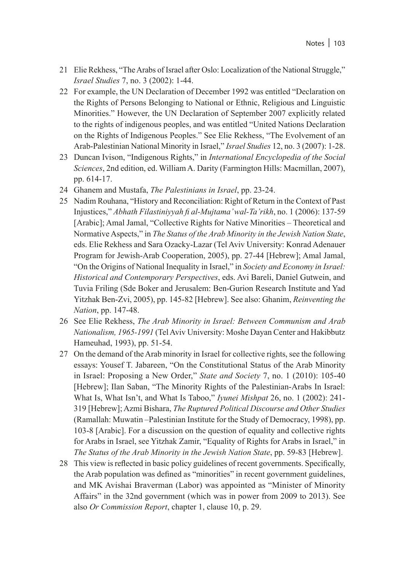- 21 Elie Rekhess, "The Arabs of Israel after Oslo: Localization of the National Struggle," *Israel Studies* 7, no. 3 (2002): 1-44.
- 22 For example, the UN Declaration of December 1992 was entitled "Declaration on the Rights of Persons Belonging to National or Ethnic, Religious and Linguistic Minorities." However, the UN Declaration of September 2007 explicitly related to the rights of indigenous peoples, and was entitled "United Nations Declaration on the Rights of Indigenous Peoples." See Elie Rekhess, "The Evolvement of an Arab-Palestinian National Minority in Israel," *Israel Studies* 12, no. 3 (2007): 1-28.
- 23 Duncan Ivison, "Indigenous Rights," in *International Encyclopedia of the Social Sciences*, 2nd edition, ed. William A. Darity (Farmington Hills: Macmillan, 2007), pp. 614-17.
- 24 Ghanem and Mustafa, *The Palestinians in Israel*, pp. 23-24.
- 25 Nadim Rouhana, "History and Reconciliation: Right of Return in the Context of Past Injustices," *Abhath Filastiniyyah fi al-Mujtama' wal-Ta'rikh*, no. 1 (2006): 137-59 [Arabic]; Amal Jamal, "Collective Rights for Native Minorities – Theoretical and Normative Aspects," in *The Status of the Arab Minority in the Jewish Nation State*, eds. Elie Rekhess and Sara Ozacky-Lazar (Tel Aviv University: Konrad Adenauer Program for Jewish-Arab Cooperation, 2005), pp. 27-44 [Hebrew]; Amal Jamal, "On the Origins of National Inequality in Israel," in *Society and Economy in Israel: Historical and Contemporary Perspectives*, eds. Avi Bareli, Daniel Gutwein, and Tuvia Friling (Sde Boker and Jerusalem: Ben-Gurion Research Institute and Yad Yitzhak Ben-Zvi, 2005), pp. 145-82 [Hebrew]. See also: Ghanim, *Reinventing the Nation*, pp. 147-48.
- 26 See Elie Rekhess, *The Arab Minority in Israel: Between Communism and Arab Nationalism, 1965-1991* (Tel Aviv University: Moshe Dayan Center and Hakibbutz Hameuhad, 1993), pp. 51-54.
- 27 On the demand of the Arab minority in Israel for collective rights, see the following essays: Yousef T. Jabareen, "On the Constitutional Status of the Arab Minority in Israel: Proposing a New Order," *State and Society* 7, no. 1 (2010): 105-40 [Hebrew]; Ilan Saban, "The Minority Rights of the Palestinian-Arabs In Israel: What Is, What Isn't, and What Is Taboo," *Iyunei Mishpat* 26, no. 1 (2002): 241- 319 [Hebrew]; Azmi Bishara, *The Ruptured Political Discourse and Other Studies* (Ramallah: Muwatin –Palestinian Institute for the Study of Democracy, 1998), pp. 103-8 [Arabic]. For a discussion on the question of equality and collective rights for Arabs in Israel, see Yitzhak Zamir, "Equality of Rights for Arabs in Israel," in *The Status of the Arab Minority in the Jewish Nation State*, pp. 59-83 [Hebrew].
- 28 This view is reflected in basic policy guidelines of recent governments. Specifically, the Arab population was defined as "minorities" in recent government guidelines, and MK Avishai Braverman (Labor) was appointed as "Minister of Minority Affairs" in the 32nd government (which was in power from 2009 to 2013). See also *Or Commission Report*, chapter 1, clause 10, p. 29.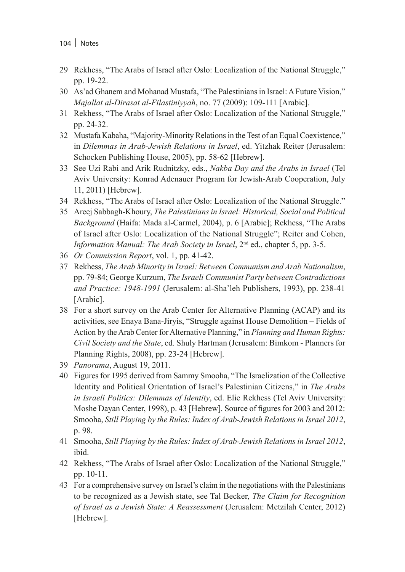- 29 Rekhess, "The Arabs of Israel after Oslo: Localization of the National Struggle," pp. 19-22.
- 30 As'ad Ghanem and Mohanad Mustafa, "The Palestinians in Israel: A Future Vision," *Majallat al-Dirasat al-Filastiniyyah*, no. 77 (2009): 109-111 [Arabic].
- 31 Rekhess, "The Arabs of Israel after Oslo: Localization of the National Struggle," pp. 24-32.
- 32 Mustafa Kabaha, "Majority-Minority Relations in the Test of an Equal Coexistence," in *Dilemmas in Arab-Jewish Relations in Israel*, ed. Yitzhak Reiter (Jerusalem: Schocken Publishing House, 2005), pp. 58-62 [Hebrew].
- 33 See Uzi Rabi and Arik Rudnitzky, eds., *Nakba Day and the Arabs in Israel* (Tel Aviv University: Konrad Adenauer Program for Jewish-Arab Cooperation, July 11, 2011) [Hebrew].
- 34 Rekhess, "The Arabs of Israel after Oslo: Localization of the National Struggle."
- 35 Areej Sabbagh-Khoury, *The Palestinians in Israel: Historical, Social and Political Background* (Haifa: Mada al-Carmel, 2004), p. 6 [Arabic]; Rekhess, "The Arabs of Israel after Oslo: Localization of the National Struggle"; Reiter and Cohen, *Information Manual: The Arab Society in Israel*,  $2<sup>nd</sup>$  ed., chapter 5, pp. 3-5.
- 36 *Or Commission Report*, vol. 1, pp. 41-42.
- 37 Rekhess, *The Arab Minority in Israel: Between Communism and Arab Nationalism*, pp. 79-84; George Kurzum, *The Israeli Communist Party between Contradictions and Practice: 1948-1991* (Jerusalem: al-Sha'leh Publishers, 1993), pp. 238-41 [Arabic].
- 38 For a short survey on the Arab Center for Alternative Planning (ACAP) and its activities, see Enaya Bana-Jiryis, "Struggle against House Demolition – Fields of Action by the Arab Center for Alternative Planning," in *Planning and Human Rights: Civil Society and the State*, ed. Shuly Hartman (Jerusalem: Bimkom - Planners for Planning Rights, 2008), pp. 23-24 [Hebrew].
- 39 *Panorama*, August 19, 2011.
- 40 Figures for 1995 derived from Sammy Smooha, "The Israelization of the Collective Identity and Political Orientation of Israel's Palestinian Citizens," in *The Arabs in Israeli Politics: Dilemmas of Identity*, ed. Elie Rekhess (Tel Aviv University: Moshe Dayan Center, 1998), p. 43 [Hebrew]. Source of figures for 2003 and 2012: Smooha, *Still Playing by the Rules: Index of Arab-Jewish Relations in Israel 2012*, p. 98.
- 41 Smooha, *Still Playing by the Rules: Index of Arab-Jewish Relations in Israel 2012*, ibid.
- 42 Rekhess, "The Arabs of Israel after Oslo: Localization of the National Struggle," pp. 10-11.
- 43 For a comprehensive survey on Israel's claim in the negotiations with the Palestinians to be recognized as a Jewish state, see Tal Becker, *The Claim for Recognition of Israel as a Jewish State: A Reassessment* (Jerusalem: Metzilah Center, 2012) [Hebrew].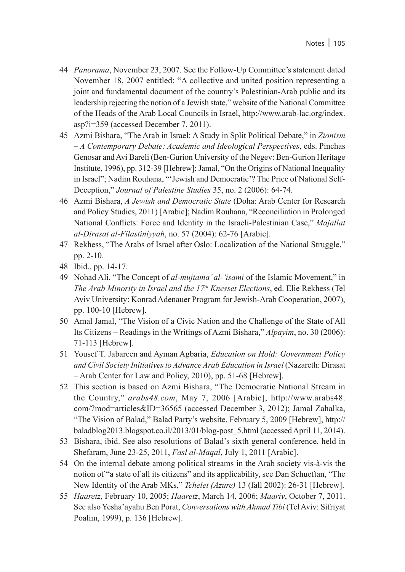- 44 *Panorama*, November 23, 2007. See the Follow-Up Committee's statement dated November 18, 2007 entitled: "A collective and united position representing a joint and fundamental document of the country's Palestinian-Arab public and its leadership rejecting the notion of a Jewish state," website of the National Committee of the Heads of the Arab Local Councils in Israel, http://www.arab-lac.org/index. asp?i=359 (accessed December 7, 2011).
- 45 Azmi Bishara, "The Arab in Israel: A Study in Split Political Debate," in *Zionism – A Contemporary Debate: Academic and Ideological Perspectives*, eds. Pinchas Genosar and Avi Bareli (Ben-Gurion University of the Negev: Ben-Gurion Heritage Institute, 1996), pp. 312-39 [Hebrew]; Jamal, "On the Origins of National Inequality in Israel"; Nadim Rouhana, "'Jewish and Democratic'? The Price of National Self-Deception," *Journal of Palestine Studies* 35, no. 2 (2006): 64-74.
- 46 Azmi Bishara, *A Jewish and Democratic State* (Doha: Arab Center for Research and Policy Studies, 2011) [Arabic]; Nadim Rouhana, "Reconciliation in Prolonged National Conflicts: Force and Identity in the Israeli-Palestinian Case," *Majallat al-Dirasat al-Filastiniyyah*, no. 57 (2004): 62-76 [Arabic].
- 47 Rekhess, "The Arabs of Israel after Oslo: Localization of the National Struggle," pp. 2-10.
- 48 Ibid., pp. 14-17.
- 49 Nohad Ali, "The Concept of *al-mujtama' al-'isami* of the Islamic Movement," in *The Arab Minority in Israel and the 17th Knesset Elections*, ed. Elie Rekhess (Tel Aviv University: Konrad Adenauer Program for Jewish-Arab Cooperation, 2007), pp. 100-10 [Hebrew].
- 50 Amal Jamal, "The Vision of a Civic Nation and the Challenge of the State of All Its Citizens – Readings in the Writings of Azmi Bishara," *Alpayim*, no. 30 (2006): 71-113 [Hebrew].
- 51 Yousef T. Jabareen and Ayman Agbaria, *Education on Hold: Government Policy and Civil Society Initiatives to Advance Arab Education in Israel* (Nazareth: Dirasat – Arab Center for Law and Policy, 2010), pp. 51-68 [Hebrew].
- 52 This section is based on Azmi Bishara, "The Democratic National Stream in the Country," *arabs48.com*, May 7, 2006 [Arabic], http://www.arabs48. com/?mod=articles&ID=36565 (accessed December 3, 2012); Jamal Zahalka, "The Vision of Balad," Balad Party's website, February 5, 2009 [Hebrew], http:// baladblog2013.blogspot.co.il/2013/01/blog-post\_5.html (accessed April 11, 2014).
- 53 Bishara, ibid. See also resolutions of Balad's sixth general conference, held in Shefaram, June 23-25, 2011, *Fasl al-Maqal*, July 1, 2011 [Arabic].
- 54 On the internal debate among political streams in the Arab society vis-à-vis the notion of "a state of all its citizens" and its applicability, see Dan Schueftan, "The New Identity of the Arab MKs," *Tchelet (Azure)* 13 (fall 2002): 26-31 [Hebrew].
- 55 *Haaretz*, February 10, 2005; *Haaretz*, March 14, 2006; *Maariv*, October 7, 2011. See also Yesha'ayahu Ben Porat, *Conversations with Ahmad Tibi* (Tel Aviv: Sifriyat Poalim, 1999), p. 136 [Hebrew].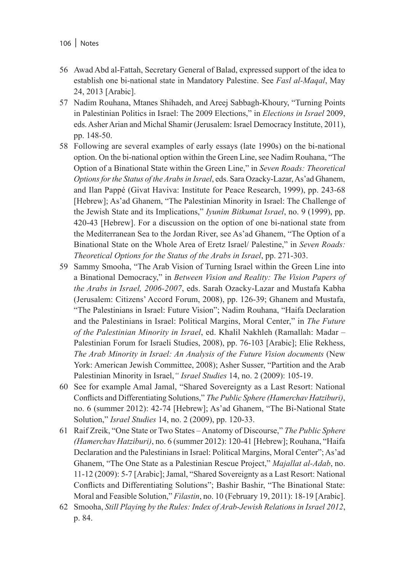- 56 Awad Abd al-Fattah, Secretary General of Balad, expressed support of the idea to establish one bi-national state in Mandatory Palestine. See *Fasl al-Maqal*, May 24, 2013 [Arabic].
- 57 Nadim Rouhana, Mtanes Shihadeh, and Areej Sabbagh-Khoury, "Turning Points in Palestinian Politics in Israel: The 2009 Elections," in *Elections in Israel* 2009, eds. Asher Arian and Michal Shamir (Jerusalem: Israel Democracy Institute, 2011), pp. 148-50.
- 58 Following are several examples of early essays (late 1990s) on the bi-national option. On the bi-national option within the Green Line, see Nadim Rouhana, "The Option of a Binational State within the Green Line," in *Seven Roads: Theoretical Options for the Status of the Arabs in Israel*, eds. Sara Ozacky-Lazar, As'ad Ghanem, and Ilan Pappé (Givat Haviva: Institute for Peace Research, 1999), pp. 243-68 [Hebrew]; As'ad Ghanem, "The Palestinian Minority in Israel: The Challenge of the Jewish State and its Implications," *Iyunim Bitkumat Israel*, no. 9 (1999), pp. 420-43 [Hebrew]. For a discussion on the option of one bi-national state from the Mediterranean Sea to the Jordan River, see As'ad Ghanem, "The Option of a Binational State on the Whole Area of Eretz Israel/ Palestine," in *Seven Roads: Theoretical Options for the Status of the Arabs in Israel*, pp. 271-303.
- 59 Sammy Smooha, "The Arab Vision of Turning Israel within the Green Line into a Binational Democracy," in *Between Vision and Reality: The Vision Papers of the Arabs in Israel, 2006-2007*, eds. Sarah Ozacky-Lazar and Mustafa Kabha (Jerusalem: Citizens' Accord Forum, 2008), pp. 126-39; Ghanem and Mustafa, "The Palestinians in Israel: Future Vision"; Nadim Rouhana, "Haifa Declaration and the Palestinians in Israel: Political Margins, Moral Center," in *The Future of the Palestinian Minority in Israel*, ed. Khalil Nakhleh (Ramallah: Madar – Palestinian Forum for Israeli Studies, 2008), pp. 76-103 [Arabic]; Elie Rekhess, *The Arab Minority in Israel: An Analysis of the Future Vision documents* (New York: American Jewish Committee, 2008); Asher Susser, "Partition and the Arab Palestinian Minority in Israel,*" Israel Studies* 14, no. 2 (2009): 105-19.
- 60 See for example Amal Jamal, "Shared Sovereignty as a Last Resort: National Conflicts and Differentiating Solutions," *The Public Sphere (Hamerchav Hatziburi)*, no. 6 (summer 2012): 42-74 [Hebrew]; As'ad Ghanem, "The Bi-National State Solution," *Israel Studies* 14, no. 2 (2009), pp. 120-33.
- 61 Raif Zreik, "One State or Two States Anatomy of Discourse," *The Public Sphere (Hamerchav Hatziburi)*, no. 6 (summer 2012): 120-41 [Hebrew]; Rouhana, "Haifa Declaration and the Palestinians in Israel: Political Margins, Moral Center"; As'ad Ghanem, "The One State as a Palestinian Rescue Project," *Majallat al-Adab*, no. 11-12 (2009): 5-7 [Arabic]; Jamal, "Shared Sovereignty as a Last Resort: National Conflicts and Differentiating Solutions"; Bashir Bashir, "The Binational State: Moral and Feasible Solution," *Filastin*, no. 10 (February 19, 2011): 18-19 [Arabic].
- 62 Smooha, *Still Playing by the Rules: Index of Arab-Jewish Relations in Israel 2012*, p. 84.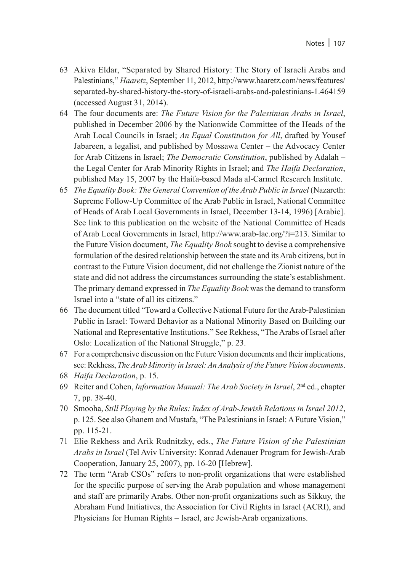- 63 Akiva Eldar, "Separated by Shared History: The Story of Israeli Arabs and Palestinians," *Haaretz*, September 11, 2012, http://www.haaretz.com/news/features/ separated-by-shared-history-the-story-of-israeli-arabs-and-palestinians-1.464159 (accessed August 31, 2014).
- 64 The four documents are: *The Future Vision for the Palestinian Arabs in Israel*, published in December 2006 by the Nationwide Committee of the Heads of the Arab Local Councils in Israel; *An Equal Constitution for All*, drafted by Yousef Jabareen, a legalist, and published by Mossawa Center – the Advocacy Center for Arab Citizens in Israel; *The Democratic Constitution*, published by Adalah – the Legal Center for Arab Minority Rights in Israel; and *The Haifa Declaration*, published May 15, 2007 by the Haifa-based Mada al-Carmel Research Institute.
- 65 *The Equality Book: The General Convention of the Arab Public in Israel* (Nazareth: Supreme Follow-Up Committee of the Arab Public in Israel, National Committee of Heads of Arab Local Governments in Israel, December 13-14, 1996) [Arabic]. See link to this publication on the website of the National Committee of Heads of Arab Local Governments in Israel, http://www.arab-lac.org/?i=213. Similar to the Future Vision document, *The Equality Book* sought to devise a comprehensive formulation of the desired relationship between the state and its Arab citizens, but in contrast to the Future Vision document, did not challenge the Zionist nature of the state and did not address the circumstances surrounding the state's establishment. The primary demand expressed in *The Equality Book* was the demand to transform Israel into a "state of all its citizens."
- 66 The document titled "Toward a Collective National Future for the Arab-Palestinian Public in Israel: Toward Behavior as a National Minority Based on Building our National and Representative Institutions." See Rekhess, "The Arabs of Israel after Oslo: Localization of the National Struggle," p. 23.
- 67 For a comprehensive discussion on the Future Vision documents and their implications, see: Rekhess, *The Arab Minority in Israel: An Analysis of the Future Vision documents*.
- 68 *Haifa Declaration*, p. 15.
- 69 Reiter and Cohen, *Information Manual: The Arab Society in Israel*, 2nd ed., chapter 7, pp. 38-40.
- 70 Smooha, *Still Playing by the Rules: Index of Arab-Jewish Relations in Israel 2012*, p. 125. See also Ghanem and Mustafa, "The Palestinians in Israel: A Future Vision," pp. 115-21.
- 71 Elie Rekhess and Arik Rudnitzky, eds., *The Future Vision of the Palestinian Arabs in Israel* (Tel Aviv University: Konrad Adenauer Program for Jewish-Arab Cooperation, January 25, 2007), pp. 16-20 [Hebrew].
- 72 The term "Arab CSOs" refers to non-profit organizations that were established for the specific purpose of serving the Arab population and whose management and staff are primarily Arabs. Other non-profit organizations such as Sikkuy, the Abraham Fund Initiatives, the Association for Civil Rights in Israel (ACRI), and Physicians for Human Rights – Israel, are Jewish-Arab organizations.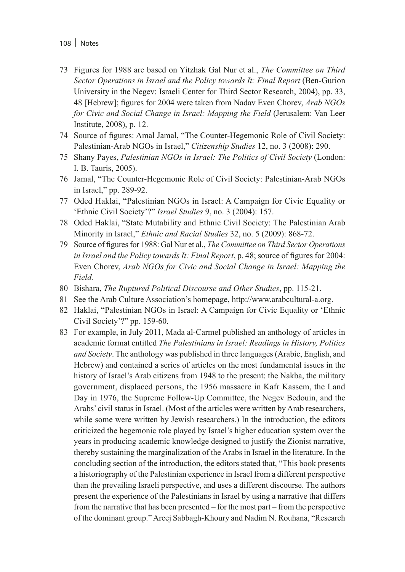- 108 | Notes
- 73 Figures for 1988 are based on Yitzhak Gal Nur et al., *The Committee on Third Sector Operations in Israel and the Policy towards It: Final Report* (Ben-Gurion University in the Negev: Israeli Center for Third Sector Research, 2004), pp. 33, 48 [Hebrew]; figures for 2004 were taken from Nadav Even Chorev, *Arab NGOs for Civic and Social Change in Israel: Mapping the Field* (Jerusalem: Van Leer Institute, 2008), p. 12.
- 74 Source of figures: Amal Jamal, "The Counter-Hegemonic Role of Civil Society: Palestinian-Arab NGOs in Israel," *Citizenship Studies* 12, no. 3 (2008): 290.
- 75 Shany Payes, *Palestinian NGOs in Israel: The Politics of Civil Society* (London: I. B. Tauris, 2005).
- 76 Jamal, "The Counter-Hegemonic Role of Civil Society: Palestinian-Arab NGOs in Israel," pp. 289-92.
- 77 Oded Haklai, "Palestinian NGOs in Israel: A Campaign for Civic Equality or 'Ethnic Civil Society'?" *Israel Studies* 9, no. 3 (2004): 157.
- 78 Oded Haklai, "State Mutability and Ethnic Civil Society: The Palestinian Arab Minority in Israel," *Ethnic and Racial Studies* 32, no. 5 (2009): 868-72.
- 79 Source of figures for 1988: Gal Nur et al., *The Committee on Third Sector Operations in Israel and the Policy towards It: Final Report*, p. 48; source of figures for 2004: Even Chorev, *Arab NGOs for Civic and Social Change in Israel: Mapping the Field.*
- 80 Bishara, *The Ruptured Political Discourse and Other Studies*, pp. 115-21.
- 81 See the Arab Culture Association's homepage, http://www.arabcultural-a.org.
- 82 Haklai, "Palestinian NGOs in Israel: A Campaign for Civic Equality or 'Ethnic Civil Society'?" pp. 159-60.
- 83 For example, in July 2011, Mada al-Carmel published an anthology of articles in academic format entitled *The Palestinians in Israel: Readings in History, Politics and Society*. The anthology was published in three languages (Arabic, English, and Hebrew) and contained a series of articles on the most fundamental issues in the history of Israel's Arab citizens from 1948 to the present: the Nakba, the military government, displaced persons, the 1956 massacre in Kafr Kassem, the Land Day in 1976, the Supreme Follow-Up Committee, the Negev Bedouin, and the Arabs' civil status in Israel. (Most of the articles were written by Arab researchers, while some were written by Jewish researchers.) In the introduction, the editors criticized the hegemonic role played by Israel's higher education system over the years in producing academic knowledge designed to justify the Zionist narrative, thereby sustaining the marginalization of the Arabs in Israel in the literature. In the concluding section of the introduction, the editors stated that, "This book presents a historiography of the Palestinian experience in Israel from a different perspective than the prevailing Israeli perspective, and uses a different discourse. The authors present the experience of the Palestinians in Israel by using a narrative that differs from the narrative that has been presented – for the most part – from the perspective of the dominant group." Areej Sabbagh-Khoury and Nadim N. Rouhana, "Research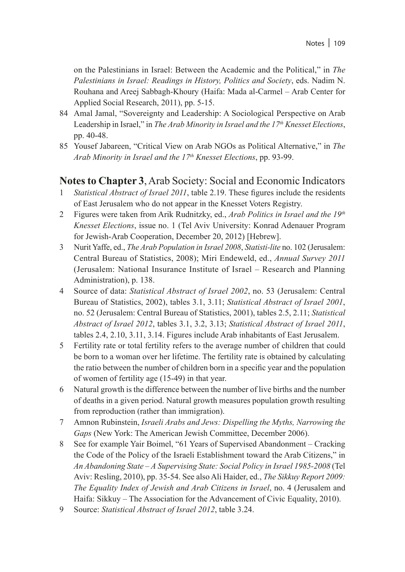on the Palestinians in Israel: Between the Academic and the Political," in *The Palestinians in Israel: Readings in History, Politics and Society*, eds. Nadim N. Rouhana and Areej Sabbagh-Khoury (Haifa: Mada al-Carmel – Arab Center for Applied Social Research, 2011), pp. 5-15.

- 84 Amal Jamal, "Sovereignty and Leadership: A Sociological Perspective on Arab Leadership in Israel," in *The Arab Minority in Israel and the 17th Knesset Elections*, pp. 40-48.
- 85 Yousef Jabareen, "Critical View on Arab NGOs as Political Alternative," in *The Arab Minority in Israel and the 17th Knesset Elections*, pp. 93-99.

### **Notes to Chapter 3**, Arab Society: Social and Economic Indicators

- 1 *Statistical Abstract of Israel 2011*, table 2.19. These figures include the residents of East Jerusalem who do not appear in the Knesset Voters Registry.
- 2 Figures were taken from Arik Rudnitzky, ed., *Arab Politics in Israel and the 19th Knesset Elections*, issue no. 1 (Tel Aviv University: Konrad Adenauer Program for Jewish-Arab Cooperation, December 20, 2012) [Hebrew].
- 3 Nurit Yaffe, ed., *The Arab Population in Israel 2008*, *Statisti-lite* no. 102 (Jerusalem: Central Bureau of Statistics, 2008); Miri Endeweld, ed., *Annual Survey 2011* (Jerusalem: National Insurance Institute of Israel – Research and Planning Administration), p. 138.
- 4 Source of data: *Statistical Abstract of Israel 2002*, no. 53 (Jerusalem: Central Bureau of Statistics, 2002), tables 3.1, 3.11; *Statistical Abstract of Israel 2001*, no. 52 (Jerusalem: Central Bureau of Statistics, 2001), tables 2.5, 2.11; *Statistical Abstract of Israel 2012*, tables 3.1, 3.2, 3.13; *Statistical Abstract of Israel 2011*, tables 2.4, 2.10, 3.11, 3.14. Figures include Arab inhabitants of East Jerusalem.
- 5 Fertility rate or total fertility refers to the average number of children that could be born to a woman over her lifetime. The fertility rate is obtained by calculating the ratio between the number of children born in a specific year and the population of women of fertility age (15-49) in that year.
- 6 Natural growth is the difference between the number of live births and the number of deaths in a given period. Natural growth measures population growth resulting from reproduction (rather than immigration).
- 7 Amnon Rubinstein, *Israeli Arabs and Jews: Dispelling the Myths, Narrowing the Gaps* (New York: The American Jewish Committee, December 2006).
- 8 See for example Yair Boimel, "61 Years of Supervised Abandonment Cracking the Code of the Policy of the Israeli Establishment toward the Arab Citizens," in *An Abandoning State – A Supervising State: Social Policy in Israel 1985-2008* (Tel Aviv: Resling, 2010), pp. 35-54. See also Ali Haider, ed., *The Sikkuy Report 2009: The Equality Index of Jewish and Arab Citizens in Israel*, no. 4 (Jerusalem and Haifa: Sikkuy – The Association for the Advancement of Civic Equality, 2010).
- 9 Source: *Statistical Abstract of Israel 2012*, table 3.24.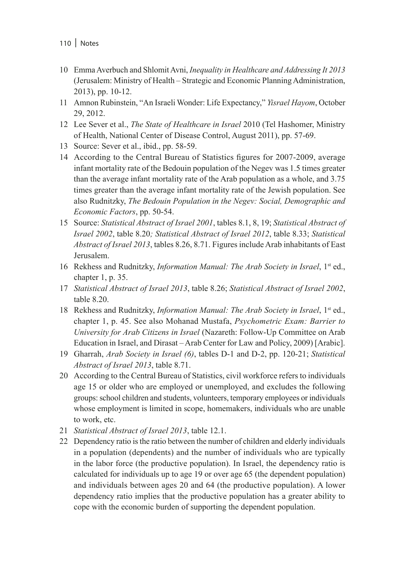- 10 Emma Averbuch and Shlomit Avni, *Inequality in Healthcare and Addressing It 2013* (Jerusalem: Ministry of Health – Strategic and Economic Planning Administration, 2013), pp. 10-12.
- 11 Amnon Rubinstein, "An Israeli Wonder: Life Expectancy," *Yisrael Hayom*, October 29, 2012.
- 12 Lee Sever et al., *The State of Healthcare in Israel* 2010 (Tel Hashomer, Ministry of Health, National Center of Disease Control, August 2011), pp. 57-69.
- 13 Source: Sever et al., ibid., pp. 58-59.
- 14 According to the Central Bureau of Statistics figures for 2007-2009, average infant mortality rate of the Bedouin population of the Negev was 1.5 times greater than the average infant mortality rate of the Arab population as a whole, and 3.75 times greater than the average infant mortality rate of the Jewish population. See also Rudnitzky, *The Bedouin Population in the Negev: Social, Demographic and Economic Factors*, pp. 50-54.
- 15 Source: *Statistical Abstract of Israel 2001*, tables 8.1, 8, 19; *Statistical Abstract of Israel 2002*, table 8.20*; Statistical Abstract of Israel 2012*, table 8.33; *Statistical Abstract of Israel 2013*, tables 8.26, 8.71. Figures include Arab inhabitants of East Jerusalem.
- 16 Rekhess and Rudnitzky, *Information Manual: The Arab Society in Israel*, 1<sup>st</sup> ed., chapter 1, p. 35.
- 17 *Statistical Abstract of Israel 2013*, table 8.26; *Statistical Abstract of Israel 2002*, table 8.20.
- 18 Rekhess and Rudnitzky, *Information Manual: The Arab Society in Israel*, 1st ed., chapter 1, p. 45. See also Mohanad Mustafa, *Psychometric Exam: Barrier to University for Arab Citizens in Israel* (Nazareth: Follow-Up Committee on Arab Education in Israel, and Dirasat – Arab Center for Law and Policy, 2009) [Arabic].
- 19 Gharrah, *Arab Society in Israel (6)*, tables D-1 and D-2, pp. 120-21; *Statistical Abstract of Israel 2013*, table 8.71.
- 20 According to the Central Bureau of Statistics, civil workforce refers to individuals age 15 or older who are employed or unemployed, and excludes the following groups: school children and students, volunteers, temporary employees or individuals whose employment is limited in scope, homemakers, individuals who are unable to work, etc.
- 21 *Statistical Abstract of Israel 2013*, table 12.1.
- 22 Dependency ratio is the ratio between the number of children and elderly individuals in a population (dependents) and the number of individuals who are typically in the labor force (the productive population). In Israel, the dependency ratio is calculated for individuals up to age 19 or over age 65 (the dependent population) and individuals between ages 20 and 64 (the productive population). A lower dependency ratio implies that the productive population has a greater ability to cope with the economic burden of supporting the dependent population.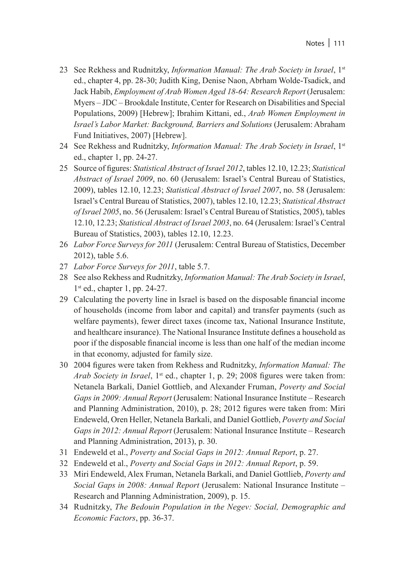- 23 See Rekhess and Rudnitzky, *Information Manual: The Arab Society in Israel*, 1<sup>st</sup> ed., chapter 4, pp. 28-30; Judith King, Denise Naon, Abrham Wolde-Tsadick, and Jack Habib, *Employment of Arab Women Aged 18-64: Research Report* (Jerusalem: Myers – JDC – Brookdale Institute, Center for Research on Disabilities and Special Populations, 2009) [Hebrew]; Ibrahim Kittani, ed., *Arab Women Employment in Israel's Labor Market: Background, Barriers and Solutions* (Jerusalem: Abraham Fund Initiatives, 2007) [Hebrew].
- 24 See Rekhess and Rudnitzky, *Information Manual: The Arab Society in Israel*, 1st ed., chapter 1, pp. 24-27.
- 25 Source of figures: *Statistical Abstract of Israel 2012*, tables 12.10, 12.23; *Statistical Abstract of Israel 2009*, no. 60 (Jerusalem: Israel's Central Bureau of Statistics, 2009), tables 12.10, 12.23; *Statistical Abstract of Israel 2007*, no. 58 (Jerusalem: Israel's Central Bureau of Statistics, 2007), tables 12.10, 12.23; *Statistical Abstract of Israel 2005*, no. 56 (Jerusalem: Israel's Central Bureau of Statistics, 2005), tables 12.10, 12.23; *Statistical Abstract of Israel 2003*, no. 64 (Jerusalem: Israel's Central Bureau of Statistics, 2003), tables 12.10, 12.23.
- 26 *Labor Force Surveys for 2011* (Jerusalem: Central Bureau of Statistics, December 2012), table 5.6.
- 27 *Labor Force Surveys for 2011*, table 5.7.
- 28 See also Rekhess and Rudnitzky, *Information Manual: The Arab Society in Israel*, 1<sup>st</sup> ed., chapter 1, pp. 24-27.
- 29 Calculating the poverty line in Israel is based on the disposable financial income of households (income from labor and capital) and transfer payments (such as welfare payments), fewer direct taxes (income tax, National Insurance Institute, and healthcare insurance). The National Insurance Institute defines a household as poor if the disposable financial income is less than one half of the median income in that economy, adjusted for family size.
- 30 2004 figures were taken from Rekhess and Rudnitzky, *Information Manual: The Arab Society in Israel*, 1<sup>st</sup> ed., chapter 1, p. 29; 2008 figures were taken from: Netanela Barkali, Daniel Gottlieb, and Alexander Fruman, *Poverty and Social Gaps in 2009: Annual Report* (Jerusalem: National Insurance Institute – Research and Planning Administration, 2010), p. 28; 2012 figures were taken from: Miri Endeweld, Oren Heller, Netanela Barkali, and Daniel Gottlieb, *Poverty and Social Gaps in 2012: Annual Report* (Jerusalem: National Insurance Institute – Research and Planning Administration, 2013), p. 30.
- 31 Endeweld et al., *Poverty and Social Gaps in 2012: Annual Report*, p. 27.
- 32 Endeweld et al., *Poverty and Social Gaps in 2012: Annual Report*, p. 59.
- 33 Miri Endeweld, Alex Fruman, Netanela Barkali, and Daniel Gottlieb, *Poverty and Social Gaps in 2008: Annual Report* (Jerusalem: National Insurance Institute – Research and Planning Administration, 2009), p. 15.
- 34 Rudnitzky, *The Bedouin Population in the Negev: Social, Demographic and Economic Factors*, pp. 36-37.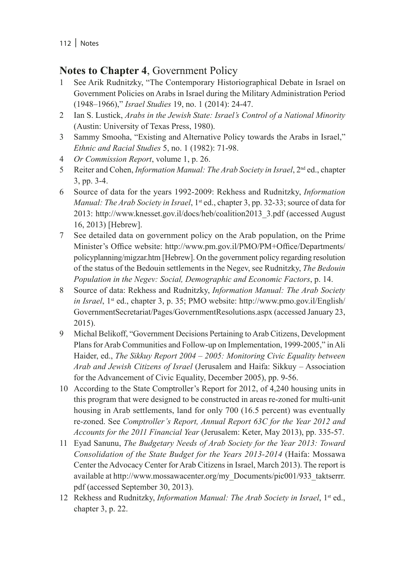## **Notes to Chapter 4**, Government Policy

- 1 See Arik Rudnitzky, "The Contemporary Historiographical Debate in Israel on Government Policies on Arabs in Israel during the Military Administration Period (1948–1966)," *Israel Studies* 19, no. 1 (2014): 24-47.
- 2 Ian S. Lustick, *Arabs in the Jewish State: Israel's Control of a National Minority* (Austin: University of Texas Press, 1980).
- 3 Sammy Smooha, "Existing and Alternative Policy towards the Arabs in Israel," *Ethnic and Racial Studies* 5, no. 1 (1982): 71-98.
- 4 *Or Commission Report*, volume 1, p. 26.
- 5 Reiter and Cohen, *Information Manual: The Arab Society in Israel*,  $2<sup>nd</sup>$  ed., chapter 3, pp. 3-4.
- 6 Source of data for the years 1992-2009: Rekhess and Rudnitzky, *Information Manual: The Arab Society in Israel*, 1<sup>st</sup> ed., chapter 3, pp. 32-33; source of data for 2013: http://www.knesset.gov.il/docs/heb/coalition2013\_3.pdf (accessed August 16, 2013) [Hebrew].
- 7 See detailed data on government policy on the Arab population, on the Prime Minister's Office website: http://www.pm.gov.il/PMO/PM+Office/Departments/ policyplanning/migzar.htm [Hebrew]. On the government policy regarding resolution of the status of the Bedouin settlements in the Negev, see Rudnitzky, *The Bedouin Population in the Negev: Social, Demographic and Economic Factors*, p. 14.
- 8 Source of data: Rekhess and Rudnitzky, *Information Manual: The Arab Society in Israel*, 1<sup>st</sup> ed., chapter 3, p. 35; PMO website: http://www.pmo.gov.il/English/ GovernmentSecretariat/Pages/GovernmentResolutions.aspx (accessed January 23, 2015).
- 9 Michal Belikoff, "Government Decisions Pertaining to Arab Citizens, Development Plans for Arab Communities and Follow-up on Implementation, 1999-2005," in Ali Haider, ed., *The Sikkuy Report 2004 – 2005: Monitoring Civic Equality between Arab and Jewish Citizens of Israel* (Jerusalem and Haifa: Sikkuy – Association for the Advancement of Civic Equality, December 2005), pp. 9-56.
- 10 According to the State Comptroller's Report for 2012, of 4,240 housing units in this program that were designed to be constructed in areas re-zoned for multi-unit housing in Arab settlements, land for only 700 (16.5 percent) was eventually re-zoned. See *Comptroller's Report, Annual Report 63C for the Year 2012 and Accounts for the 2011 Financial Year* (Jerusalem: Keter, May 2013), pp. 335-57.
- 11 Eyad Sanunu, *The Budgetary Needs of Arab Society for the Year 2013: Toward Consolidation of the State Budget for the Years 2013-2014* (Haifa: Mossawa Center the Advocacy Center for Arab Citizens in Israel, March 2013). The report is available at http://www.mossawacenter.org/my\_Documents/pic001/933\_taktserrr. pdf (accessed September 30, 2013).
- 12 Rekhess and Rudnitzky, *Information Manual: The Arab Society in Israel*, 1<sup>st</sup> ed., chapter 3, p. 22.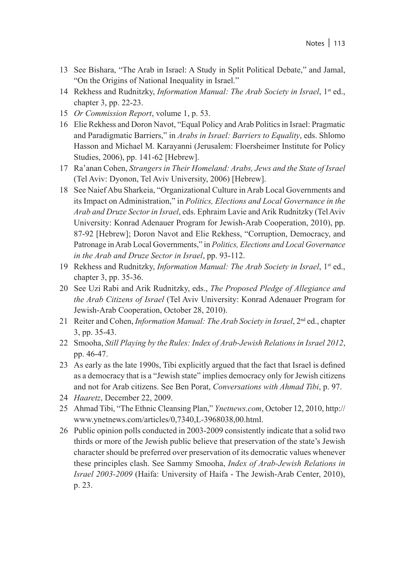- 13 See Bishara, "The Arab in Israel: A Study in Split Political Debate," and Jamal, "On the Origins of National Inequality in Israel."
- 14 Rekhess and Rudnitzky, *Information Manual: The Arab Society in Israel*, 1<sup>st</sup> ed., chapter 3, pp. 22-23.
- 15 *Or Commission Report*, volume 1, p. 53.
- 16 Elie Rekhess and Doron Navot, "Equal Policy and Arab Politics in Israel: Pragmatic and Paradigmatic Barriers," in *Arabs in Israel: Barriers to Equality*, eds. Shlomo Hasson and Michael M. Karayanni (Jerusalem: Floersheimer Institute for Policy Studies, 2006), pp. 141-62 [Hebrew].
- 17 Ra'anan Cohen, *Strangers in Their Homeland: Arabs, Jews and the State of Israel* (Tel Aviv: Dyonon, Tel Aviv University, 2006) [Hebrew].
- 18 See Naief Abu Sharkeia, "Organizational Culture in Arab Local Governments and its Impact on Administration," in *Politics, Elections and Local Governance in the Arab and Druze Sector in Israel*, eds. Ephraim Lavie and Arik Rudnitzky (Tel Aviv University: Konrad Adenauer Program for Jewish-Arab Cooperation, 2010), pp. 87-92 [Hebrew]; Doron Navot and Elie Rekhess, "Corruption, Democracy, and Patronage in Arab Local Governments," in *Politics, Elections and Local Governance in the Arab and Druze Sector in Israel*, pp. 93-112.
- 19 Rekhess and Rudnitzky, *Information Manual: The Arab Society in Israel*, 1st ed., chapter 3, pp. 35-36.
- 20 See Uzi Rabi and Arik Rudnitzky, eds., *The Proposed Pledge of Allegiance and the Arab Citizens of Israel* (Tel Aviv University: Konrad Adenauer Program for Jewish-Arab Cooperation, October 28, 2010).
- 21 Reiter and Cohen, *Information Manual: The Arab Society in Israel*,  $2<sup>nd</sup>$  ed., chapter 3, pp. 35-43.
- 22 Smooha, *Still Playing by the Rules: Index of Arab-Jewish Relations in Israel 2012*, pp. 46-47.
- 23 As early as the late 1990s, Tibi explicitly argued that the fact that Israel is defined as a democracy that is a "Jewish state" implies democracy only for Jewish citizens and not for Arab citizens. See Ben Porat, *Conversations with Ahmad Tibi*, p. 97.
- 24 *Haaretz*, December 22, 2009.
- 25 Ahmad Tibi, "The Ethnic Cleansing Plan," *Ynetnews.com*, October 12, 2010, http:// www.ynetnews.com/articles/0,7340,L-3968038,00.html.
- 26 Public opinion polls conducted in 2003-2009 consistently indicate that a solid two thirds or more of the Jewish public believe that preservation of the state's Jewish character should be preferred over preservation of its democratic values whenever these principles clash. See Sammy Smooha, *Index of Arab-Jewish Relations in Israel 2003-2009* (Haifa: University of Haifa - The Jewish-Arab Center, 2010), p. 23.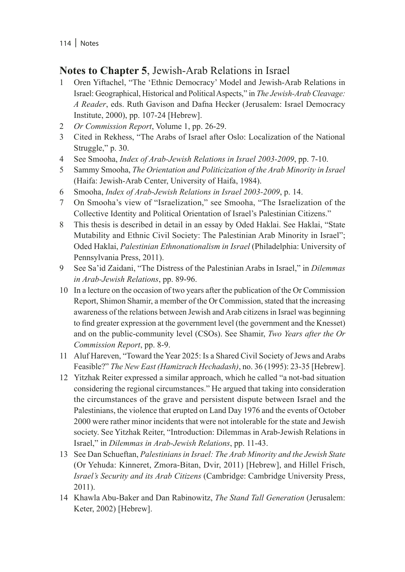### **Notes to Chapter 5**, Jewish-Arab Relations in Israel

- 1 Oren Yiftachel, "The 'Ethnic Democracy' Model and Jewish-Arab Relations in Israel: Geographical, Historical and Political Aspects," in *The Jewish-Arab Cleavage: A Reader*, eds. Ruth Gavison and Dafna Hecker (Jerusalem: Israel Democracy Institute, 2000), pp. 107-24 [Hebrew].
- 2 *Or Commission Report*, Volume 1, pp. 26-29.
- 3 Cited in Rekhess, "The Arabs of Israel after Oslo: Localization of the National Struggle," p. 30.
- 4 See Smooha, *Index of Arab-Jewish Relations in Israel 2003-2009*, pp. 7-10.
- 5 Sammy Smooha, *The Orientation and Politicization of the Arab Minority in Israel* (Haifa: Jewish-Arab Center, University of Haifa, 1984).
- 6 Smooha, *Index of Arab-Jewish Relations in Israel 2003-2009*, p. 14.
- 7 On Smooha's view of "Israelization," see Smooha, "The Israelization of the Collective Identity and Political Orientation of Israel's Palestinian Citizens."
- 8 This thesis is described in detail in an essay by Oded Haklai. See Haklai, "State Mutability and Ethnic Civil Society: The Palestinian Arab Minority in Israel"; Oded Haklai, *Palestinian Ethnonationalism in Israel* (Philadelphia: University of Pennsylvania Press, 2011).
- 9 See Sa'id Zaidani, "The Distress of the Palestinian Arabs in Israel," in *Dilemmas in Arab-Jewish Relations*, pp. 89-96.
- 10 In a lecture on the occasion of two years after the publication of the Or Commission Report, Shimon Shamir, a member of the Or Commission, stated that the increasing awareness of the relations between Jewish and Arab citizens in Israel was beginning to find greater expression at the government level (the government and the Knesset) and on the public-community level (CSOs). See Shamir, *Two Years after the Or Commission Report*, pp. 8-9.
- 11 Aluf Hareven, "Toward the Year 2025: Is a Shared Civil Society of Jews and Arabs Feasible?" *The New East (Hamizrach Hechadash)*, no. 36 (1995): 23-35 [Hebrew].
- 12 Yitzhak Reiter expressed a similar approach, which he called "a not-bad situation considering the regional circumstances." He argued that taking into consideration the circumstances of the grave and persistent dispute between Israel and the Palestinians, the violence that erupted on Land Day 1976 and the events of October 2000 were rather minor incidents that were not intolerable for the state and Jewish society. See Yitzhak Reiter, "Introduction: Dilemmas in Arab-Jewish Relations in Israel," in *Dilemmas in Arab-Jewish Relations*, pp. 11-43.
- 13 See Dan Schueftan, *Palestinians in Israel: The Arab Minority and the Jewish State* (Or Yehuda: Kinneret, Zmora-Bitan, Dvir, 2011) [Hebrew], and Hillel Frisch, *Israel's Security and its Arab Citizens* (Cambridge: Cambridge University Press, 2011).
- 14 Khawla Abu-Baker and Dan Rabinowitz, *The Stand Tall Generation* (Jerusalem: Keter, 2002) [Hebrew].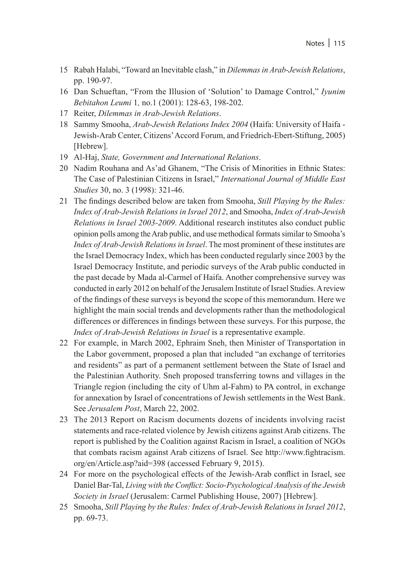- 15 Rabah Halabi, "Toward an Inevitable clash," in *Dilemmas in Arab-Jewish Relations*, pp. 190-97.
- 16 Dan Schueftan, "From the Illusion of 'Solution' to Damage Control," *Iyunim Bebitahon Leumi* 1*,* no.1 (2001): 128-63, 198-202.
- 17 Reiter, *Dilemmas in Arab-Jewish Relations*.
- 18 Sammy Smooha, *Arab-Jewish Relations Index 2004* (Haifa: University of Haifa Jewish-Arab Center, Citizens' Accord Forum, and Friedrich-Ebert-Stiftung, 2005) [Hebrew].
- 19 Al-Haj, *State, Government and International Relations*.
- 20 Nadim Rouhana and As'ad Ghanem, "The Crisis of Minorities in Ethnic States: The Case of Palestinian Citizens in Israel," *International Journal of Middle East Studies* 30, no. 3 (1998): 321-46.
- 21 The findings described below are taken from Smooha, *Still Playing by the Rules: Index of Arab-Jewish Relations in Israel 2012*, and Smooha, *Index of Arab-Jewish Relations in Israel 2003-2009*. Additional research institutes also conduct public opinion polls among the Arab public, and use methodical formats similar to Smooha's *Index of Arab-Jewish Relations in Israel*. The most prominent of these institutes are the Israel Democracy Index, which has been conducted regularly since 2003 by the Israel Democracy Institute, and periodic surveys of the Arab public conducted in the past decade by Mada al-Carmel of Haifa. Another comprehensive survey was conducted in early 2012 on behalf of the Jerusalem Institute of Israel Studies. A review of the findings of these surveys is beyond the scope of this memorandum. Here we highlight the main social trends and developments rather than the methodological differences or differences in findings between these surveys. For this purpose, the *Index of Arab-Jewish Relations in Israel* is a representative example.
- 22 For example, in March 2002, Ephraim Sneh, then Minister of Transportation in the Labor government, proposed a plan that included "an exchange of territories and residents" as part of a permanent settlement between the State of Israel and the Palestinian Authority. Sneh proposed transferring towns and villages in the Triangle region (including the city of Uhm al-Fahm) to PA control, in exchange for annexation by Israel of concentrations of Jewish settlements in the West Bank. See *Jerusalem Post*, March 22, 2002.
- 23 The 2013 Report on Racism documents dozens of incidents involving racist statements and race-related violence by Jewish citizens against Arab citizens. The report is published by the Coalition against Racism in Israel, a coalition of NGOs that combats racism against Arab citizens of Israel. See http://www.fightracism. org/en/Article.asp?aid=398 (accessed February 9, 2015).
- 24 For more on the psychological effects of the Jewish-Arab conflict in Israel, see Daniel Bar-Tal, *Living with the Conflict: Socio-Psychological Analysis of the Jewish Society in Israel* (Jerusalem: Carmel Publishing House, 2007) [Hebrew].
- 25 Smooha, *Still Playing by the Rules: Index of Arab-Jewish Relations in Israel 2012*, pp. 69-73.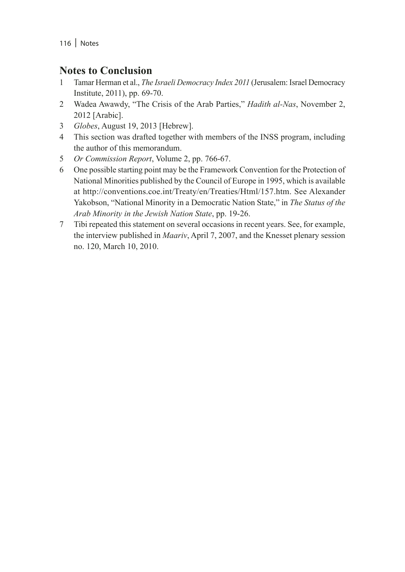### **Notes to Conclusion**

- 1 Tamar Herman et al., *The Israeli Democracy Index 2011* (Jerusalem: Israel Democracy Institute, 2011), pp. 69-70.
- 2 Wadea Awawdy, "The Crisis of the Arab Parties," *Hadith al-Nas*, November 2, 2012 [Arabic].
- 3 *Globes*, August 19, 2013 [Hebrew].
- 4 This section was drafted together with members of the INSS program, including the author of this memorandum.
- 5 *Or Commission Report*, Volume 2, pp. 766-67.
- 6 One possible starting point may be the Framework Convention for the Protection of National Minorities published by the Council of Europe in 1995, which is available at http://conventions.coe.int/Treaty/en/Treaties/Html/157.htm. See Alexander Yakobson, "National Minority in a Democratic Nation State," in *The Status of the Arab Minority in the Jewish Nation State*, pp. 19-26.
- 7 Tibi repeated this statement on several occasions in recent years. See, for example, the interview published in *Maariv*, April 7, 2007, and the Knesset plenary session no. 120, March 10, 2010.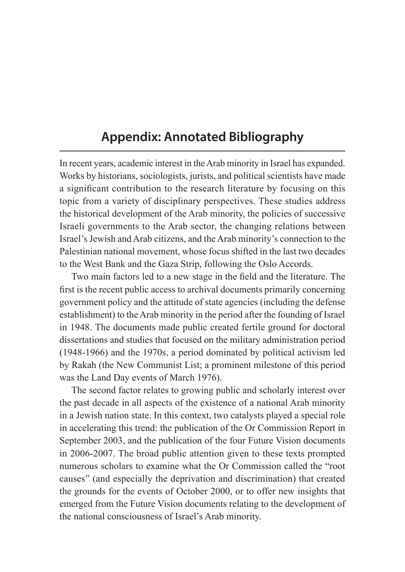# **Appendix: Annotated Bibliography**

In recent years, academic interest in the Arab minority in Israel has expanded. Works by historians, sociologists, jurists, and political scientists have made a significant contribution to the research literature by focusing on this topic from a variety of disciplinary perspectives. These studies address the historical development of the Arab minority, the policies of successive Israeli governments to the Arab sector, the changing relations between Israel's Jewish and Arab citizens, and the Arab minority's connection to the Palestinian national movement, whose focus shifted in the last two decades to the West Bank and the Gaza Strip, following the Oslo Accords.

Two main factors led to a new stage in the field and the literature. The first is the recent public access to archival documents primarily concerning government policy and the attitude of state agencies (including the defense establishment) to the Arab minority in the period after the founding of Israel in 1948. The documents made public created fertile ground for doctoral dissertations and studies that focused on the military administration period (1948-1966) and the 1970s, a period dominated by political activism led by Rakah (the New Communist List; a prominent milestone of this period was the Land Day events of March 1976).

The second factor relates to growing public and scholarly interest over the past decade in all aspects of the existence of a national Arab minority in a Jewish nation state. In this context, two catalysts played a special role in accelerating this trend: the publication of the Or Commission Report in September 2003, and the publication of the four Future Vision documents in 2006-2007. The broad public attention given to these texts prompted numerous scholars to examine what the Or Commission called the "root causes" (and especially the deprivation and discrimination) that created the grounds for the events of October 2000, or to offer new insights that emerged from the Future Vision documents relating to the development of the national consciousness of Israel's Arab minority.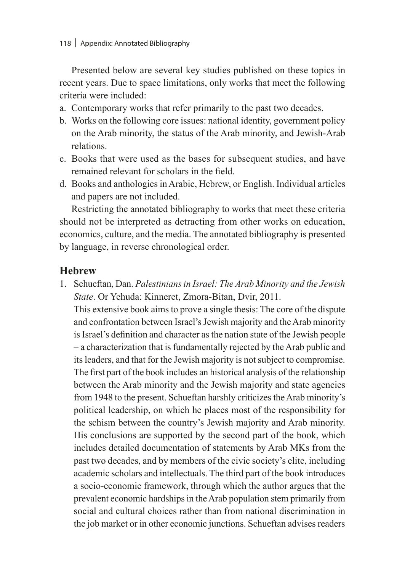Presented below are several key studies published on these topics in recent years. Due to space limitations, only works that meet the following criteria were included:

- a. Contemporary works that refer primarily to the past two decades.
- b. Works on the following core issues: national identity, government policy on the Arab minority, the status of the Arab minority, and Jewish-Arab relations.
- c. Books that were used as the bases for subsequent studies, and have remained relevant for scholars in the field.
- d. Books and anthologies in Arabic, Hebrew, or English. Individual articles and papers are not included.

Restricting the annotated bibliography to works that meet these criteria should not be interpreted as detracting from other works on education, economics, culture, and the media. The annotated bibliography is presented by language, in reverse chronological order.

### **Hebrew**

1. Schueftan, Dan. *Palestinians in Israel: The Arab Minority and the Jewish State*. Or Yehuda: Kinneret, Zmora-Bitan, Dvir, 2011. This extensive book aims to prove a single thesis: The core of the dispute and confrontation between Israel's Jewish majority and the Arab minority is Israel's definition and character as the nation state of the Jewish people – a characterization that is fundamentally rejected by the Arab public and its leaders, and that for the Jewish majority is not subject to compromise. The first part of the book includes an historical analysis of the relationship between the Arab minority and the Jewish majority and state agencies from 1948 to the present. Schueftan harshly criticizes the Arab minority's political leadership, on which he places most of the responsibility for the schism between the country's Jewish majority and Arab minority. His conclusions are supported by the second part of the book, which includes detailed documentation of statements by Arab MKs from the past two decades, and by members of the civic society's elite, including academic scholars and intellectuals. The third part of the book introduces a socio-economic framework, through which the author argues that the prevalent economic hardships in the Arab population stem primarily from social and cultural choices rather than from national discrimination in the job market or in other economic junctions. Schueftan advises readers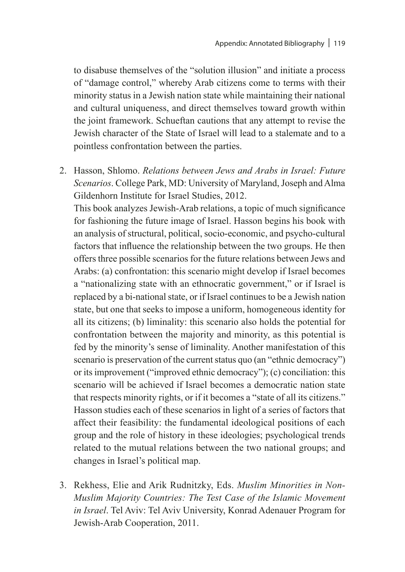to disabuse themselves of the "solution illusion" and initiate a process of "damage control," whereby Arab citizens come to terms with their minority status in a Jewish nation state while maintaining their national and cultural uniqueness, and direct themselves toward growth within the joint framework. Schueftan cautions that any attempt to revise the Jewish character of the State of Israel will lead to a stalemate and to a pointless confrontation between the parties.

2. Hasson, Shlomo. *Relations between Jews and Arabs in Israel: Future Scenarios*. College Park, MD: University of Maryland, Joseph and Alma Gildenhorn Institute for Israel Studies, 2012.

This book analyzes Jewish-Arab relations, a topic of much significance for fashioning the future image of Israel. Hasson begins his book with an analysis of structural, political, socio-economic, and psycho-cultural factors that influence the relationship between the two groups. He then offers three possible scenarios for the future relations between Jews and Arabs: (a) confrontation: this scenario might develop if Israel becomes a "nationalizing state with an ethnocratic government," or if Israel is replaced by a bi-national state, or if Israel continues to be a Jewish nation state, but one that seeks to impose a uniform, homogeneous identity for all its citizens; (b) liminality: this scenario also holds the potential for confrontation between the majority and minority, as this potential is fed by the minority's sense of liminality. Another manifestation of this scenario is preservation of the current status quo (an "ethnic democracy") or its improvement ("improved ethnic democracy"); (c) conciliation: this scenario will be achieved if Israel becomes a democratic nation state that respects minority rights, or if it becomes a "state of all its citizens." Hasson studies each of these scenarios in light of a series of factors that affect their feasibility: the fundamental ideological positions of each group and the role of history in these ideologies; psychological trends related to the mutual relations between the two national groups; and changes in Israel's political map.

3. Rekhess, Elie and Arik Rudnitzky, Eds. *Muslim Minorities in Non-Muslim Majority Countries: The Test Case of the Islamic Movement in Israel*. Tel Aviv: Tel Aviv University, Konrad Adenauer Program for Jewish-Arab Cooperation, 2011.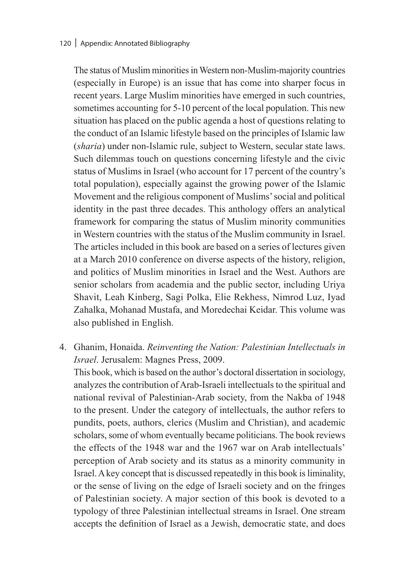#### 120 | Appendix: Annotated Bibliography

The status of Muslim minorities in Western non-Muslim-majority countries (especially in Europe) is an issue that has come into sharper focus in recent years. Large Muslim minorities have emerged in such countries, sometimes accounting for 5-10 percent of the local population. This new situation has placed on the public agenda a host of questions relating to the conduct of an Islamic lifestyle based on the principles of Islamic law (*sharia*) under non-Islamic rule, subject to Western, secular state laws. Such dilemmas touch on questions concerning lifestyle and the civic status of Muslims in Israel (who account for 17 percent of the country's total population), especially against the growing power of the Islamic Movement and the religious component of Muslims' social and political identity in the past three decades. This anthology offers an analytical framework for comparing the status of Muslim minority communities in Western countries with the status of the Muslim community in Israel. The articles included in this book are based on a series of lectures given at a March 2010 conference on diverse aspects of the history, religion, and politics of Muslim minorities in Israel and the West. Authors are senior scholars from academia and the public sector, including Uriya Shavit, Leah Kinberg, Sagi Polka, Elie Rekhess, Nimrod Luz, Iyad Zahalka, Mohanad Mustafa, and Moredechai Keidar. This volume was also published in English.

4. Ghanim, Honaida. *Reinventing the Nation: Palestinian Intellectuals in Israel*. Jerusalem: Magnes Press, 2009.

This book, which is based on the author's doctoral dissertation in sociology, analyzes the contribution of Arab-Israeli intellectuals to the spiritual and national revival of Palestinian-Arab society, from the Nakba of 1948 to the present. Under the category of intellectuals, the author refers to pundits, poets, authors, clerics (Muslim and Christian), and academic scholars, some of whom eventually became politicians. The book reviews the effects of the 1948 war and the 1967 war on Arab intellectuals' perception of Arab society and its status as a minority community in Israel. A key concept that is discussed repeatedly in this book is liminality, or the sense of living on the edge of Israeli society and on the fringes of Palestinian society. A major section of this book is devoted to a typology of three Palestinian intellectual streams in Israel. One stream accepts the definition of Israel as a Jewish, democratic state, and does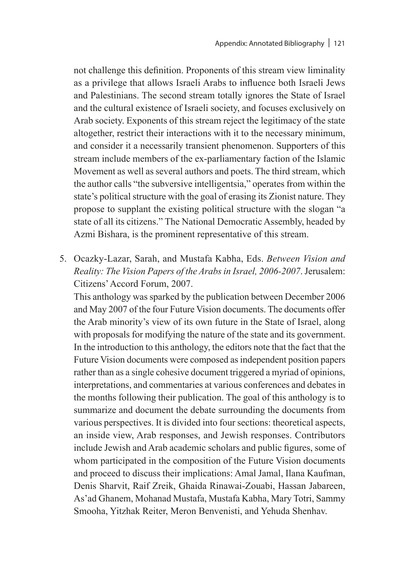not challenge this definition. Proponents of this stream view liminality as a privilege that allows Israeli Arabs to influence both Israeli Jews and Palestinians. The second stream totally ignores the State of Israel and the cultural existence of Israeli society, and focuses exclusively on Arab society. Exponents of this stream reject the legitimacy of the state altogether, restrict their interactions with it to the necessary minimum, and consider it a necessarily transient phenomenon. Supporters of this stream include members of the ex-parliamentary faction of the Islamic Movement as well as several authors and poets. The third stream, which the author calls "the subversive intelligentsia," operates from within the state's political structure with the goal of erasing its Zionist nature. They propose to supplant the existing political structure with the slogan "a state of all its citizens." The National Democratic Assembly, headed by Azmi Bishara, is the prominent representative of this stream.

5. Ocazky-Lazar, Sarah, and Mustafa Kabha, Eds. *Between Vision and Reality: The Vision Papers of the Arabs in Israel, 2006-2007*. Jerusalem: Citizens' Accord Forum, 2007.

This anthology was sparked by the publication between December 2006 and May 2007 of the four Future Vision documents. The documents offer the Arab minority's view of its own future in the State of Israel, along with proposals for modifying the nature of the state and its government. In the introduction to this anthology, the editors note that the fact that the Future Vision documents were composed as independent position papers rather than as a single cohesive document triggered a myriad of opinions, interpretations, and commentaries at various conferences and debates in the months following their publication. The goal of this anthology is to summarize and document the debate surrounding the documents from various perspectives. It is divided into four sections: theoretical aspects, an inside view, Arab responses, and Jewish responses. Contributors include Jewish and Arab academic scholars and public figures, some of whom participated in the composition of the Future Vision documents and proceed to discuss their implications: Amal Jamal, Ilana Kaufman, Denis Sharvit, Raif Zreik, Ghaida Rinawai-Zouabi, Hassan Jabareen, As'ad Ghanem, Mohanad Mustafa, Mustafa Kabha, Mary Totri, Sammy Smooha, Yitzhak Reiter, Meron Benvenisti, and Yehuda Shenhav.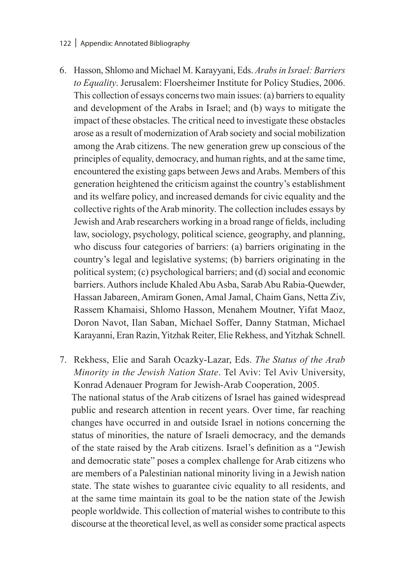#### 122 | Appendix: Annotated Bibliography

- 6. Hasson, Shlomo and Michael M. Karayyani, Eds. *Arabs in Israel: Barriers to Equality*. Jerusalem: Floersheimer Institute for Policy Studies, 2006. This collection of essays concerns two main issues: (a) barriers to equality and development of the Arabs in Israel; and (b) ways to mitigate the impact of these obstacles. The critical need to investigate these obstacles arose as a result of modernization of Arab society and social mobilization among the Arab citizens. The new generation grew up conscious of the principles of equality, democracy, and human rights, and at the same time, encountered the existing gaps between Jews and Arabs. Members of this generation heightened the criticism against the country's establishment and its welfare policy, and increased demands for civic equality and the collective rights of the Arab minority. The collection includes essays by Jewish and Arab researchers working in a broad range of fields, including law, sociology, psychology, political science, geography, and planning, who discuss four categories of barriers: (a) barriers originating in the country's legal and legislative systems; (b) barriers originating in the political system; (c) psychological barriers; and (d) social and economic barriers. Authors include Khaled Abu Asba, Sarab Abu Rabia-Quewder, Hassan Jabareen, Amiram Gonen, Amal Jamal, Chaim Gans, Netta Ziv, Rassem Khamaisi, Shlomo Hasson, Menahem Moutner, Yifat Maoz, Doron Navot, Ilan Saban, Michael Soffer, Danny Statman, Michael Karayanni, Eran Razin, Yitzhak Reiter, Elie Rekhess, and Yitzhak Schnell.
- 7. Rekhess, Elie and Sarah Ocazky-Lazar, Eds. *The Status of the Arab Minority in the Jewish Nation State*. Tel Aviv: Tel Aviv University, Konrad Adenauer Program for Jewish-Arab Cooperation, 2005. The national status of the Arab citizens of Israel has gained widespread public and research attention in recent years. Over time, far reaching changes have occurred in and outside Israel in notions concerning the status of minorities, the nature of Israeli democracy, and the demands of the state raised by the Arab citizens. Israel's definition as a "Jewish and democratic state" poses a complex challenge for Arab citizens who are members of a Palestinian national minority living in a Jewish nation state. The state wishes to guarantee civic equality to all residents, and at the same time maintain its goal to be the nation state of the Jewish people worldwide. This collection of material wishes to contribute to this discourse at the theoretical level, as well as consider some practical aspects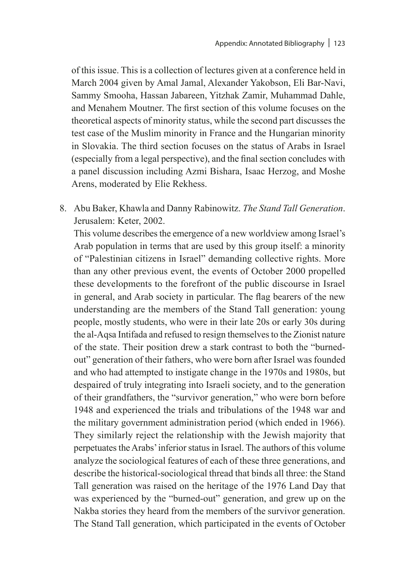of this issue. This is a collection of lectures given at a conference held in March 2004 given by Amal Jamal, Alexander Yakobson, Eli Bar-Navi, Sammy Smooha, Hassan Jabareen, Yitzhak Zamir, Muhammad Dahle, and Menahem Moutner. The first section of this volume focuses on the theoretical aspects of minority status, while the second part discusses the test case of the Muslim minority in France and the Hungarian minority in Slovakia. The third section focuses on the status of Arabs in Israel (especially from a legal perspective), and the final section concludes with a panel discussion including Azmi Bishara, Isaac Herzog, and Moshe Arens, moderated by Elie Rekhess.

8. Abu Baker, Khawla and Danny Rabinowitz. *The Stand Tall Generation*. Jerusalem: Keter, 2002.

This volume describes the emergence of a new worldview among Israel's Arab population in terms that are used by this group itself: a minority of "Palestinian citizens in Israel" demanding collective rights. More than any other previous event, the events of October 2000 propelled these developments to the forefront of the public discourse in Israel in general, and Arab society in particular. The flag bearers of the new understanding are the members of the Stand Tall generation: young people, mostly students, who were in their late 20s or early 30s during the al-Aqsa Intifada and refused to resign themselves to the Zionist nature of the state. Their position drew a stark contrast to both the "burnedout" generation of their fathers, who were born after Israel was founded and who had attempted to instigate change in the 1970s and 1980s, but despaired of truly integrating into Israeli society, and to the generation of their grandfathers, the "survivor generation," who were born before 1948 and experienced the trials and tribulations of the 1948 war and the military government administration period (which ended in 1966). They similarly reject the relationship with the Jewish majority that perpetuates the Arabs' inferior status in Israel. The authors of this volume analyze the sociological features of each of these three generations, and describe the historical-sociological thread that binds all three: the Stand Tall generation was raised on the heritage of the 1976 Land Day that was experienced by the "burned-out" generation, and grew up on the Nakba stories they heard from the members of the survivor generation. The Stand Tall generation, which participated in the events of October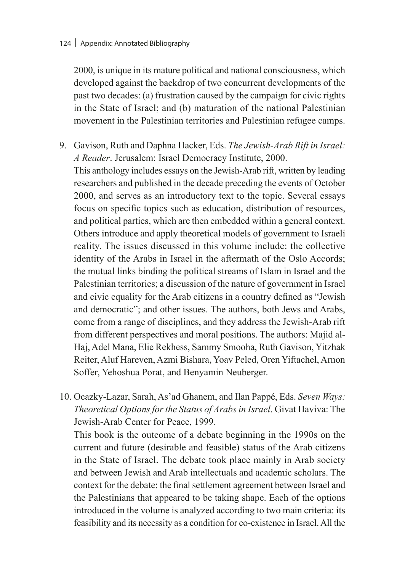2000, is unique in its mature political and national consciousness, which developed against the backdrop of two concurrent developments of the past two decades: (a) frustration caused by the campaign for civic rights in the State of Israel; and (b) maturation of the national Palestinian movement in the Palestinian territories and Palestinian refugee camps.

- 9. Gavison, Ruth and Daphna Hacker, Eds. *The Jewish-Arab Rift in Israel: A Reader*. Jerusalem: Israel Democracy Institute, 2000. This anthology includes essays on the Jewish-Arab rift, written by leading researchers and published in the decade preceding the events of October 2000, and serves as an introductory text to the topic. Several essays focus on specific topics such as education, distribution of resources, and political parties, which are then embedded within a general context. Others introduce and apply theoretical models of government to Israeli reality. The issues discussed in this volume include: the collective identity of the Arabs in Israel in the aftermath of the Oslo Accords; the mutual links binding the political streams of Islam in Israel and the Palestinian territories; a discussion of the nature of government in Israel and civic equality for the Arab citizens in a country defined as "Jewish and democratic"; and other issues. The authors, both Jews and Arabs, come from a range of disciplines, and they address the Jewish-Arab rift from different perspectives and moral positions. The authors: Majid al-Haj, Adel Mana, Elie Rekhess, Sammy Smooha, Ruth Gavison, Yitzhak Reiter, Aluf Hareven, Azmi Bishara, Yoav Peled, Oren Yiftachel, Arnon Soffer, Yehoshua Porat, and Benyamin Neuberger.
- 10. Ocazky-Lazar, Sarah, As'ad Ghanem, and Ilan Pappé, Eds. *Seven Ways: Theoretical Options for the Status of Arabs in Israel*. Givat Haviva: The Jewish-Arab Center for Peace, 1999.

This book is the outcome of a debate beginning in the 1990s on the current and future (desirable and feasible) status of the Arab citizens in the State of Israel. The debate took place mainly in Arab society and between Jewish and Arab intellectuals and academic scholars. The context for the debate: the final settlement agreement between Israel and the Palestinians that appeared to be taking shape. Each of the options introduced in the volume is analyzed according to two main criteria: its feasibility and its necessity as a condition for co-existence in Israel. All the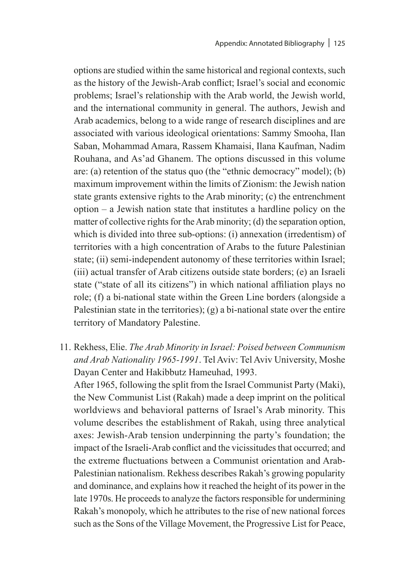options are studied within the same historical and regional contexts, such as the history of the Jewish-Arab conflict; Israel's social and economic problems; Israel's relationship with the Arab world, the Jewish world, and the international community in general. The authors, Jewish and Arab academics, belong to a wide range of research disciplines and are associated with various ideological orientations: Sammy Smooha, Ilan Saban, Mohammad Amara, Rassem Khamaisi, Ilana Kaufman, Nadim Rouhana, and As'ad Ghanem. The options discussed in this volume are: (a) retention of the status quo (the "ethnic democracy" model); (b) maximum improvement within the limits of Zionism: the Jewish nation state grants extensive rights to the Arab minority; (c) the entrenchment option – a Jewish nation state that institutes a hardline policy on the matter of collective rights for the Arab minority; (d) the separation option, which is divided into three sub-options: (i) annexation (irredentism) of territories with a high concentration of Arabs to the future Palestinian state; (ii) semi-independent autonomy of these territories within Israel; (iii) actual transfer of Arab citizens outside state borders; (e) an Israeli state ("state of all its citizens") in which national affiliation plays no role; (f) a bi-national state within the Green Line borders (alongside a Palestinian state in the territories); (g) a bi-national state over the entire territory of Mandatory Palestine.

11. Rekhess, Elie. *The Arab Minority in Israel: Poised between Communism and Arab Nationality 1965-1991*. Tel Aviv: Tel Aviv University, Moshe Dayan Center and Hakibbutz Hameuhad, 1993. After 1965, following the split from the Israel Communist Party (Maki), the New Communist List (Rakah) made a deep imprint on the political worldviews and behavioral patterns of Israel's Arab minority. This volume describes the establishment of Rakah, using three analytical axes: Jewish-Arab tension underpinning the party's foundation; the impact of the Israeli-Arab conflict and the vicissitudes that occurred; and the extreme fluctuations between a Communist orientation and Arab-Palestinian nationalism. Rekhess describes Rakah's growing popularity and dominance, and explains how it reached the height of its power in the late 1970s. He proceeds to analyze the factors responsible for undermining Rakah's monopoly, which he attributes to the rise of new national forces such as the Sons of the Village Movement, the Progressive List for Peace,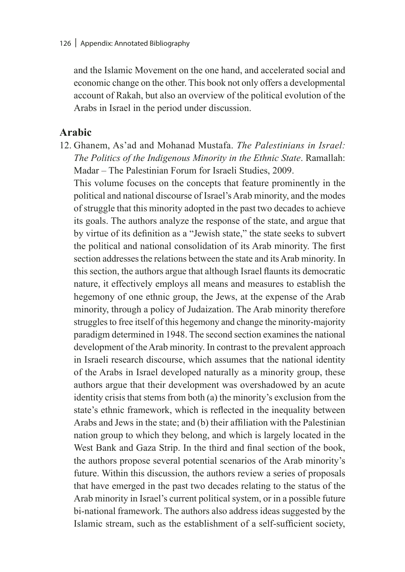and the Islamic Movement on the one hand, and accelerated social and economic change on the other. This book not only offers a developmental account of Rakah, but also an overview of the political evolution of the Arabs in Israel in the period under discussion.

### **Arabic**

12. Ghanem, As'ad and Mohanad Mustafa. *The Palestinians in Israel: The Politics of the Indigenous Minority in the Ethnic State*. Ramallah: Madar – The Palestinian Forum for Israeli Studies, 2009.

This volume focuses on the concepts that feature prominently in the political and national discourse of Israel's Arab minority, and the modes of struggle that this minority adopted in the past two decades to achieve its goals. The authors analyze the response of the state, and argue that by virtue of its definition as a "Jewish state," the state seeks to subvert the political and national consolidation of its Arab minority. The first section addresses the relations between the state and its Arab minority. In this section, the authors argue that although Israel flaunts its democratic nature, it effectively employs all means and measures to establish the hegemony of one ethnic group, the Jews, at the expense of the Arab minority, through a policy of Judaization. The Arab minority therefore struggles to free itself of this hegemony and change the minority-majority paradigm determined in 1948. The second section examines the national development of the Arab minority. In contrast to the prevalent approach in Israeli research discourse, which assumes that the national identity of the Arabs in Israel developed naturally as a minority group, these authors argue that their development was overshadowed by an acute identity crisis that stems from both (a) the minority's exclusion from the state's ethnic framework, which is reflected in the inequality between Arabs and Jews in the state; and (b) their affiliation with the Palestinian nation group to which they belong, and which is largely located in the West Bank and Gaza Strip. In the third and final section of the book, the authors propose several potential scenarios of the Arab minority's future. Within this discussion, the authors review a series of proposals that have emerged in the past two decades relating to the status of the Arab minority in Israel's current political system, or in a possible future bi-national framework. The authors also address ideas suggested by the Islamic stream, such as the establishment of a self-sufficient society,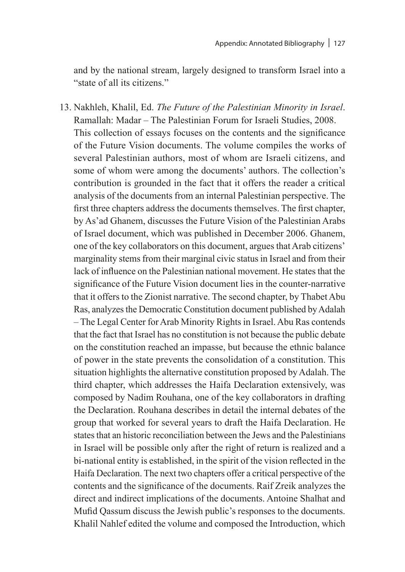and by the national stream, largely designed to transform Israel into a "state of all its citizens."

13. Nakhleh, Khalil, Ed. *The Future of the Palestinian Minority in Israel*. Ramallah: Madar – The Palestinian Forum for Israeli Studies, 2008. This collection of essays focuses on the contents and the significance of the Future Vision documents. The volume compiles the works of several Palestinian authors, most of whom are Israeli citizens, and some of whom were among the documents' authors. The collection's contribution is grounded in the fact that it offers the reader a critical analysis of the documents from an internal Palestinian perspective. The first three chapters address the documents themselves. The first chapter, by As'ad Ghanem, discusses the Future Vision of the Palestinian Arabs of Israel document, which was published in December 2006. Ghanem, one of the key collaborators on this document, argues that Arab citizens' marginality stems from their marginal civic status in Israel and from their lack of influence on the Palestinian national movement. He states that the significance of the Future Vision document lies in the counter-narrative that it offers to the Zionist narrative. The second chapter, by Thabet Abu Ras, analyzes the Democratic Constitution document published by Adalah – The Legal Center for Arab Minority Rights in Israel. Abu Ras contends that the fact that Israel has no constitution is not because the public debate on the constitution reached an impasse, but because the ethnic balance of power in the state prevents the consolidation of a constitution. This situation highlights the alternative constitution proposed by Adalah. The third chapter, which addresses the Haifa Declaration extensively, was composed by Nadim Rouhana, one of the key collaborators in drafting the Declaration. Rouhana describes in detail the internal debates of the group that worked for several years to draft the Haifa Declaration. He states that an historic reconciliation between the Jews and the Palestinians in Israel will be possible only after the right of return is realized and a bi-national entity is established, in the spirit of the vision reflected in the Haifa Declaration. The next two chapters offer a critical perspective of the contents and the significance of the documents. Raif Zreik analyzes the direct and indirect implications of the documents. Antoine Shalhat and Mufid Qassum discuss the Jewish public's responses to the documents. Khalil Nahlef edited the volume and composed the Introduction, which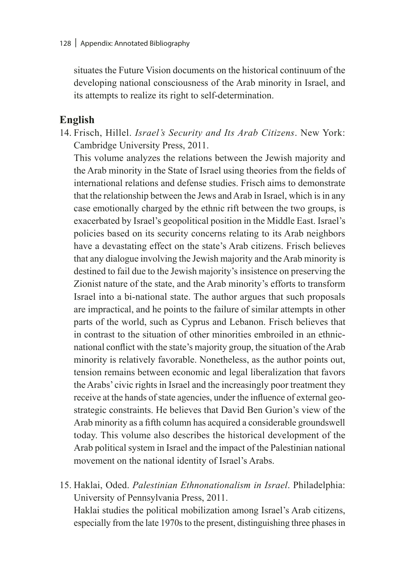situates the Future Vision documents on the historical continuum of the developing national consciousness of the Arab minority in Israel, and its attempts to realize its right to self-determination.

### **English**

14. Frisch, Hillel. *Israel's Security and Its Arab Citizens*. New York: Cambridge University Press, 2011.

This volume analyzes the relations between the Jewish majority and the Arab minority in the State of Israel using theories from the fields of international relations and defense studies. Frisch aims to demonstrate that the relationship between the Jews and Arab in Israel, which is in any case emotionally charged by the ethnic rift between the two groups, is exacerbated by Israel's geopolitical position in the Middle East. Israel's policies based on its security concerns relating to its Arab neighbors have a devastating effect on the state's Arab citizens. Frisch believes that any dialogue involving the Jewish majority and the Arab minority is destined to fail due to the Jewish majority's insistence on preserving the Zionist nature of the state, and the Arab minority's efforts to transform Israel into a bi-national state. The author argues that such proposals are impractical, and he points to the failure of similar attempts in other parts of the world, such as Cyprus and Lebanon. Frisch believes that in contrast to the situation of other minorities embroiled in an ethnicnational conflict with the state's majority group, the situation of the Arab minority is relatively favorable. Nonetheless, as the author points out, tension remains between economic and legal liberalization that favors the Arabs' civic rights in Israel and the increasingly poor treatment they receive at the hands of state agencies, under the influence of external geostrategic constraints. He believes that David Ben Gurion's view of the Arab minority as a fifth column has acquired a considerable groundswell today. This volume also describes the historical development of the Arab political system in Israel and the impact of the Palestinian national movement on the national identity of Israel's Arabs.

15. Haklai, Oded. *Palestinian Ethnonationalism in Israel*. Philadelphia: University of Pennsylvania Press, 2011. Haklai studies the political mobilization among Israel's Arab citizens, especially from the late 1970s to the present, distinguishing three phases in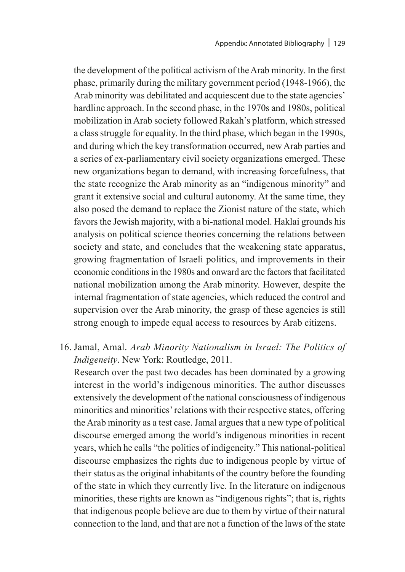the development of the political activism of the Arab minority. In the first phase, primarily during the military government period (1948-1966), the Arab minority was debilitated and acquiescent due to the state agencies' hardline approach. In the second phase, in the 1970s and 1980s, political mobilization in Arab society followed Rakah's platform, which stressed a class struggle for equality. In the third phase, which began in the 1990s, and during which the key transformation occurred, new Arab parties and a series of ex-parliamentary civil society organizations emerged. These new organizations began to demand, with increasing forcefulness, that the state recognize the Arab minority as an "indigenous minority" and grant it extensive social and cultural autonomy. At the same time, they also posed the demand to replace the Zionist nature of the state, which favors the Jewish majority, with a bi-national model. Haklai grounds his analysis on political science theories concerning the relations between society and state, and concludes that the weakening state apparatus, growing fragmentation of Israeli politics, and improvements in their economic conditions in the 1980s and onward are the factors that facilitated national mobilization among the Arab minority. However, despite the internal fragmentation of state agencies, which reduced the control and supervision over the Arab minority, the grasp of these agencies is still strong enough to impede equal access to resources by Arab citizens.

16. Jamal, Amal. *Arab Minority Nationalism in Israel: The Politics of Indigeneity*. New York: Routledge, 2011.

Research over the past two decades has been dominated by a growing interest in the world's indigenous minorities. The author discusses extensively the development of the national consciousness of indigenous minorities and minorities' relations with their respective states, offering the Arab minority as a test case. Jamal argues that a new type of political discourse emerged among the world's indigenous minorities in recent years, which he calls "the politics of indigeneity." This national-political discourse emphasizes the rights due to indigenous people by virtue of their status as the original inhabitants of the country before the founding of the state in which they currently live. In the literature on indigenous minorities, these rights are known as "indigenous rights"; that is, rights that indigenous people believe are due to them by virtue of their natural connection to the land, and that are not a function of the laws of the state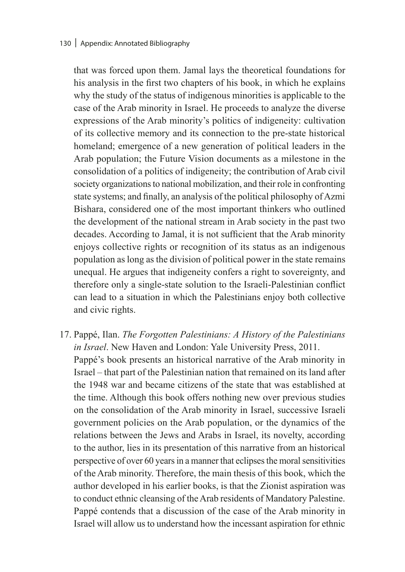that was forced upon them. Jamal lays the theoretical foundations for his analysis in the first two chapters of his book, in which he explains why the study of the status of indigenous minorities is applicable to the case of the Arab minority in Israel. He proceeds to analyze the diverse expressions of the Arab minority's politics of indigeneity: cultivation of its collective memory and its connection to the pre-state historical homeland; emergence of a new generation of political leaders in the Arab population; the Future Vision documents as a milestone in the consolidation of a politics of indigeneity; the contribution of Arab civil society organizations to national mobilization, and their role in confronting state systems; and finally, an analysis of the political philosophy of Azmi Bishara, considered one of the most important thinkers who outlined the development of the national stream in Arab society in the past two decades. According to Jamal, it is not sufficient that the Arab minority enjoys collective rights or recognition of its status as an indigenous population as long as the division of political power in the state remains unequal. He argues that indigeneity confers a right to sovereignty, and therefore only a single-state solution to the Israeli-Palestinian conflict can lead to a situation in which the Palestinians enjoy both collective and civic rights.

17. Pappé, Ilan. *The Forgotten Palestinians: A History of the Palestinians in Israel*. New Haven and London: Yale University Press, 2011. Pappé's book presents an historical narrative of the Arab minority in Israel – that part of the Palestinian nation that remained on its land after the 1948 war and became citizens of the state that was established at the time. Although this book offers nothing new over previous studies on the consolidation of the Arab minority in Israel, successive Israeli government policies on the Arab population, or the dynamics of the relations between the Jews and Arabs in Israel, its novelty, according to the author, lies in its presentation of this narrative from an historical perspective of over 60 years in a manner that eclipses the moral sensitivities of the Arab minority. Therefore, the main thesis of this book, which the author developed in his earlier books, is that the Zionist aspiration was to conduct ethnic cleansing of the Arab residents of Mandatory Palestine. Pappé contends that a discussion of the case of the Arab minority in Israel will allow us to understand how the incessant aspiration for ethnic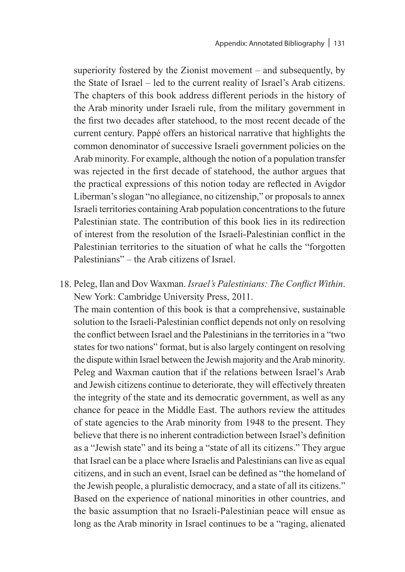superiority fostered by the Zionist movement – and subsequently, by the State of Israel – led to the current reality of Israel's Arab citizens. The chapters of this book address different periods in the history of the Arab minority under Israeli rule, from the military government in the first two decades after statehood, to the most recent decade of the current century. Pappé offers an historical narrative that highlights the common denominator of successive Israeli government policies on the Arab minority. For example, although the notion of a population transfer was rejected in the first decade of statehood, the author argues that the practical expressions of this notion today are reflected in Avigdor Liberman's slogan "no allegiance, no citizenship," or proposals to annex Israeli territories containing Arab population concentrations to the future Palestinian state. The contribution of this book lies in its redirection of interest from the resolution of the Israeli-Palestinian conflict in the Palestinian territories to the situation of what he calls the "forgotten Palestinians" – the Arab citizens of Israel.

18. Peleg, Ilan and Dov Waxman. *Israel's Palestinians: The Conflict Within*. New York: Cambridge University Press, 2011.

The main contention of this book is that a comprehensive, sustainable solution to the Israeli-Palestinian conflict depends not only on resolving the conflict between Israel and the Palestinians in the territories in a "two states for two nations" format, but is also largely contingent on resolving the dispute within Israel between the Jewish majority and the Arab minority. Peleg and Waxman caution that if the relations between Israel's Arab and Jewish citizens continue to deteriorate, they will effectively threaten the integrity of the state and its democratic government, as well as any chance for peace in the Middle East. The authors review the attitudes of state agencies to the Arab minority from 1948 to the present. They believe that there is no inherent contradiction between Israel's definition as a "Jewish state" and its being a "state of all its citizens." They argue that Israel can be a place where Israelis and Palestinians can live as equal citizens, and in such an event, Israel can be defined as "the homeland of the Jewish people, a pluralistic democracy, and a state of all its citizens." Based on the experience of national minorities in other countries, and the basic assumption that no Israeli-Palestinian peace will ensue as long as the Arab minority in Israel continues to be a "raging, alienated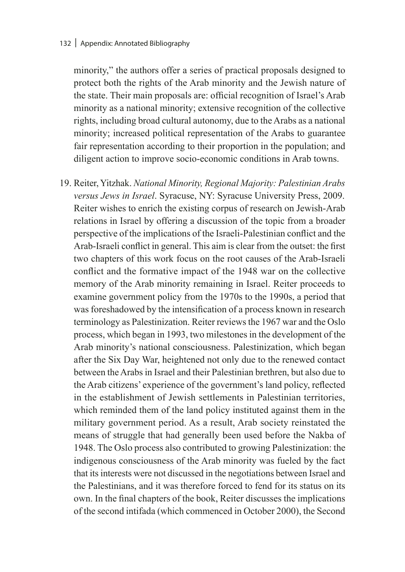minority," the authors offer a series of practical proposals designed to protect both the rights of the Arab minority and the Jewish nature of the state. Their main proposals are: official recognition of Israel's Arab minority as a national minority; extensive recognition of the collective rights, including broad cultural autonomy, due to the Arabs as a national minority; increased political representation of the Arabs to guarantee fair representation according to their proportion in the population; and diligent action to improve socio-economic conditions in Arab towns.

19. Reiter, Yitzhak. *National Minority, Regional Majority: Palestinian Arabs versus Jews in Israel*. Syracuse, NY: Syracuse University Press, 2009. Reiter wishes to enrich the existing corpus of research on Jewish-Arab relations in Israel by offering a discussion of the topic from a broader perspective of the implications of the Israeli-Palestinian conflict and the Arab-Israeli conflict in general. This aim is clear from the outset: the first two chapters of this work focus on the root causes of the Arab-Israeli conflict and the formative impact of the 1948 war on the collective memory of the Arab minority remaining in Israel. Reiter proceeds to examine government policy from the 1970s to the 1990s, a period that was foreshadowed by the intensification of a process known in research terminology as Palestinization. Reiter reviews the 1967 war and the Oslo process, which began in 1993, two milestones in the development of the Arab minority's national consciousness. Palestinization, which began after the Six Day War, heightened not only due to the renewed contact between the Arabs in Israel and their Palestinian brethren, but also due to the Arab citizens' experience of the government's land policy, reflected in the establishment of Jewish settlements in Palestinian territories, which reminded them of the land policy instituted against them in the military government period. As a result, Arab society reinstated the means of struggle that had generally been used before the Nakba of 1948. The Oslo process also contributed to growing Palestinization: the indigenous consciousness of the Arab minority was fueled by the fact that its interests were not discussed in the negotiations between Israel and the Palestinians, and it was therefore forced to fend for its status on its own. In the final chapters of the book, Reiter discusses the implications of the second intifada (which commenced in October 2000), the Second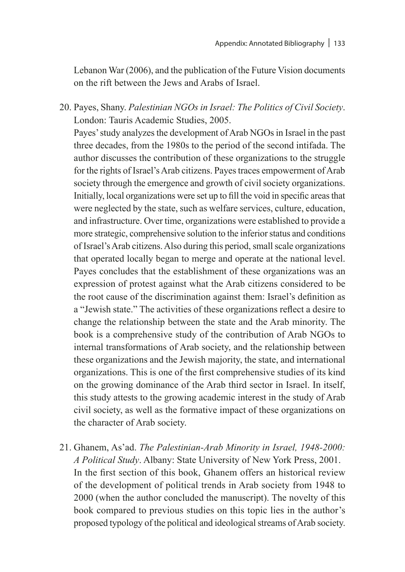Lebanon War (2006), and the publication of the Future Vision documents on the rift between the Jews and Arabs of Israel.

20. Payes, Shany. *Palestinian NGOs in Israel: The Politics of Civil Society*. London: Tauris Academic Studies, 2005.

Payes' study analyzes the development of Arab NGOs in Israel in the past three decades, from the 1980s to the period of the second intifada. The author discusses the contribution of these organizations to the struggle for the rights of Israel's Arab citizens. Payes traces empowerment of Arab society through the emergence and growth of civil society organizations. Initially, local organizations were set up to fill the void in specific areas that were neglected by the state, such as welfare services, culture, education, and infrastructure. Over time, organizations were established to provide a more strategic, comprehensive solution to the inferior status and conditions of Israel's Arab citizens. Also during this period, small scale organizations that operated locally began to merge and operate at the national level. Payes concludes that the establishment of these organizations was an expression of protest against what the Arab citizens considered to be the root cause of the discrimination against them: Israel's definition as a "Jewish state." The activities of these organizations reflect a desire to change the relationship between the state and the Arab minority. The book is a comprehensive study of the contribution of Arab NGOs to internal transformations of Arab society, and the relationship between these organizations and the Jewish majority, the state, and international organizations. This is one of the first comprehensive studies of its kind on the growing dominance of the Arab third sector in Israel. In itself, this study attests to the growing academic interest in the study of Arab civil society, as well as the formative impact of these organizations on the character of Arab society.

21. Ghanem, As'ad. *The Palestinian-Arab Minority in Israel, 1948-2000: A Political Study*. Albany: State University of New York Press, 2001. In the first section of this book, Ghanem offers an historical review of the development of political trends in Arab society from 1948 to 2000 (when the author concluded the manuscript). The novelty of this book compared to previous studies on this topic lies in the author's proposed typology of the political and ideological streams of Arab society.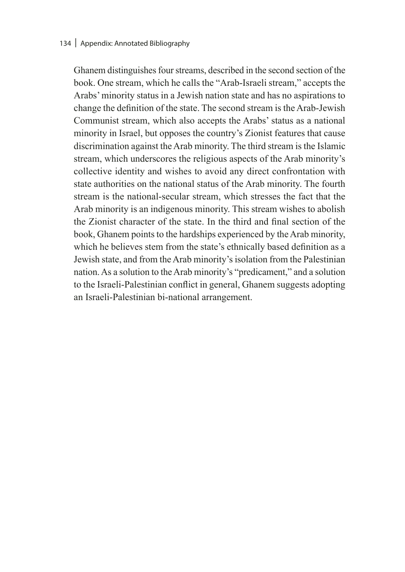#### 134 | Appendix: Annotated Bibliography

Ghanem distinguishes four streams, described in the second section of the book. One stream, which he calls the "Arab-Israeli stream," accepts the Arabs' minority status in a Jewish nation state and has no aspirations to change the definition of the state. The second stream is the Arab-Jewish Communist stream, which also accepts the Arabs' status as a national minority in Israel, but opposes the country's Zionist features that cause discrimination against the Arab minority. The third stream is the Islamic stream, which underscores the religious aspects of the Arab minority's collective identity and wishes to avoid any direct confrontation with state authorities on the national status of the Arab minority. The fourth stream is the national-secular stream, which stresses the fact that the Arab minority is an indigenous minority. This stream wishes to abolish the Zionist character of the state. In the third and final section of the book, Ghanem points to the hardships experienced by the Arab minority, which he believes stem from the state's ethnically based definition as a Jewish state, and from the Arab minority's isolation from the Palestinian nation. As a solution to the Arab minority's "predicament," and a solution to the Israeli-Palestinian conflict in general, Ghanem suggests adopting an Israeli-Palestinian bi-national arrangement.